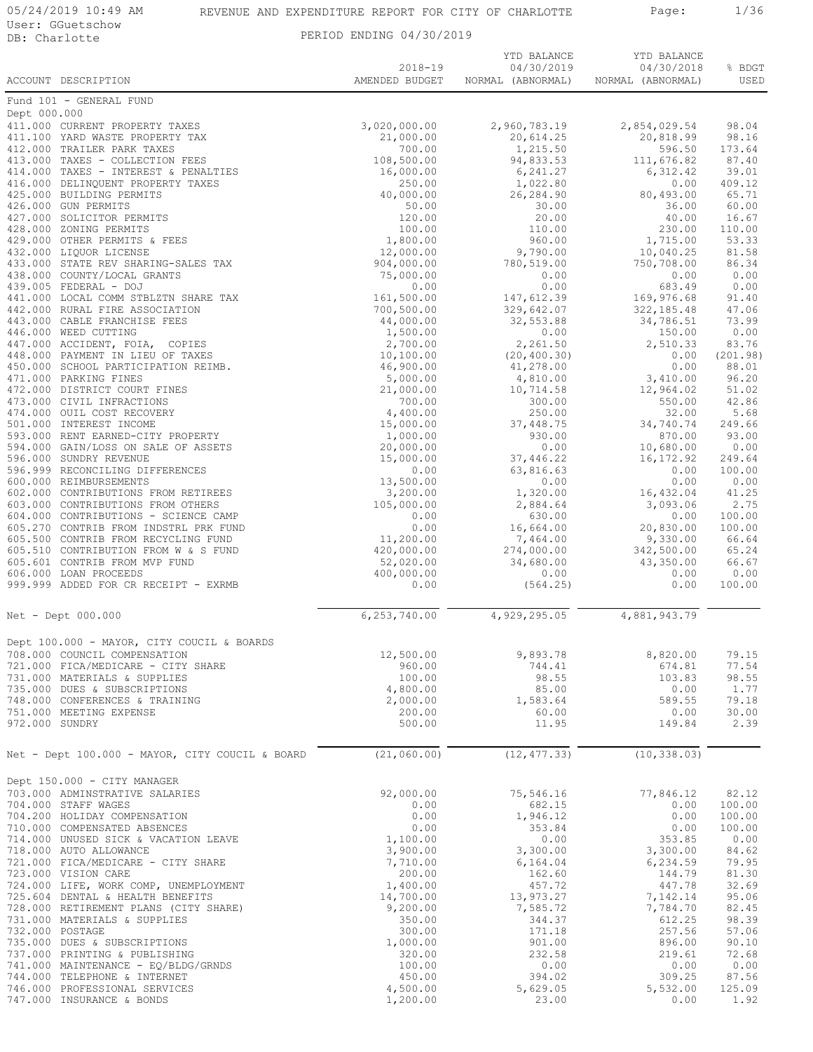## 05/24/2019 10:49 AM REVENUE AND EXPENDITURE REPORT FOR CITY OF CHARLOTTE Page: 1/36

PERIOD ENDING 04/30/2019

|                                                                                                                                                                                                                                                    |                               | YTD BALANCE                     | YTD BALANCE                     |                  |
|----------------------------------------------------------------------------------------------------------------------------------------------------------------------------------------------------------------------------------------------------|-------------------------------|---------------------------------|---------------------------------|------------------|
| ACCOUNT DESCRIPTION                                                                                                                                                                                                                                | $2018 - 19$<br>AMENDED BUDGET | 04/30/2019<br>NORMAL (ABNORMAL) | 04/30/2018<br>NORMAL (ABNORMAL) | % BDGT<br>USED   |
|                                                                                                                                                                                                                                                    |                               |                                 |                                 |                  |
| Fund 101 - GENERAL FUND                                                                                                                                                                                                                            |                               |                                 |                                 |                  |
| Dept 000.000                                                                                                                                                                                                                                       |                               |                                 |                                 |                  |
| 411.000 CURRENT PROPERTY TAXES<br>411.100 YARD WASTE PROPERTY TAX                                                                                                                                                                                  | 3,020,000.00<br>21,000.00     | 2,960,783.19<br>20,614.25       | 2,854,029.54<br>20,818.99       | 98.04<br>98.16   |
| THE PROPERT PROPERTY THAN THE PARK TAXES<br>412.000 TRAILER PARK TAXES<br>413.000 TAXES - COLLECTION FEES<br>414.000 TAXES - INTEREST & PENALTIES<br>416.000 DELINQUENT PROPERTY TAXES<br>425.000 GUINDING PERMITS<br>426.000 GUINDING PER         | 700.00                        | 1,215.50                        | 596.50                          | 173.64           |
|                                                                                                                                                                                                                                                    | 108,500.00                    | 94,833.53                       | 111,676.82                      | 87.40            |
|                                                                                                                                                                                                                                                    | 16,000.00                     | 6,241.27                        | 6,312.42                        | 39.01            |
|                                                                                                                                                                                                                                                    | 250.00<br>40,000.00           | 1,022.80<br>26, 284.90          | 0.00<br>80,493.00               | 409.12<br>65.71  |
|                                                                                                                                                                                                                                                    | 50.00                         | 30.00                           | 36.00                           | 60.00            |
|                                                                                                                                                                                                                                                    | 120.00                        | 20.00                           | 40.00                           | 16.67            |
|                                                                                                                                                                                                                                                    | 100.00                        | 110.00                          | 230.00                          | 110.00           |
|                                                                                                                                                                                                                                                    | 1,800.00                      | 960.00                          | 1,715.00                        | 53.33            |
|                                                                                                                                                                                                                                                    | 12,000.00<br>904,000.00       | 9,790.00<br>780,519.00          | 10,040.25<br>750,708.00         | 81.58<br>86.34   |
| 438.000 COUNTY/LOCAL GRANTS                                                                                                                                                                                                                        | 75,000.00                     | 0.00                            | 0.00                            | 0.00             |
| 439.005 FEDERAL - DOJ                                                                                                                                                                                                                              | 0.00                          | 0.00                            | 683.49                          | 0.00             |
|                                                                                                                                                                                                                                                    | 161,500.00                    | 147,612.39                      | 169,976.68                      | 91.40            |
|                                                                                                                                                                                                                                                    | 700,500.00<br>44,000.00       | 329,642.07<br>32,553.88         | 322, 185.48<br>34,786.51        | 47.06<br>73.99   |
|                                                                                                                                                                                                                                                    | 1,500.00                      | 0.00                            | 150.00                          | 0.00             |
|                                                                                                                                                                                                                                                    | 2,700.00                      | 2,261.50                        | 2,510.33                        | 83.76            |
|                                                                                                                                                                                                                                                    | 10,100.00                     | (20, 400, 30)                   | 0.00                            | (201.98)         |
|                                                                                                                                                                                                                                                    | 46,900.00                     | 41,278.00                       | 0.00                            | 88.01            |
|                                                                                                                                                                                                                                                    | 5,000.00<br>21,000.00         | 4,810.00<br>10,714.58           | 3,410.00<br>12,964.02           | 96.20<br>51.02   |
|                                                                                                                                                                                                                                                    | 700.00                        | 300.00                          | 550.00                          | 42.86            |
| 438.000 COMPIT/LOCAL GRAFTS<br>439.005 FEDERAL - DOJ<br>441.000 LOCAL COMM STBLZTN SHARE TAX<br>442.000 RURAL FIRE ASSOCIATION<br>443.000 CREAL FIRE ASSOCIATION<br>443.000 CABLE FRANCHISE FEES<br>443.000 CABLE FRANCHISE FEES<br>443.000 ACCIDE | 4,400.00                      | 250.00                          | 32.00                           | 5.68             |
|                                                                                                                                                                                                                                                    | 15,000.00                     | 37,448.75                       | 34,740.74                       | 249.66           |
|                                                                                                                                                                                                                                                    | 1,000.00                      | 930.00                          | 870.00                          | 93.00            |
|                                                                                                                                                                                                                                                    | 20,000.00<br>15,000.00        | 0.00<br>37,446.22               | 10,680.00<br>16, 172.92         | 0.00<br>249.64   |
|                                                                                                                                                                                                                                                    | 0.00                          | 63,816.63                       | 0.00                            | 100.00           |
|                                                                                                                                                                                                                                                    | 13,500.00                     | 0.00                            | 0.00                            | 0.00             |
|                                                                                                                                                                                                                                                    | 3,200.00                      | 1,320.00                        | 16,432.04                       | 41.25            |
|                                                                                                                                                                                                                                                    | 105,000.00                    | 2,884.64                        | 3,093.06                        | 2.75             |
|                                                                                                                                                                                                                                                    | 0.00<br>0.00                  | 630.00<br>16,664.00             | 0.00<br>20,830.00               | 100.00<br>100.00 |
|                                                                                                                                                                                                                                                    | 11,200.00                     | 7,464.00                        | 9,330.00                        | 66.64            |
|                                                                                                                                                                                                                                                    | 420,000.00                    | 274,000.00                      | 342,500.00                      | 65.24            |
| 605.601 CONTRIB FROM MVP FUND                                                                                                                                                                                                                      | 52,020.00                     | 34,680.00                       | 43,350.00                       | 66.67            |
| 606.000 LOAN PROCEEDS<br>999.999 ADDED FOR CR RECEIPT - EXRMB                                                                                                                                                                                      | 400,000.00<br>0.00            | 0.00<br>(564.25)                | 0.00<br>0.00                    | 0.00<br>100.00   |
|                                                                                                                                                                                                                                                    |                               |                                 |                                 |                  |
|                                                                                                                                                                                                                                                    |                               |                                 |                                 |                  |
| Net - Dept 000.000                                                                                                                                                                                                                                 | 6,253,740.00                  | 4,929,295.05                    | 4,881,943.79                    |                  |
| Dept 100.000 - MAYOR, CITY COUCIL & BOARDS                                                                                                                                                                                                         |                               |                                 |                                 |                  |
|                                                                                                                                                                                                                                                    | 12,500.00                     | 9,893.78                        | 8,820.00                        | 79.15            |
| 708.000 COUNCIL COMPENSATION<br>721.000 FICA/MEDICARE - CITY SHARE                                                                                                                                                                                 | 960.00                        | 744.41                          | 674.81                          | 77.54            |
| 731.000 MATERIALS & SUPPLIES                                                                                                                                                                                                                       | 100.00                        | 98.55                           | 103.83                          | 98.55            |
| 735.000 DUES & SUBSCRIPTIONS                                                                                                                                                                                                                       | 4,800.00                      | 85.00                           | 0.00                            | 1.77             |
| 748.000 CONFERENCES & TRAINING<br>751.000 MEETING EXPENSE                                                                                                                                                                                          | 2,000.00<br>200.00            | 1,583.64<br>60.00               | 589.55<br>0.00                  | 79.18<br>30.00   |
| 972.000 SUNDRY                                                                                                                                                                                                                                     | 500.00                        | 11.95                           | 149.84                          | 2.39             |
|                                                                                                                                                                                                                                                    |                               |                                 |                                 |                  |
| Net - Dept 100.000 - MAYOR, CITY COUCIL & BOARD (21,060.00)                                                                                                                                                                                        |                               |                                 |                                 |                  |
|                                                                                                                                                                                                                                                    |                               | (12, 477.33)                    | (10, 338.03)                    |                  |
| Dept 150.000 - CITY MANAGER                                                                                                                                                                                                                        |                               |                                 |                                 |                  |
| 703.000 ADMINSTRATIVE SALARIES                                                                                                                                                                                                                     | 92,000.00                     | 75,546.16                       | 77,846.12                       | 82.12            |
| 704.000 STAFF WAGES                                                                                                                                                                                                                                | 0.00                          | 682.15                          | 0.00                            | 100.00           |
| 704.200 HOLIDAY COMPENSATION                                                                                                                                                                                                                       | 0.00                          | 1,946.12                        | 0.00                            | 100.00           |
| 710.000 COMPENSATED ABSENCES                                                                                                                                                                                                                       | 0.00                          | 353.84                          | 0.00                            | 100.00           |
| 710.000 COMPENSATED ABSENCES<br>714.000 UNUSED SICK & VACATION LEAVE<br>718.000 AUTO ALLOWANCE                                                                                                                                                     | 1,100.00                      | 0.00<br>3,300.00                | 353.85<br>3,300.00              | 0.00<br>84.62    |
| 721.000 FICA/MEDICARE - CITY SHARE                                                                                                                                                                                                                 | 3,900.00<br>7,710.00          | 6,164.04                        | 6,234.59                        | 79.95            |
| 723.000 VISION CARE                                                                                                                                                                                                                                | 200.00                        | 162.60                          | 144.79                          | 81.30            |
| 724.000 LIFE, WORK COMP, UNEMPLOYMENT                                                                                                                                                                                                              | 1,400.00                      | 457.72                          | 447.78                          | 32.69            |
| 725.604 DENTAL & HEALTH BENEFITS                                                                                                                                                                                                                   | 14,700.00                     | 13,973.27                       | 7,142.14                        | 95.06            |
| 728.000 RETIREMENT PLANS (CITY SHARE)<br>731.000 MATERIALS & SUPPLIES                                                                                                                                                                              | 9,200.00<br>350.00            | 7,585.72<br>344.37              | 7,784.70<br>612.25              | 82.45<br>98.39   |
| 732.000 POSTAGE                                                                                                                                                                                                                                    | 300.00                        | 171.18                          | 257.56                          | 57.06            |
| 735.000 DUES & SUBSCRIPTIONS                                                                                                                                                                                                                       | 1,000.00                      | 901.00                          | 896.00                          | 90.10            |
| 737.000 PRINTING & PUBLISHING                                                                                                                                                                                                                      | 320.00                        | 232.58                          | 219.61                          | 72.68            |
| 741.000 MAINTENANCE - EQ/BLDG/GRNDS                                                                                                                                                                                                                | 100.00                        | 0.00                            | 0.00                            | 0.00             |
| 744.000 TELEPHONE & INTERNET<br>746.000 PROFESSIONAL SERVICES                                                                                                                                                                                      | 450.00<br>4,500.00            | 394.02<br>5,629.05              | 309.25<br>5,532.00              | 87.56<br>125.09  |

747.000 INSURANCE & BONDS 1,200.00 23.00 0.00 1.92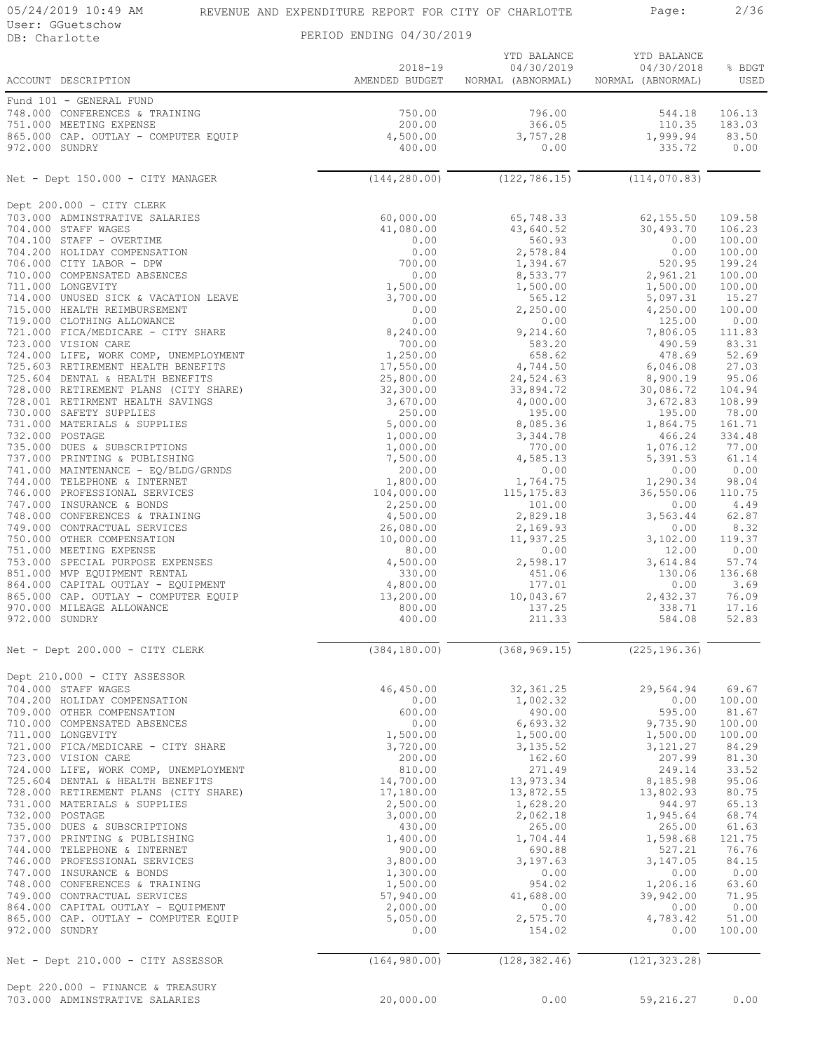# User: GGuetschow DB: Charlotte PERIOD ENDING 04/30/2019

### 05/24/2019 10:49 AM REVENUE AND EXPENDITURE REPORT FOR CITY OF CHARLOTTE Page: 2/36

|                                                                                                                                                                                                                                                     | $2018 - 19$            | YTD BALANCE<br>04/30/2019 | YTD BALANCE<br>04/30/2018 | % BDGT           |
|-----------------------------------------------------------------------------------------------------------------------------------------------------------------------------------------------------------------------------------------------------|------------------------|---------------------------|---------------------------|------------------|
| ACCOUNT DESCRIPTION                                                                                                                                                                                                                                 | AMENDED BUDGET         | NORMAL (ABNORMAL)         | NORMAL (ABNORMAL)         | USED             |
| Fund 101 - GENERAL FUND                                                                                                                                                                                                                             |                        |                           |                           |                  |
| 748.000 CONFERENCES & TRAINING                                                                                                                                                                                                                      | 750.00                 | 796.00                    | 544.18                    | 106.13           |
| 751.000 MEETING EXPENSE                                                                                                                                                                                                                             | 200.00                 | 366.05                    | 110.35                    | 183.03           |
| 865.000 CAP. OUTLAY - COMPUTER EQUIP<br>972.000 SUNDRY                                                                                                                                                                                              | 4,500.00<br>400.00     | 3,757.28<br>0.00          | 1,999.94<br>335.72        | 83.50<br>0.00    |
|                                                                                                                                                                                                                                                     |                        |                           |                           |                  |
| Net - Dept 150.000 - CITY MANAGER                                                                                                                                                                                                                   | (144, 280.00)          | (122, 786.15)             | (114, 070.83)             |                  |
| Dept 200.000 - CITY CLERK                                                                                                                                                                                                                           |                        |                           |                           |                  |
| 703.000 ADMINSTRATIVE SALARIES                                                                                                                                                                                                                      | 60,000.00              | 65,748.33                 | 62, 155, 50               | 109.58           |
| 704.000 STAFF WAGES<br>704.100 STAFF - OVERTIME                                                                                                                                                                                                     | 41,080.00<br>0.00      | 43,640.52<br>560.93       | 30,493.70<br>0.00         | 106.23<br>100.00 |
| 704.200 HOLIDAY COMPENSATION                                                                                                                                                                                                                        | 0.00                   | 2,578.84                  | 0.00                      | 100.00           |
| 706.000 CITY LABOR - DPW                                                                                                                                                                                                                            | 700.00                 | 1,394.67                  | 520.95                    | 199.24           |
| 710.000 COMPENSATED ABSENCES                                                                                                                                                                                                                        | 0.00                   | 8,533.77                  | 2,961.21                  | 100.00           |
| 711.000 LONGEVITY<br>714.000 UNUSED SICK & VACATION LEAVE                                                                                                                                                                                           | 1,500.00<br>3,700.00   | 1,500.00<br>565.12        | 1,500.00<br>5,097.31      | 100.00<br>15.27  |
| 715.000 HEALTH REIMBURSEMENT                                                                                                                                                                                                                        | 0.00                   | 2,250.00                  | 4,250.00                  | 100.00           |
| 719.000 CLOTHING ALLOWANCE                                                                                                                                                                                                                          | 0.00                   | 0.00                      | 125.00                    | 0.00             |
| 721.000 FICA/MEDICARE - CITY SHARE<br>723.000 VISION CARE                                                                                                                                                                                           | 8,240.00<br>700.00     | 9,214.60<br>583.20        | 7,806.05<br>490.59        | 111.83<br>83.31  |
| 724.000 LIFE, WORK COMP, UNEMPLOYMENT                                                                                                                                                                                                               | 1,250.00               | 658.62                    | 478.69                    | 52.69            |
| 725.603 RETIREMENT HEALTH BENEFITS                                                                                                                                                                                                                  | 17,550.00              | 4,744.50                  | 6,046.08                  | 27.03            |
| 725.604 DENTAL & HEALTH BENEFITS<br>728.000 RETIREMENT PLANS (CITY SHARE)                                                                                                                                                                           | 25,800.00<br>32,300.00 | 24,524.63<br>33,894.72    | 8,900.19<br>30,086.72     | 95.06<br>104.94  |
| 728.001 RETIRMENT HEALTH SAVINGS                                                                                                                                                                                                                    | 3,670.00               | 4,000.00                  | 3,672.83                  | 108.99           |
| 730.000 SAFETY SUPPLIES                                                                                                                                                                                                                             | 250.00                 | 195.00                    | 195.00                    | 78.00            |
| 731.000 MATERIALS & SUPPLIES<br>732.000 POSTAGE                                                                                                                                                                                                     | 5,000.00<br>1,000.00   | 8,085.36<br>3,344.78      | 1,864.75<br>466.24        | 161.71<br>334.48 |
| 735.000 DUES & SUBSCRIPTIONS                                                                                                                                                                                                                        | 1,000.00               | 770.00                    | 1,076.12                  | 77.00            |
| 737.000 PRINTING & PUBLISHING                                                                                                                                                                                                                       | 7,500.00               | 4,585.13                  | 5,391.53                  | 61.14            |
| 741.000 MAINTENANCE - EQ/BLDG/GRNDS<br>744.000 TELEPHONE & INTERNET                                                                                                                                                                                 | 200.00                 | 0.00                      | 0.00                      | 0.00             |
| 746.000 PROFESSIONAL SERVICES<br>747.000 INSURANCE & BONDS<br>748.000 CONFERENCES & TRAINING<br>749.000 CONFERENCES & TRAINING<br>751.000 OTHER COMPENSATION<br>751.000 MEETING EXPENSE<br>753.000 SPECIAL PURPOSE EXPENSES<br>851.000 MVP EQUIPMEN | 1,800.00<br>104,000.00 | 1,764.75<br>115, 175.83   | 1,290.34<br>36,550.06     | 98.04<br>110.75  |
|                                                                                                                                                                                                                                                     | 2,250.00               | 101.00                    | 0.00                      | 4.49             |
|                                                                                                                                                                                                                                                     | 4,500.00               | 2,829.18                  | 3,563.44                  | 62.87            |
|                                                                                                                                                                                                                                                     | 26,080.00<br>10,000.00 | 2,169.93<br>11,937.25     | 0.00<br>3,102.00          | 8.32<br>119.37   |
|                                                                                                                                                                                                                                                     | 80.00                  | 0.00                      | 12.00                     | 0.00             |
|                                                                                                                                                                                                                                                     | 4,500.00               | 2,598.17                  | 3,614.84                  | 57.74            |
|                                                                                                                                                                                                                                                     | 330.00<br>4,800.00     | 451.06<br>177.01          | 130.06<br>0.00            | 136.68<br>3.69   |
|                                                                                                                                                                                                                                                     | 13,200.00              | 10,043.67                 | 2,432.37                  | 76.09            |
| 970.000 MILEAGE ALLOWANCE                                                                                                                                                                                                                           | 800.00                 | 137.25                    | 338.71                    | 17.16            |
| 972.000 SUNDRY                                                                                                                                                                                                                                      | 400.00                 | 211.33                    | 584.08                    | 52.83            |
| Net - Dept 200.000 - CITY CLERK                                                                                                                                                                                                                     | (384, 180.00)          | (368, 969.15)             | (225, 196.36)             |                  |
| Dept 210.000 - CITY ASSESSOR                                                                                                                                                                                                                        |                        |                           |                           |                  |
| 704.000 STAFF WAGES                                                                                                                                                                                                                                 | 46,450.00              | 32,361.25                 | 29,564.94                 | 69.67            |
| 704.200 HOLIDAY COMPENSATION<br>709.000 OTHER COMPENSATION                                                                                                                                                                                          | 0.00<br>600.00         | 1,002.32<br>490.00        | 0.00<br>595.00            | 100.00<br>81.67  |
| 710.000 COMPENSATED ABSENCES                                                                                                                                                                                                                        | 0.00                   | 6,693.32                  | 9,735.90                  | 100.00           |
| 711.000 LONGEVITY                                                                                                                                                                                                                                   | 1,500.00               | 1,500.00                  | 1,500.00                  | 100.00           |
| 721.000 FICA/MEDICARE - CITY SHARE                                                                                                                                                                                                                  | 3,720.00               | 3, 135.52                 | 3, 121.27                 | 84.29            |
| 723.000 VISION CARE                                                                                                                                                                                                                                 | 200.00<br>810.00       | 162.60<br>271.49          | 207.99<br>249.14          | 81.30<br>33.52   |
| 724.000 LIFE, WORK COMP, UNEMPLOYMENT<br>725.604 DENTAL & HEALTH BENEFITS                                                                                                                                                                           | 14,700.00              | 13,973.34                 | 8,185.98                  | 95.06            |
| 728.000 RETIREMENT PLANS (CITY SHARE)                                                                                                                                                                                                               | 17,180.00              | 13,872.55                 | 13,802.93                 | 80.75            |
| 731.000 MATERIALS & SUPPLIES<br>732.000 POSTAGE                                                                                                                                                                                                     | 2,500.00<br>3,000.00   | 1,628.20<br>2,062.18      | 944.97<br>1,945.64        | 65.13<br>68.74   |
| 735.000 DUES & SUBSCRIPTIONS                                                                                                                                                                                                                        | 430.00                 | 265.00                    | 265.00                    | 61.63            |
|                                                                                                                                                                                                                                                     | 1,400.00               | 1,704.44                  | 1,598.68                  | 121.75           |
| 737.000 PRINTING & PUBLISHING<br>744.000 TELEPHONE & INTERNET<br>746.000 PROFESSIONAL SERVICES<br>747.000 INSURANCE & BONDS<br>748.000 CONFERENCES & TRAINING<br>749.000 CONTRACTUAL SERVICES<br>864.000 CAPITAL OUTLAY - EQUIPMENT<br>865.000 CAP. | 900.00<br>3,800.00     | 690.88<br>3,197.63        | 527.21<br>3,147.05        | 76.76<br>84.15   |
|                                                                                                                                                                                                                                                     | 1,300.00               | 0.00                      | 0.00                      | 0.00             |
|                                                                                                                                                                                                                                                     | 1,500.00               | 954.02                    | 1,206.16                  | 63.60            |
|                                                                                                                                                                                                                                                     | 57,940.00<br>2,000.00  | 41,688.00                 | 39,942.00                 | 71.95<br>0.00    |
|                                                                                                                                                                                                                                                     | 5,050.00               | 0.00<br>2,575.70          | 0.00<br>4,783.42          | 51.00            |
| 972.000 SUNDRY                                                                                                                                                                                                                                      | 0.00                   | 154.02                    | 0.00                      | 100.00           |
| Net - Dept 210.000 - CITY ASSESSOR                                                                                                                                                                                                                  | (164, 980.00)          | (128, 382.46)             | (121, 323.28)             |                  |
|                                                                                                                                                                                                                                                     |                        |                           |                           |                  |
| Dept 220.000 - FINANCE & TREASURY<br>703.000 ADMINSTRATIVE SALARIES                                                                                                                                                                                 | 20,000.00              | 0.00                      | 59,216.27                 | 0.00             |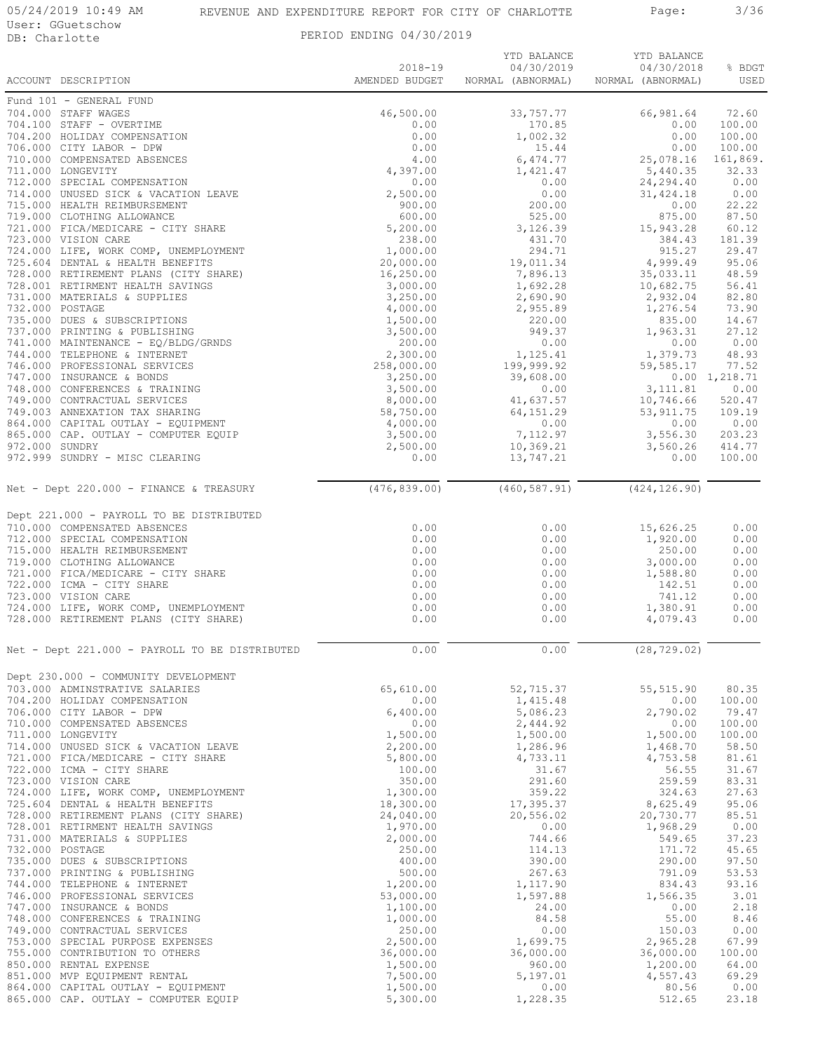### User: GGuetschow User: GGuetschow<br>DB: Charlotte PERIOD ENDING 04/30/2019

#### 05/24/2019 10:49 AM REVENUE AND EXPENDITURE REPORT FOR CITY OF CHARLOTTE Page: 3/36

| ACCOUNT DESCRIPTION                                                                                                                                                                                                                                                                            | $2018 - 19$<br>AMENDED BUDGET | YTD BALANCE<br>04/30/2019<br>NORMAL (ABNORMAL) | YTD BALANCE<br>04/30/2018 % BDGT<br>NORMAL (ABNORMAL) | USED                  |
|------------------------------------------------------------------------------------------------------------------------------------------------------------------------------------------------------------------------------------------------------------------------------------------------|-------------------------------|------------------------------------------------|-------------------------------------------------------|-----------------------|
| Fund 101 - GENERAL FUND                                                                                                                                                                                                                                                                        |                               |                                                |                                                       |                       |
| 704.000 STAFF WAGES                                                                                                                                                                                                                                                                            | 46,500.00                     | 33,757.77                                      | 66,981.64                                             | 72.60                 |
| 704.100 STAFF - OVERTIME<br>704.200 HOLIDAY COMPENSATION                                                                                                                                                                                                                                       | 0.00<br>0.00                  | 170.85<br>1,002.32                             | 0.00<br>0.00                                          | 100.00<br>100.00      |
| 706.000 CITY LABOR - DPW                                                                                                                                                                                                                                                                       | 0.00                          | 15.44                                          | 0.00                                                  | 100.00                |
| 710.000 COMPENSATED ABSENCES                                                                                                                                                                                                                                                                   | 4.00                          | 6,474.77                                       | 25,078.16                                             | 161,869.              |
| 711.000 LONGEVITY                                                                                                                                                                                                                                                                              | 4,397.00                      | 1,421.47                                       | 5,440.35                                              | 32.33                 |
| 712.000 SPECIAL COMPENSATION                                                                                                                                                                                                                                                                   | 0.00                          | 0.00                                           | 24,294.40                                             | 0.00                  |
| 714.000 UNUSED SICK & VACATION LEAVE<br>714.000 UNUSED SICK & VACATION LEAVE<br>714.000 UNUSED SICK & VACATION LEAVE<br>715.000 CLOTHING ALLOWANCE<br>721.000 CLOTHING ALLOWANCE<br>721.000 CLOTHING ALLOWANCE<br>721.000 VISION CARE<br>723.000 VISION CARE<br>723.000 VISION CARE<br>723.000 | 2,500.00<br>900.00            | 0.00<br>200.00                                 | 31,424.18<br>0.00                                     | 0.00<br>22.22         |
|                                                                                                                                                                                                                                                                                                | 600.00                        | 525.00                                         |                                                       | 875.00 87.50          |
|                                                                                                                                                                                                                                                                                                | 5,200.00                      | 3,126.39                                       | 15,943.28                                             | 60.12                 |
|                                                                                                                                                                                                                                                                                                | 238.00                        | 431.70                                         | 384.43                                                | 181.39                |
|                                                                                                                                                                                                                                                                                                | 1,000.00<br>20,000.00         | 294.71                                         | 4,999.49                                              | 915.27 29.47          |
|                                                                                                                                                                                                                                                                                                | 16,250.00                     | 19,011.34<br>7,896.13                          | 35,033.11                                             | 95.06<br>48.59        |
|                                                                                                                                                                                                                                                                                                | 3,000.00                      | 1,692.28                                       | 10,682.75                                             | 56.41                 |
|                                                                                                                                                                                                                                                                                                | 3,250.00                      | 2,690.90                                       | 2,932.04                                              | 82.80                 |
|                                                                                                                                                                                                                                                                                                | 4,000.00                      | 2,955.89                                       | 1,276.54                                              | 73.90                 |
|                                                                                                                                                                                                                                                                                                | 1,500.00                      | 220.00                                         | 835.00                                                | 14.67<br>27.12        |
|                                                                                                                                                                                                                                                                                                | 3,500.00<br>200.00            | 949.37<br>0.00                                 | 1,963.31                                              | 0.00 0.00             |
|                                                                                                                                                                                                                                                                                                | 2,300.00                      | 1,125.41                                       | 1,379.73                                              | 48.93                 |
|                                                                                                                                                                                                                                                                                                | 258,000.00                    | 199,999.92                                     | 59,585.17                                             | 77.52                 |
|                                                                                                                                                                                                                                                                                                | 3,250.00                      | 39,608.00                                      |                                                       | $0.00 \quad 1,218.71$ |
|                                                                                                                                                                                                                                                                                                | 3,500.00                      | 0.00                                           | 3,111.81                                              | 0.00                  |
|                                                                                                                                                                                                                                                                                                | 8,000.00                      | 41,637.57                                      | 10,746.66                                             | 520.47                |
|                                                                                                                                                                                                                                                                                                | 58,750.00<br>4,000.00         | 64,151.29<br>0.00                              | 53, 911.75<br>0.00                                    | 109.19<br>0.00        |
|                                                                                                                                                                                                                                                                                                | 3,500.00                      | 7,112.97                                       | 3,556.30                                              | 203.23                |
|                                                                                                                                                                                                                                                                                                | 2,500.00                      | 10,369.21                                      | 3,560.26                                              | 414.77                |
| 972.999 SUNDRY - MISC CLEARING                                                                                                                                                                                                                                                                 | 0.00                          | 13,747.21                                      |                                                       | 0.00 100.00           |
| Net - Dept 220.000 - FINANCE & TREASURY                                                                                                                                                                                                                                                        | (476, 839.00)                 |                                                | $(460, 587.91)$ $(424, 126.90)$                       |                       |
| Dept 221.000 - PAYROLL TO BE DISTRIBUTED                                                                                                                                                                                                                                                       |                               |                                                |                                                       |                       |
| 710.000 COMPENSATED ABSENCES                                                                                                                                                                                                                                                                   | 0.00                          | 0.00                                           | 15,626.25                                             | 0.00                  |
| 712.000 SPECIAL COMPENSATION                                                                                                                                                                                                                                                                   | 0.00                          | 0.00                                           | 1,920.00                                              | 0.00                  |
| 715.000 HEALTH REIMBURSEMENT                                                                                                                                                                                                                                                                   | 0.00                          | 0.00                                           | 250.00                                                | 0.00                  |
| 719.000 CLOTHING ALLOWANCE                                                                                                                                                                                                                                                                     | 0.00                          | 0.00                                           | 3,000.00                                              | 0.00                  |
| 721.000 FICA/MEDICARE - CITY SHARE                                                                                                                                                                                                                                                             | 0.00                          | 0.00                                           | 1,588.80                                              | 0.00                  |
| 722.000 ICMA - CITY SHARE<br>723.000 VISION CARE                                                                                                                                                                                                                                               | 0.00<br>0.00                  | 0.00<br>0.00                                   | 142.51<br>741.12                                      | 0.00<br>0.00          |
| 724.000 LIFE, WORK COMP, UNEMPLOYMENT                                                                                                                                                                                                                                                          | 0.00                          | 0.00                                           | 1,380.91                                              | 0.00                  |
| 728.000 RETIREMENT PLANS (CITY SHARE)                                                                                                                                                                                                                                                          | 0.00                          | 0.00                                           | 4,079.43                                              | 0.00                  |
| Net - Dept 221.000 - PAYROLL TO BE DISTRIBUTED                                                                                                                                                                                                                                                 | 0.00                          | 0.00                                           | (28, 729.02)                                          |                       |
|                                                                                                                                                                                                                                                                                                |                               |                                                |                                                       |                       |
| Dept 230.000 - COMMUNITY DEVELOPMENT<br>Dept 230.000 - COMMUNITY DEVELOPMENT<br>703.000 ADMINISTRATIVE SALARIES<br>703.000 ADMINISTRATIVE SALARIES<br>706.000 CITY LABOR - DPM<br>710.000 COMPENSATED ABSENCES<br>711.000 COMPENSATED ABSENCES<br>711.000 UNOSEVITY<br>714.000 UNOSEVITY<br>71 |                               |                                                |                                                       |                       |
|                                                                                                                                                                                                                                                                                                | 65,610.00<br>0.00             | 52,715.37<br>1,415.48                          | 55, 515.90<br>0.00                                    | 80.35<br>100.00       |
|                                                                                                                                                                                                                                                                                                | 6,400.00                      | 5,086.23                                       | 2,790.02                                              | 79.47                 |
|                                                                                                                                                                                                                                                                                                | 0.00                          | 2,444.92                                       | 0.00                                                  | 100.00                |
|                                                                                                                                                                                                                                                                                                | 1,500.00                      | 1,500.00                                       | 1,500.00                                              | 100.00                |
|                                                                                                                                                                                                                                                                                                | 2,200.00                      | 1,286.96                                       | 1,468.70                                              | 58.50                 |
|                                                                                                                                                                                                                                                                                                | 5,800.00                      | 4,733.11                                       | 4,753.58                                              | 81.61                 |
|                                                                                                                                                                                                                                                                                                | 100.00<br>350.00              | 31.67<br>291.60                                | 56.55<br>259.59                                       | 31.67<br>83.31        |
|                                                                                                                                                                                                                                                                                                | 1,300.00                      | 359.22                                         | 324.63                                                | 27.63                 |
|                                                                                                                                                                                                                                                                                                | 18,300.00                     | 17,395.37                                      | 8,625.49                                              | 95.06                 |
|                                                                                                                                                                                                                                                                                                | 24,040.00                     | 20,556.02                                      | 20,730.77                                             | 85.51                 |
|                                                                                                                                                                                                                                                                                                | 1,970.00                      | 0.00                                           | 1,968.29                                              | 0.00                  |
|                                                                                                                                                                                                                                                                                                | 2,000.00                      | 744.66                                         | 549.65                                                | 37.23                 |
|                                                                                                                                                                                                                                                                                                | 250.00                        | 114.13                                         | 171.72                                                | 45.65                 |
|                                                                                                                                                                                                                                                                                                | 400.00<br>500.00              | 390.00<br>267.63                               | 290.00<br>791.09                                      | 97.50<br>53.53        |
|                                                                                                                                                                                                                                                                                                | 1,200.00                      | 1,117.90                                       | 834.43                                                | 93.16                 |
|                                                                                                                                                                                                                                                                                                | 53,000.00                     | 1,597.88                                       | 1,566.35                                              | 3.01                  |
|                                                                                                                                                                                                                                                                                                | 1,100.00                      | 24.00                                          | 0.00                                                  | 2.18                  |
|                                                                                                                                                                                                                                                                                                | 1,000.00                      | 84.58                                          | 55.00                                                 | 8.46                  |
|                                                                                                                                                                                                                                                                                                | 250.00                        | 0.00                                           | 150.03                                                | 0.00                  |
|                                                                                                                                                                                                                                                                                                | 2,500.00                      | 1,699.75                                       | 2,965.28                                              | 67.99                 |
| 850.000 RENTAL EXPENSE                                                                                                                                                                                                                                                                         | 36,000.00<br>1,500.00         | 36,000.00<br>960.00                            | 36,000.00<br>1,200.00                                 | 100.00<br>64.00       |
| 851.000 MVP EQUIPMENT RENTAL                                                                                                                                                                                                                                                                   | 7,500.00                      | 5,197.01                                       | 4,557.43                                              | 69.29                 |
| 864.000 CAPITAL OUTLAY - EQUIPMENT                                                                                                                                                                                                                                                             | 1,500.00                      | 0.00                                           | 80.56                                                 | 0.00                  |

865.000 CAP. OUTLAY - COMPUTER EQUIP  $5,300.00$   $1,228.35$  512.65 23.18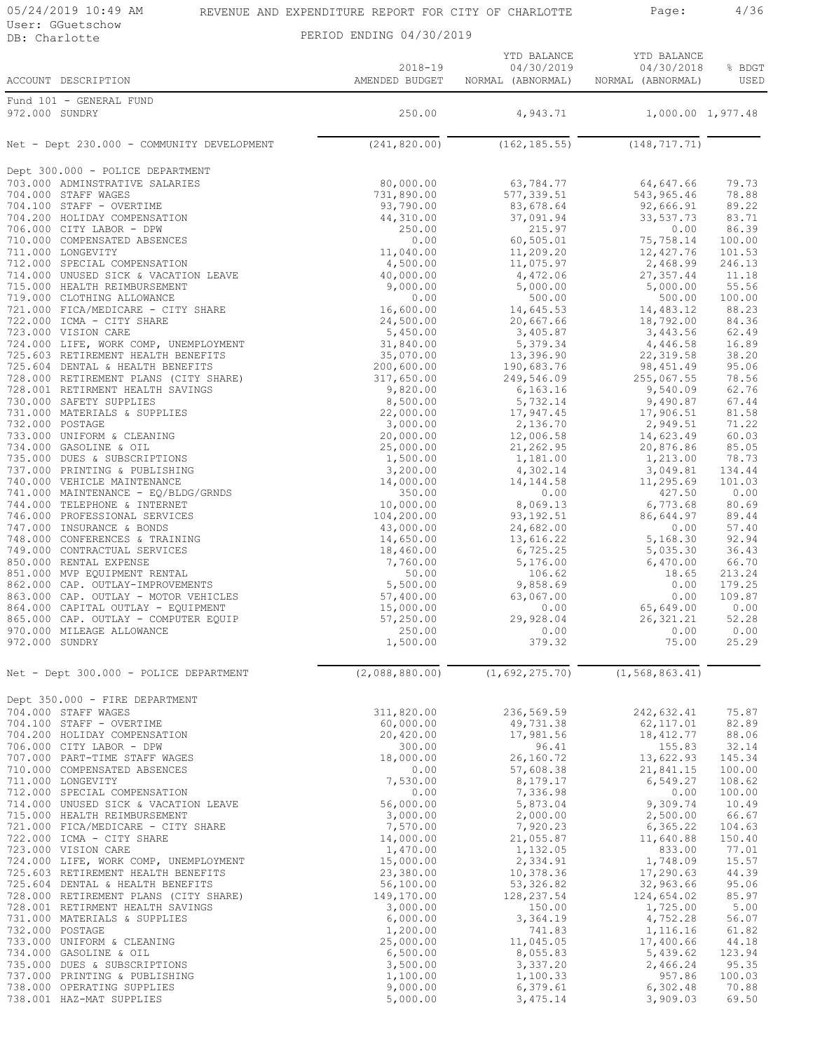# User: GGuetschow DB: Charlotte PERIOD ENDING 04/30/2019

### 05/24/2019 10:49 AM REVENUE AND EXPENDITURE REPORT FOR CITY OF CHARLOTTE Page: 4/36

|                                                                      |                         | YTD BALANCE                       | YTD BALANCE             |                  |
|----------------------------------------------------------------------|-------------------------|-----------------------------------|-------------------------|------------------|
|                                                                      | 2018-19                 | 04/30/2019                        | 04/30/2018              | % BDGT<br>USED   |
| ACCOUNT DESCRIPTION                                                  | AMENDED BUDGET          | NORMAL (ABNORMAL)                 | NORMAL (ABNORMAL)       |                  |
| Fund 101 - GENERAL FUND                                              |                         |                                   |                         |                  |
| 972.000 SUNDRY                                                       | 250.00                  | 4,943.71                          | 1,000.00 1,977.48       |                  |
|                                                                      |                         |                                   |                         |                  |
| Net - Dept 230.000 - COMMUNITY DEVELOPMENT                           | (241, 820.00)           | (162, 185.55)                     | (148, 717.71)           |                  |
|                                                                      |                         |                                   |                         |                  |
| Dept 300.000 - POLICE DEPARTMENT                                     |                         |                                   |                         |                  |
| 703.000 ADMINSTRATIVE SALARIES                                       | 80,000.00               | 63,784.77                         | 64,647.66               | 79.73            |
| 704.000 STAFF WAGES<br>704.100 STAFF - OVERTIME                      | 731,890.00<br>93,790.00 | 577, 339.51<br>83,678.64          | 543,965.46<br>92,666.91 | 78.88<br>89.22   |
| 704.200 HOLIDAY COMPENSATION                                         | 44,310.00               | 37,091.94                         | 33,537.73               | 83.71            |
| 706.000 CITY LABOR - DPW                                             | 250.00                  | 215.97                            | 0.00                    | 86.39            |
| 710.000 COMPENSATED ABSENCES                                         | 0.00                    | 60,505.01                         | 75,758.14               | 100.00           |
| 711.000 LONGEVITY                                                    | 11,040.00               | 11,209.20                         | 12,427.76               | 101.53           |
| 712.000 SPECIAL COMPENSATION<br>714.000 UNUSED SICK & VACATION LEAVE | 4,500.00<br>40,000.00   | 11,075.97<br>4,472.06             | 2,468.99<br>27,357.44   | 246.13<br>11.18  |
| 715.000 HEALTH REIMBURSEMENT                                         | 9,000.00                | 5,000.00                          | 5,000.00                | 55.56            |
| 719.000 CLOTHING ALLOWANCE                                           | 0.00                    | 500.00                            | 500.00                  | 100.00           |
| 721.000 FICA/MEDICARE - CITY SHARE                                   | 16,600.00               | 14,645.53                         | 14,483.12               | 88.23            |
| 722.000 ICMA - CITY SHARE                                            | 24,500.00               | 20,667.66                         | 18,792.00               | 84.36            |
| 723.000 VISION CARE<br>724.000 LIFE, WORK COMP, UNEMPLOYMENT         | 5,450.00<br>31,840.00   | 3,405.87<br>5,379.34              | 3,443.56<br>4,446.58    | 62.49<br>16.89   |
| 725.603 RETIREMENT HEALTH BENEFITS                                   | 35,070.00               | 13,396.90                         | 22,319.58               | 38.20            |
| 725.604 DENTAL & HEALTH BENEFITS                                     | 200,600.00              | 190,683.76                        | 98,451.49               | 95.06            |
| 728.000 RETIREMENT PLANS (CITY SHARE)                                | 317,650.00              | 249,546.09                        | 255,067.55              | 78.56            |
| 728.001 RETIRMENT HEALTH SAVINGS                                     | 9,820.00                | 6, 163.16                         | 9,540.09                | 62.76            |
| 730.000 SAFETY SUPPLIES                                              | 8,500.00                | 5,732.14                          | 9,490.87<br>17,906.51   | 67.44<br>81.58   |
| 731.000 MATERIALS & SUPPLIES<br>732.000 POSTAGE                      | 22,000.00<br>3,000.00   | 17,947.45<br>2,136.70             | 2,949.51                | 71.22            |
| 733.000 UNIFORM & CLEANING                                           | 20,000.00               | 12,006.58                         | 14,623.49               | 60.03            |
| 734.000 GASOLINE & OIL                                               | 25,000.00               | 21, 262.95                        | 20,876.86               | 85.05            |
| 735.000 DUES & SUBSCRIPTIONS                                         | 1,500.00                | 1,181.00                          | 1,213.00                | 78.73            |
| 737.000 PRINTING & PUBLISHING                                        | 3,200.00                | 4,302.14                          | 3,049.81                | 134.44           |
| 740.000 VEHICLE MAINTENANCE<br>741.000 MAINTENANCE - EQ/BLDG/GRNDS   | 14,000.00<br>350.00     | 14, 144.58<br>0.00                | 11,295.69<br>427.50     | 101.03<br>0.00   |
| 744.000 TELEPHONE & INTERNET                                         | 10,000.00               | 8,069.13                          | 6,773.68                | 80.69            |
| 746.000 PROFESSIONAL SERVICES                                        | 104,200.00              | 93, 192.51                        | 86,644.97               | 89.44            |
| 747.000 INSURANCE & BONDS                                            | 43,000.00               | 24,682.00                         | 0.00                    | 57.40            |
| 748.000 CONFERENCES & TRAINING                                       | 14,650.00               | 13,616.22                         | 5,168.30                | 92.94            |
| 749.000 CONTRACTUAL SERVICES<br>850.000 RENTAL EXPENSE               | 18,460.00<br>7,760.00   | 6,725.25<br>5,176.00              | 5,035.30<br>6,470.00    | 36.43<br>66.70   |
| 851.000 MVP EQUIPMENT RENTAL                                         | 50.00                   | 106.62                            | 18.65                   | 213.24           |
| 862.000 CAP. OUTLAY-IMPROVEMENTS                                     | 5,500.00                | 9,858.69                          | 0.00                    | 179.25           |
| 863.000 CAP. OUTLAY - MOTOR VEHICLES                                 | 57,400.00               | 63,067.00                         | 0.00                    | 109.87           |
| 864.000 CAPITAL OUTLAY - EQUIPMENT                                   | 15,000.00               | 0.00                              | 65,649.00               | 0.00             |
| 865.000 CAP. OUTLAY - COMPUTER EQUIP<br>970.000 MILEAGE ALLOWANCE    | 57,250.00<br>250.00     | 29,928.04<br>0.00                 | 26,321.21<br>0.00       | 52.28<br>0.00    |
| 972.000 SUNDRY                                                       | 1,500.00                | 379.32                            | 75.00                   | 25.29            |
|                                                                      |                         |                                   |                         |                  |
| Net - Dept 300.000 - POLICE DEPARTMENT                               |                         | $(2,088,880.00)$ $(1,692,275.70)$ | (1, 568, 863.41)        |                  |
|                                                                      |                         |                                   |                         |                  |
| Dept 350.000 - FIRE DEPARTMENT                                       |                         |                                   |                         |                  |
| 704.000 STAFF WAGES                                                  | 311,820.00              | 236,569.59                        | 242,632.41              | 75.87            |
| 704.100 STAFF - OVERTIME                                             | 60,000.00               | 49,731.38                         | 62,117.01               | 82.89            |
| 704.200 HOLIDAY COMPENSATION                                         | 20,420.00               | 17,981.56                         | 18, 412.77              | 88.06            |
| 706.000 CITY LABOR - DPW                                             | 300.00                  | 96.41                             | 155.83                  | 32.14            |
| 707.000 PART-TIME STAFF WAGES<br>710.000 COMPENSATED ABSENCES        | 18,000.00<br>0.00       | 26,160.72<br>57,608.38            | 13,622.93<br>21,841.15  | 145.34<br>100.00 |
| 711.000 LONGEVITY                                                    | 7,530.00                | 8,179.17                          | 6,549.27                | 108.62           |
| 712.000 SPECIAL COMPENSATION                                         | 0.00                    | 7,336.98                          | 0.00                    | 100.00           |
| 714.000 UNUSED SICK & VACATION LEAVE                                 | 56,000.00               | 5,873.04                          | 9,309.74                | 10.49            |
| 715.000 HEALTH REIMBURSEMENT                                         | 3,000.00                | 2,000.00                          | 2,500.00                | 66.67            |
| 721.000 FICA/MEDICARE - CITY SHARE<br>722.000 ICMA - CITY SHARE      | 7,570.00                | 7,920.23                          | 6,365.22                | 104.63           |
| 723.000 VISION CARE                                                  | 14,000.00<br>1,470.00   | 21,055.87<br>1,132.05             | 11,640.88<br>833.00     | 150.40<br>77.01  |
| 724.000 LIFE, WORK COMP, UNEMPLOYMENT                                | 15,000.00               | 2,334.91                          | 1,748.09                | 15.57            |
| 725.603 RETIREMENT HEALTH BENEFITS                                   | 23,380.00               | 10,378.36                         | 17,290.63               | 44.39            |
| 725.604 DENTAL & HEALTH BENEFITS                                     | 56,100.00               | 53, 326.82                        | 32,963.66               | 95.06            |
| 728.000 RETIREMENT PLANS (CITY SHARE)                                | 149,170.00              | 128, 237.54                       | 124,654.02              | 85.97            |
| 728.001 RETIRMENT HEALTH SAVINGS<br>731.000 MATERIALS & SUPPLIES     | 3,000.00<br>6,000.00    | 150.00<br>3,364.19                | 1,725.00<br>4,752.28    | 5.00<br>56.07    |
| 732.000 POSTAGE                                                      | 1,200.00                | 741.83                            | 1,116.16                | 61.82            |
| 733.000 UNIFORM & CLEANING                                           | 25,000.00               | 11,045.05                         | 17,400.66               | 44.18            |
| 734.000 GASOLINE & OIL                                               | 6,500.00                | 8,055.83                          | 5,439.62                | 123.94           |
| 735.000 DUES & SUBSCRIPTIONS                                         | 3,500.00                | 3,337.20                          | 2,466.24                | 95.35            |
| 737.000 PRINTING & PUBLISHING<br>738.000 OPERATING SUPPLIES          | 1,100.00<br>9,000.00    | 1,100.33<br>6,379.61              | 957.86<br>6,302.48      | 100.03<br>70.88  |
| 738.001 HAZ-MAT SUPPLIES                                             | 5,000.00                | 3, 475.14                         | 3,909.03                | 69.50            |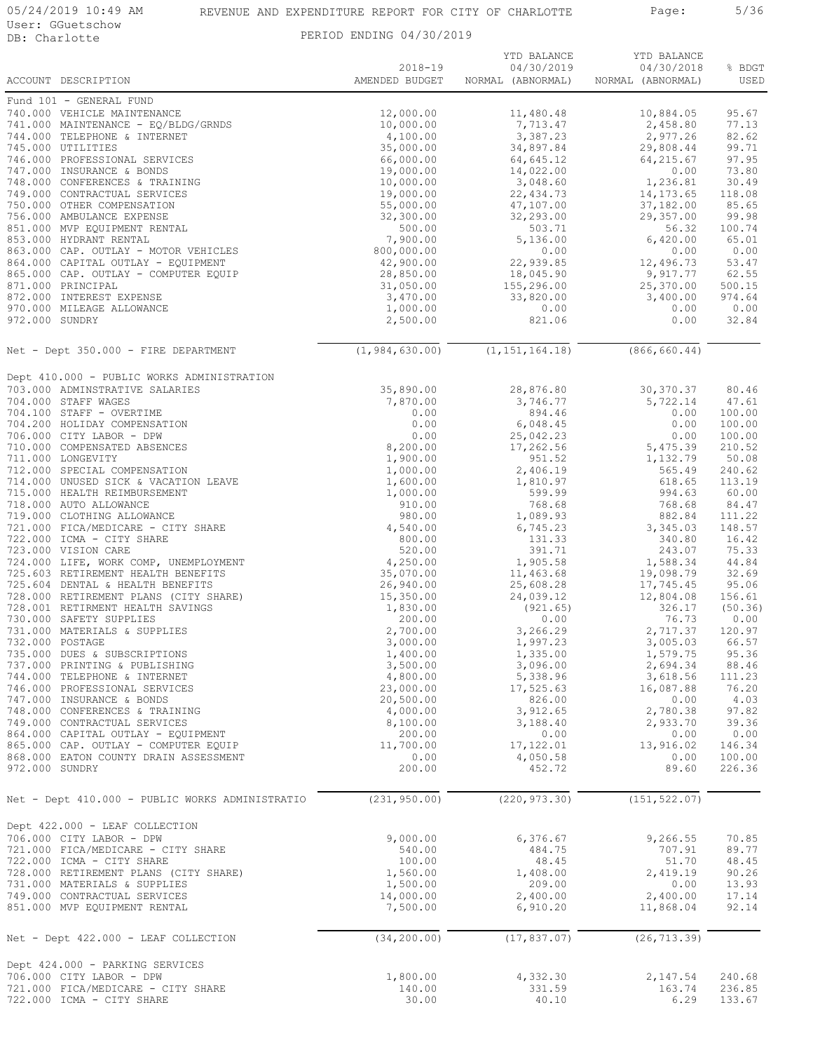## 05/24/2019 10:49 AM REVENUE AND EXPENDITURE REPORT FOR CITY OF CHARLOTTE Page: 5/36

PERIOD ENDING 04/30/2019

|                                                                                                                                                                                                                                                                                                  | $2018 - 19$            | YTD BALANCE<br>04/30/2019                             | YTD BALANCE<br>04/30/2018 | % BDGT           |
|--------------------------------------------------------------------------------------------------------------------------------------------------------------------------------------------------------------------------------------------------------------------------------------------------|------------------------|-------------------------------------------------------|---------------------------|------------------|
| ACCOUNT DESCRIPTION                                                                                                                                                                                                                                                                              | AMENDED BUDGET         | NORMAL (ABNORMAL)                                     | NORMAL (ABNORMAL)         | USED             |
| Fund 101 - GENERAL FUND                                                                                                                                                                                                                                                                          |                        |                                                       |                           |                  |
| 740.000 VEHICLE MAINTENANCE<br>741.000 MAINTENANCE - EQ/BLDG/GRNDS                                                                                                                                                                                                                               | 12,000.00<br>10,000.00 | 11,480.48<br>7,713.47                                 | 10,884.05<br>2,458.80     | 95.67<br>77.13   |
| 744.000 TELEPHONE & INTERNET                                                                                                                                                                                                                                                                     | 4,100.00               | 3,387.23                                              | 2,977.26                  | 82.62            |
| 147.000 INSURANCE & BONDS<br>748.000 CONFERENCES & TRAINING<br>749.000 CONFERENCES & TRAINING<br>749.000 CONTRACTUAL SERVICES<br>750.000 OTHER COMPENSATION<br>756.000 AMBULANCE EXPENSE<br>51.000 MVP EQUIPMENT RENTAL<br>53.000 CAP. OUTLA                                                     | 35,000.00              | 34,897.84                                             | 29,808.44                 | 99.71            |
|                                                                                                                                                                                                                                                                                                  | 66,000.00              | 64,645.12                                             | 64, 215.67                | 97.95            |
|                                                                                                                                                                                                                                                                                                  | 19,000.00              | 14,022.00                                             | 0.00                      | 73.80            |
|                                                                                                                                                                                                                                                                                                  | 10,000.00<br>19,000.00 | 3,048.60<br>22, 434.73                                | 1,236.81<br>14,173.65     | 30.49<br>118.08  |
|                                                                                                                                                                                                                                                                                                  | 55,000.00              | 47,107.00                                             | 37,182.00                 | 85.65            |
|                                                                                                                                                                                                                                                                                                  | 32,300.00              | 32,293.00                                             | 29,357.00                 | 99.98            |
|                                                                                                                                                                                                                                                                                                  | 500.00                 | 503.71                                                | 56.32                     | 100.74           |
| 851.000 MVF EQUIFMENT RENTAL<br>863.000 CAP. OUTLAY - MOTOR VEHICLES<br>864.000 CAP. OUTLAY - MOTOR VEHICLES<br>864.000 CAPITAL OUTLAY - EQUIPMENT<br>865.000 CAP. OUTLAY - COMPUTER EQUIP                                                                                                       | 7,900.00<br>800,000.00 | 5,136.00<br>0.00                                      | 6,420.00<br>0.00          | 65.01<br>0.00    |
|                                                                                                                                                                                                                                                                                                  | 42,900.00              | 22,939.85                                             | 12,496.73                 | 53.47            |
|                                                                                                                                                                                                                                                                                                  | 28,850.00              | 18,045.90                                             | 9,917.77                  | 62.55            |
| 871.000 PRINCIPAL                                                                                                                                                                                                                                                                                | 31,050.00              | 155,296.00                                            | 25,370.00                 | 500.15           |
| 872.000 INTEREST EXPENSE                                                                                                                                                                                                                                                                         | 3,470.00               | 33,820.00                                             | 3,400.00                  | 974.64           |
| 970.000 MILEAGE ALLOWANCE<br>972.000 SUNDRY                                                                                                                                                                                                                                                      | 1,000.00<br>2,500.00   | 0.00<br>821.06                                        | 0.00<br>0.00              | 0.00<br>32.84    |
| Net - Dept 350.000 - FIRE DEPARTMENT                                                                                                                                                                                                                                                             |                        | $(1, 984, 630.00)$ $(1, 151, 164.18)$ $(866, 660.44)$ |                           |                  |
|                                                                                                                                                                                                                                                                                                  |                        |                                                       |                           |                  |
| Dept 410.000 - PUBLIC WORKS ADMINISTRATION<br>Dept 410.000 - POBLIC WORKS ADMINISTRATION<br>704.000 ADMINSTRATIVE SALARIES<br>704.000 STAFF WAGES<br>704.100 STAFF - OVERTIME<br>704.200 HOLIDAY COMPENSATION<br>706.000 CITY LABOR - DPW<br>710.000 COMPENSATED ABSENCES<br>711.000 UNUSED SICK | 35,890.00              | 28,876.80                                             | 30,370.37                 | 80.46            |
|                                                                                                                                                                                                                                                                                                  | 7,870.00               | 3,746.77                                              | 5,722.14                  | 47.61            |
|                                                                                                                                                                                                                                                                                                  | 0.00                   | 894.46                                                | 0.00                      | 100.00           |
|                                                                                                                                                                                                                                                                                                  | 0.00                   | 6,048.45                                              | 0.00                      | 100.00           |
|                                                                                                                                                                                                                                                                                                  | 0.00                   | 25,042.23                                             | 0.00                      | 100.00<br>210.52 |
|                                                                                                                                                                                                                                                                                                  | 8,200.00<br>1,900.00   | 17,262.56<br>951.52                                   | 5,475.39<br>1,132.79      | 50.08            |
|                                                                                                                                                                                                                                                                                                  | 1,000.00               | 2,406.19                                              | 565.49                    | 240.62           |
|                                                                                                                                                                                                                                                                                                  | 1,600.00               | 1,810.97                                              | 618.65                    | 113.19           |
|                                                                                                                                                                                                                                                                                                  | 1,000.00               | 599.99<br>768.68                                      | 994.63<br>768.68          | 60.00<br>84.47   |
|                                                                                                                                                                                                                                                                                                  | 910.00<br>980.00       | 1,089.93                                              | 882.84                    | 111.22           |
| 715.000 HEALTH REIMBURSEMENT<br>718.000 AUTO ALLOWANCE<br>719.000 CLOTHING ALLOWANCE<br>721.000 FICA/MEDICARE - CITY SHARE<br>721.000 FICA/MEDICARE - CITY SHARE                                                                                                                                 | 4,540.00               | 6,745.23                                              | 3,345.03                  | 148.57           |
| 722.000 ICMA - CITY SHARE                                                                                                                                                                                                                                                                        | 800.00                 | 131.33                                                | 340.80                    | 16.42            |
| 723.000 VISION CARE                                                                                                                                                                                                                                                                              | 520.00<br>4,250.00     | 391.71                                                | 243.07                    | 75.33            |
| 724.000 LIFE, WORK COMP, UNEMPLOYMENT                                                                                                                                                                                                                                                            | 35,070.00              | 1,905.58<br>11,463.68                                 | 1,588.34<br>19,098.79     | 44.84<br>32.69   |
|                                                                                                                                                                                                                                                                                                  | 26,940.00              | 25,608.28                                             | 17,745.45                 | 95.06            |
|                                                                                                                                                                                                                                                                                                  | 15,350.00              | 24,039.12                                             | 12,804.08                 | 156.61           |
|                                                                                                                                                                                                                                                                                                  | 1,830.00               | (921.65)                                              | 326.17                    | (50.36)          |
| 725.603 RETREMENT HEALTH BENEFITS<br>725.603 RETREMENT HEALTH BENEFITS<br>728.000 RETIREMENT PLANS (CITY SHARE)<br>728.000 RETIREMENT PLANS (CITY SHARE)<br>730.000 SAFETY SUPPLIES<br>731.000 MATERIALS & SUPPLIES<br>732.000 POSTAGE                                                           | 200.00<br>2,700.00     | 0.00<br>3,266.29                                      | 76.73<br>2,717.37         | 0.00<br>120.97   |
| 732.000 POSTAGE                                                                                                                                                                                                                                                                                  | 3,000.00               | 1,997.23                                              | $3,005.03$ 66.57          |                  |
| 735.000 DUES & SUBSCRIPTIONS                                                                                                                                                                                                                                                                     | 1,400.00               | 1,335.00                                              | 1,579.75                  | 95.36            |
| 737.000 PRINTING & PUBLISHING                                                                                                                                                                                                                                                                    | 3,500.00               | 3,096.00                                              | 2,694.34                  | 88.46            |
| 744.000 TELEPHONE & INTERNET                                                                                                                                                                                                                                                                     | 4,800.00               | 5,338.96                                              | 3,618.56                  | 111.23           |
| 746.000 PROFESSIONAL SERVICES<br>747.000 INSURANCE & BONDS                                                                                                                                                                                                                                       | 23,000.00<br>20,500.00 | 17,525.63<br>826.00                                   | 16,087.88                 | 76.20<br>4.03    |
| 748.000 CONFERENCES & TRAINING                                                                                                                                                                                                                                                                   | 4,000.00               | 3,912.65                                              | 0.00<br>2,780.38          | 97.82            |
| 749.000 CONTRACTUAL SERVICES                                                                                                                                                                                                                                                                     | 8,100.00               | 3,188.40                                              | 2,933.70                  | 39.36            |
| 864.000 CAPITAL OUTLAY - EQUIPMENT                                                                                                                                                                                                                                                               | 200.00                 | 0.00                                                  | 0.00                      | 0.00             |
| 865.000 CAP. OUTLAY - COMPUTER EQUIP                                                                                                                                                                                                                                                             | 11,700.00              | 17, 122.01                                            | 13,916.02                 | 146.34           |
| 868.000 EATON COUNTY DRAIN ASSESSMENT<br>972.000 SUNDRY                                                                                                                                                                                                                                          | 0.00<br>200.00         | 4,050.58<br>452.72                                    | 0.00<br>89.60             | 100.00<br>226.36 |
| Net - Dept 410.000 - PUBLIC WORKS ADMINISTRATIO                                                                                                                                                                                                                                                  | (231, 950.00)          | (220, 973.30)                                         | (151, 522.07)             |                  |
| Dept 422.000 - LEAF COLLECTION                                                                                                                                                                                                                                                                   |                        |                                                       |                           |                  |
| 706.000 CITY LABOR - DPW                                                                                                                                                                                                                                                                         | 9,000.00               | 6,376.67                                              | 9,266.55                  | 70.85            |
| 721.000 FICA/MEDICARE - CITY SHARE                                                                                                                                                                                                                                                               | 540.00                 | 484.75                                                | 707.91                    | 89.77            |
| 722.000 ICMA - CITY SHARE                                                                                                                                                                                                                                                                        | 100.00                 | 48.45                                                 | 51.70                     | 48.45            |
| 728.000 RETIREMENT PLANS (CITY SHARE)<br>731.000 MATERIALS & SUPPLIES                                                                                                                                                                                                                            | 1,560.00<br>1,500.00   | 1,408.00<br>209.00                                    | 2,419.19<br>0.00          | 90.26<br>13.93   |
| 749.000 CONTRACTUAL SERVICES                                                                                                                                                                                                                                                                     | 14,000.00              | 2,400.00                                              | 2,400.00                  | 17.14            |
| 851.000 MVP EQUIPMENT RENTAL                                                                                                                                                                                                                                                                     | 7,500.00               | 6,910.20                                              | 11,868.04                 | 92.14            |
| Net - Dept 422.000 - LEAF COLLECTION                                                                                                                                                                                                                                                             | (34, 200.00)           | (17, 837.07)                                          | (26, 713.39)              |                  |
| Dept 424.000 - PARKING SERVICES                                                                                                                                                                                                                                                                  |                        |                                                       |                           |                  |
| 706.000 CITY LABOR - DPW                                                                                                                                                                                                                                                                         | 1,800.00               | 4,332.30                                              | 2,147.54                  | 240.68           |
| 721.000 FICA/MEDICARE - CITY SHARE                                                                                                                                                                                                                                                               | 140.00                 | 331.59                                                | 163.74                    | 236.85           |

722.000 ICMA - CITY SHARE 30.00 40.10 6.29 133.67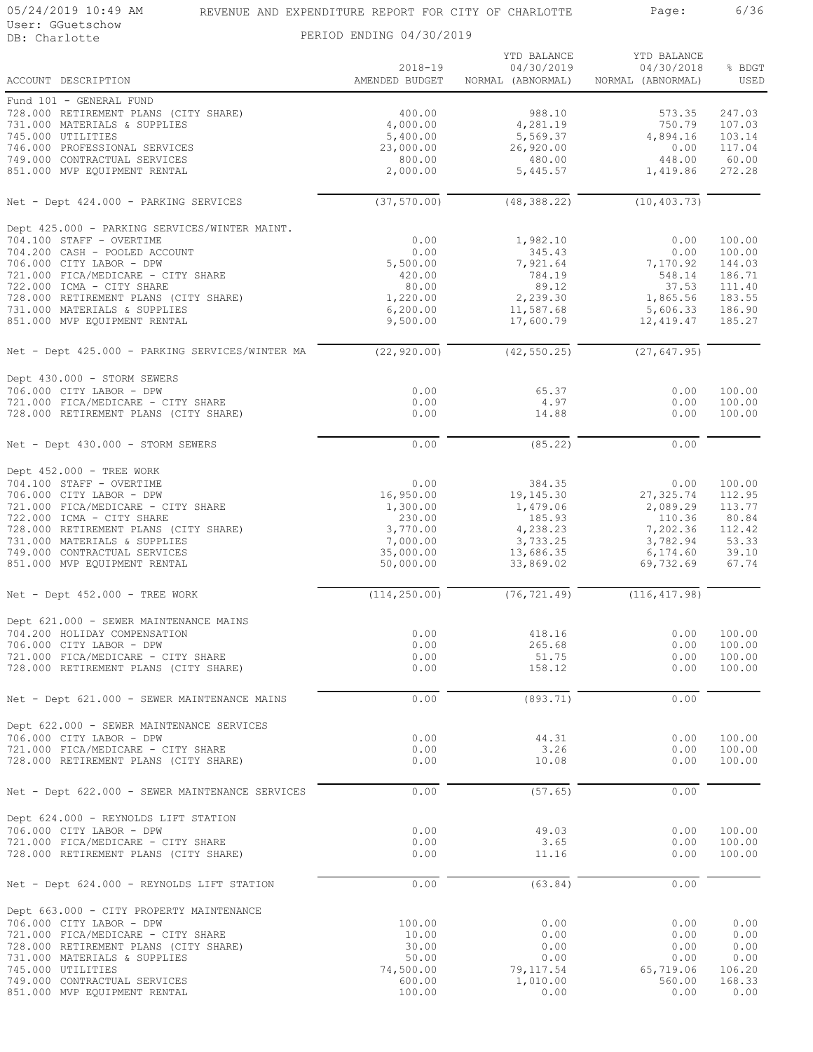## 05/24/2019 10:49 AM REVENUE AND EXPENDITURE REPORT FOR CITY OF CHARLOTTE Page: 6/36<br>User: GGuetschow

PERIOD ENDING 04/30/2019

| ACCOUNT DESCRIPTION                                             | $2018 - 19$<br>AMENDED BUDGET | YTD BALANCE<br>04/30/2019<br>NORMAL (ABNORMAL) | YTD BALANCE<br>04/30/2018<br>NORMAL (ABNORMAL) | % BDGT<br>USED   |
|-----------------------------------------------------------------|-------------------------------|------------------------------------------------|------------------------------------------------|------------------|
| Fund 101 - GENERAL FUND                                         |                               |                                                |                                                |                  |
| 728.000 RETIREMENT PLANS (CITY SHARE)                           | 400.00                        | 988.10                                         | 573.35                                         | 247.03           |
| 731.000 MATERIALS & SUPPLIES                                    | 4,000.00                      | 4,281.19                                       | 750.79                                         | 107.03           |
| 745.000 UTILITIES                                               | 5,400.00                      | 5,569.37                                       | 4,894.16                                       | 103.14           |
| 746.000 PROFESSIONAL SERVICES<br>749.000 CONTRACTUAL SERVICES   | 23,000.00<br>800.00           | 26,920.00<br>480.00                            | 0.00<br>448.00                                 | 117.04<br>60.00  |
| 851.000 MVP EQUIPMENT RENTAL                                    | 2,000.00                      | 5,445.57                                       | 1,419.86                                       | 272.28           |
|                                                                 |                               |                                                |                                                |                  |
| Net - Dept 424.000 - PARKING SERVICES                           | (37, 570.00)                  | (48, 388.22)                                   | (10, 403, 73)                                  |                  |
| Dept 425.000 - PARKING SERVICES/WINTER MAINT.                   |                               |                                                |                                                |                  |
| 704.100 STAFF - OVERTIME                                        | 0.00                          | 1,982.10                                       | 0.00                                           | 100.00           |
| 704.200 CASH - POOLED ACCOUNT                                   | 0.00                          | 345.43                                         | 0.00                                           | 100.00           |
| 706.000 CITY LABOR - DPW<br>721.000 FICA/MEDICARE - CITY SHARE  | 5,500.00<br>420.00            | 7,921.64<br>784.19                             | 7,170.92<br>548.14                             | 144.03<br>186.71 |
| 722.000 ICMA - CITY SHARE                                       | 80.00                         | 89.12                                          | 37.53                                          | 111.40           |
| 728.000 RETIREMENT PLANS (CITY SHARE)                           | 1,220.00                      | 2,239.30                                       | 1,865.56                                       | 183.55           |
| 731.000 MATERIALS & SUPPLIES                                    | 6, 200.00                     | 11,587.68                                      | 5,606.33                                       | 186.90           |
| 851.000 MVP EQUIPMENT RENTAL                                    | 9,500.00                      | 17,600.79                                      | 12,419.47                                      | 185.27           |
| Net - Dept 425.000 - PARKING SERVICES/WINTER MA                 | (22, 920.00)                  | (42, 550.25)                                   | (27, 647.95)                                   |                  |
|                                                                 |                               |                                                |                                                |                  |
| Dept 430.000 - STORM SEWERS                                     |                               |                                                |                                                |                  |
| 706.000 CITY LABOR - DPW<br>721.000 FICA/MEDICARE - CITY SHARE  | 0.00<br>0.00                  | 65.37<br>4.97                                  | 0.00<br>0.00                                   | 100.00<br>100.00 |
| 728.000 RETIREMENT PLANS (CITY SHARE)                           | 0.00                          | 14.88                                          | 0.00                                           | 100.00           |
|                                                                 |                               |                                                |                                                |                  |
| Net - Dept 430.000 - STORM SEWERS                               | 0.00                          | (85.22)                                        | 0.00                                           |                  |
| Dept 452.000 - TREE WORK                                        |                               |                                                |                                                |                  |
| 704.100 STAFF - OVERTIME                                        | 0.00                          | 384.35                                         | 0.00                                           | 100.00           |
| 706.000 CITY LABOR - DPW                                        | 16,950.00                     | 19,145.30                                      | 27,325.74                                      | 112.95           |
| 721.000 FICA/MEDICARE - CITY SHARE<br>722.000 ICMA - CITY SHARE | 1,300.00                      | 1,479.06                                       | 2,089.29<br>110.36                             | 113.77<br>80.84  |
| 728.000 RETIREMENT PLANS (CITY SHARE)                           | 230.00<br>3,770.00            | 185.93<br>4,238.23                             | 7,202.36                                       | 112.42           |
| 731.000 MATERIALS & SUPPLIES                                    | 7,000.00                      | 3,733.25                                       | 3,782.94                                       | 53.33            |
| 749.000 CONTRACTUAL SERVICES                                    | 35,000.00                     | 13,686.35                                      | 6,174.60                                       | 39.10            |
| 851.000 MVP EQUIPMENT RENTAL                                    | 50,000.00                     | 33,869.02                                      | 69,732.69                                      | 67.74            |
|                                                                 |                               |                                                |                                                |                  |
| Net - Dept $452.000$ - TREE WORK                                | (114, 250.00)                 | (76, 721.49)                                   | (116, 417.98)                                  |                  |
| Dept 621.000 - SEWER MAINTENANCE MAINS                          |                               |                                                |                                                |                  |
| 704.200 HOLIDAY COMPENSATION                                    | 0.00                          | 418.16                                         | 0.00                                           | 100.00           |
| 706.000 CITY LABOR - DPW<br>721.000 FICA/MEDICARE - CITY SHARE  | 0.00<br>0.00                  | 265.68<br>51.75                                | 0.00<br>0.00                                   | 100.00<br>100.00 |
| 728.000 RETIREMENT PLANS (CITY SHARE)                           | 0.00                          | 158.12                                         | 0.00                                           | 100.00           |
|                                                                 |                               |                                                |                                                |                  |
| Net - Dept 621.000 - SEWER MAINTENANCE MAINS                    | 0.00                          | (893.71)                                       | 0.00                                           |                  |
| Dept 622.000 - SEWER MAINTENANCE SERVICES                       |                               |                                                |                                                |                  |
| 706.000 CITY LABOR - DPW                                        | 0.00                          | 44.31                                          | 0.00                                           | 100.00           |
| 721.000 FICA/MEDICARE - CITY SHARE                              | 0.00                          | 3.26                                           | 0.00                                           | 100.00           |
| 728.000 RETIREMENT PLANS (CITY SHARE)                           | 0.00                          | 10.08                                          | 0.00                                           | 100.00           |
| Net - Dept 622.000 - SEWER MAINTENANCE SERVICES                 | 0.00                          | (57.65)                                        | 0.00                                           |                  |
| Dept 624.000 - REYNOLDS LIFT STATION                            |                               |                                                |                                                |                  |
| 706.000 CITY LABOR - DPW                                        | 0.00                          | 49.03                                          | 0.00                                           | 100.00           |
| 721.000 FICA/MEDICARE - CITY SHARE                              | 0.00                          | 3.65                                           | 0.00                                           | 100.00           |
| 728.000 RETIREMENT PLANS (CITY SHARE)                           | 0.00                          | 11.16                                          | 0.00                                           | 100.00           |
| Net - Dept 624.000 - REYNOLDS LIFT STATION                      | 0.00                          | (63.84)                                        | 0.00                                           |                  |
| Dept 663.000 - CITY PROPERTY MAINTENANCE                        |                               |                                                |                                                |                  |
| 706.000 CITY LABOR - DPW                                        | 100.00                        | 0.00                                           | 0.00                                           | 0.00             |
| 721.000 FICA/MEDICARE - CITY SHARE                              | 10.00                         | 0.00                                           | 0.00                                           | 0.00             |
| 728.000 RETIREMENT PLANS (CITY SHARE)                           | 30.00                         | 0.00<br>0.00                                   | 0.00<br>0.00                                   | 0.00             |
| 731.000 MATERIALS & SUPPLIES<br>745.000 UTILITIES               | 50.00<br>74,500.00            | 79,117.54                                      | 65,719.06                                      | 0.00<br>106.20   |
| 749.000 CONTRACTUAL SERVICES                                    | 600.00                        | 1,010.00                                       | 560.00                                         | 168.33           |

851.000 MVP EQUIPMENT RENTAL 100.00 0.00 0.00 0.00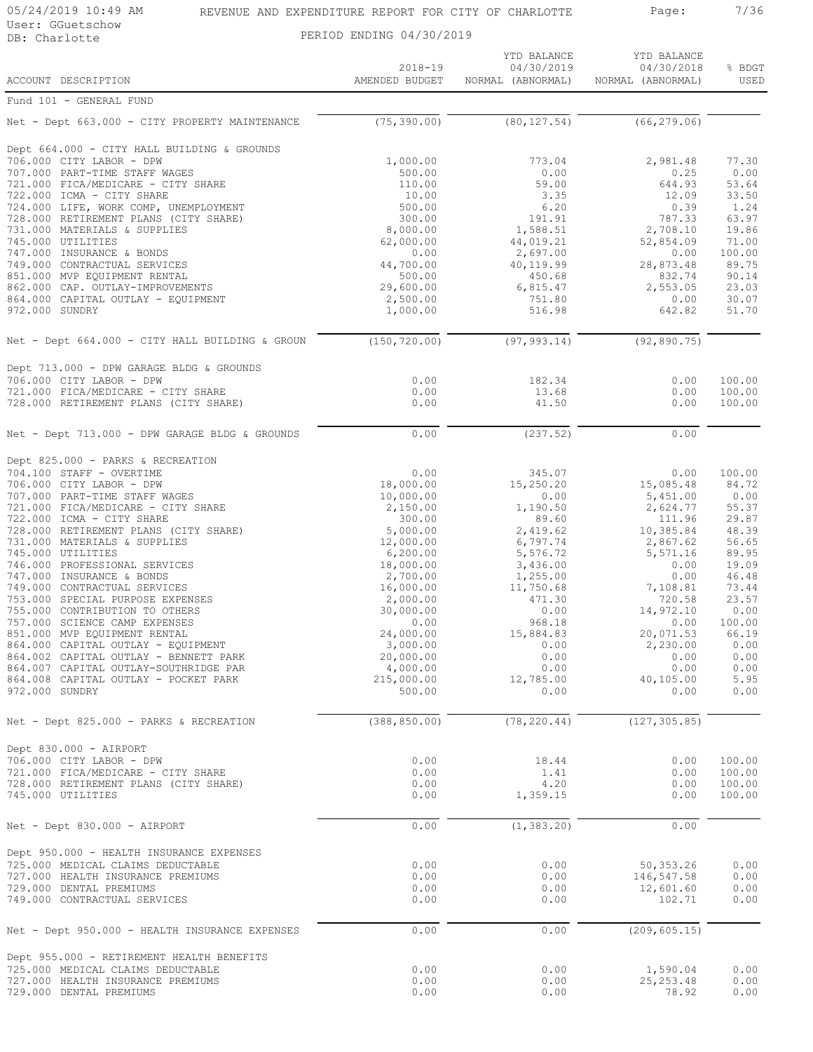### 05/24/2019 10:49 AM REVENUE AND EXPENDITURE REPORT FOR CITY OF CHARLOTTE Page: 7/36

|                                                                                | $2018 - 19$           | YTD BALANCE<br>04/30/2019 | YTD BALANCE<br>04/30/2018 | % BDGT           |
|--------------------------------------------------------------------------------|-----------------------|---------------------------|---------------------------|------------------|
| ACCOUNT DESCRIPTION                                                            | AMENDED BUDGET        | NORMAL (ABNORMAL)         | NORMAL (ABNORMAL)         | USED             |
| Fund 101 - GENERAL FUND                                                        |                       |                           |                           |                  |
| Net - Dept 663.000 - CITY PROPERTY MAINTENANCE                                 | (75, 390.00)          | (80, 127.54)              | (66, 279.06)              |                  |
|                                                                                |                       |                           |                           |                  |
| Dept 664.000 - CITY HALL BUILDING & GROUNDS<br>706.000 CITY LABOR - DPW        |                       | 773.04                    | 2,981.48                  | 77.30            |
| 707.000 PART-TIME STAFF WAGES                                                  | 1,000.00<br>500.00    | 0.00                      | 0.25                      | 0.00             |
| 721.000 FICA/MEDICARE - CITY SHARE                                             | 110.00                | 59.00                     | 644.93                    | 53.64            |
| 722.000 ICMA - CITY SHARE                                                      | 10.00                 | 3.35                      | 12.09                     | 33.50            |
| 724.000 LIFE, WORK COMP, UNEMPLOYMENT<br>728.000 RETIREMENT PLANS (CITY SHARE) | 500.00<br>300.00      | 6.20<br>191.91            | 0.39<br>787.33            | 1.24<br>63.97    |
| 731.000 MATERIALS & SUPPLIES                                                   | 8,000.00              | 1,588.51                  | 2,708.10                  | 19.86            |
| 745.000 UTILITIES                                                              | 62,000.00             | 44,019.21                 | 52,854.09                 | 71.00            |
| 747.000 INSURANCE & BONDS                                                      | 0.00                  | 2,697.00                  | 0.00                      | 100.00           |
| 749.000 CONTRACTUAL SERVICES<br>851.000 MVP EQUIPMENT RENTAL                   | 44,700.00<br>500.00   | 40,119.99<br>450.68       | 28,873.48<br>832.74       | 89.75<br>90.14   |
| 862.000 CAP. OUTLAY-IMPROVEMENTS                                               | 29,600.00             | 6,815.47                  | 2,553.05                  | 23.03            |
| 864.000 CAPITAL OUTLAY - EQUIPMENT                                             | 2,500.00              | 751.80                    | 0.00                      | 30.07            |
| 972.000 SUNDRY                                                                 | 1,000.00              | 516.98                    | 642.82                    | 51.70            |
| Net - Dept 664.000 - CITY HALL BUILDING & GROUN                                | (150, 720.00)         | (97, 993.14)              | (92, 890.75)              |                  |
| Dept 713.000 - DPW GARAGE BLDG & GROUNDS                                       |                       |                           |                           |                  |
| 706.000 CITY LABOR - DPW                                                       | 0.00                  | 182.34                    | 0.00                      | 100.00           |
| 721.000 FICA/MEDICARE - CITY SHARE                                             | 0.00                  | 13.68                     | 0.00                      | 100.00           |
| 728.000 RETIREMENT PLANS (CITY SHARE)                                          | 0.00                  | 41.50                     | 0.00                      | 100.00           |
| Net - Dept 713.000 - DPW GARAGE BLDG & GROUNDS                                 | 0.00                  | (237.52)                  | 0.00                      |                  |
|                                                                                |                       |                           |                           |                  |
| Dept 825.000 - PARKS & RECREATION                                              |                       |                           |                           |                  |
| 704.100 STAFF - OVERTIME<br>706.000 CITY LABOR - DPW                           | 0.00<br>18,000.00     | 345.07<br>15,250.20       | 0.00<br>15,085.48         | 100.00<br>84.72  |
| 707.000 PART-TIME STAFF WAGES                                                  | 10,000.00             | 0.00                      | 5,451.00                  | 0.00             |
| 721.000 FICA/MEDICARE - CITY SHARE                                             | 2,150.00              | 1,190.50                  | 2,624.77                  | 55.37            |
| 722.000 ICMA - CITY SHARE                                                      | 300.00                | 89.60                     | 111.96                    | 29.87            |
| 728.000 RETIREMENT PLANS (CITY SHARE)<br>731.000 MATERIALS & SUPPLIES          | 5,000.00<br>12,000.00 | 2,419.62<br>6,797.74      | 10,385.84<br>2,867.62     | 48.39<br>56.65   |
| 745.000 UTILITIES                                                              | 6,200.00              | 5,576.72                  | 5,571.16                  | 89.95            |
| 746.000 PROFESSIONAL SERVICES                                                  | 18,000.00             | 3,436.00                  | 0.00                      | 19.09            |
| 747.000 INSURANCE & BONDS                                                      | 2,700.00              | 1,255.00                  | 0.00                      | 46.48            |
| 749.000 CONTRACTUAL SERVICES<br>753.000 SPECIAL PURPOSE EXPENSES               | 16,000.00<br>2,000.00 | 11,750.68<br>471.30       | 7,108.81<br>720.58        | 73.44<br>23.57   |
| 755.000 CONTRIBUTION TO OTHERS                                                 | 30,000.00             | 0.00                      | 14,972.10                 | 0.00             |
| 757.000 SCIENCE CAMP EXPENSES                                                  | 0.00                  | 968.18                    | 0.00                      | 100.00           |
| 851.000 MVP EQUIPMENT RENTAL                                                   | 24,000.00             | 15,884.83                 | 20,071.53                 | 66.19            |
| 864.000 CAPITAL OUTLAY - EQUIPMENT<br>864.002 CAPITAL OUTLAY - BENNETT PARK    | 3,000.00<br>20,000.00 | 0.00<br>0.00              | 2,230.00 0.00<br>0.00     | 0.00             |
| 864.007 CAPITAL OUTLAY-SOUTHRIDGE PAR                                          | 4,000.00              | 0.00                      | 0.00                      | 0.00             |
| 864.008 CAPITAL OUTLAY - POCKET PARK                                           | 215,000.00            | 12,785.00                 | 40,105.00                 | 5.95             |
| 972.000 SUNDRY                                                                 | 500.00                | 0.00                      | 0.00                      | 0.00             |
| Net - Dept 825.000 - PARKS & RECREATION                                        | (388, 850.00)         | (78, 220.44)              | (127, 305.85)             |                  |
| Dept 830.000 - AIRPORT                                                         |                       |                           |                           |                  |
| 706.000 CITY LABOR - DPW                                                       | 0.00                  | 18.44                     | 0.00                      | 100.00           |
| 721.000 FICA/MEDICARE - CITY SHARE                                             | 0.00<br>0.00          | 1.41<br>4.20              | 0.00<br>0.00              | 100.00<br>100.00 |
| 728.000 RETIREMENT PLANS (CITY SHARE)<br>745.000 UTILITIES                     | 0.00                  | 1,359.15                  | 0.00                      | 100.00           |
|                                                                                |                       |                           |                           |                  |
| Net - Dept 830.000 - AIRPORT                                                   | 0.00                  | (1, 383.20)               | 0.00                      |                  |
| Dept 950.000 - HEALTH INSURANCE EXPENSES                                       |                       |                           |                           |                  |
| 725.000 MEDICAL CLAIMS DEDUCTABLE<br>727.000 HEALTH INSURANCE PREMIUMS         | 0.00<br>0.00          | 0.00<br>0.00              | 50,353.26<br>146,547.58   | 0.00<br>0.00     |
| 729.000 DENTAL PREMIUMS                                                        | 0.00                  | 0.00                      | 12,601.60                 | 0.00             |
| 749.000 CONTRACTUAL SERVICES                                                   | 0.00                  | 0.00                      | 102.71                    | 0.00             |
| Net - Dept 950.000 - HEALTH INSURANCE EXPENSES                                 | 0.00                  | 0.00                      | (209, 605.15)             |                  |
| Dept 955.000 - RETIREMENT HEALTH BENEFITS                                      |                       |                           |                           |                  |
| 725.000 MEDICAL CLAIMS DEDUCTABLE                                              | 0.00                  | 0.00                      | 1,590.04                  | 0.00             |
| 727.000 HEALTH INSURANCE PREMIUMS                                              | 0.00                  | 0.00                      | 25, 253.48                | 0.00             |
| 729.000 DENTAL PREMIUMS                                                        | 0.00                  | 0.00                      | 78.92                     | 0.00             |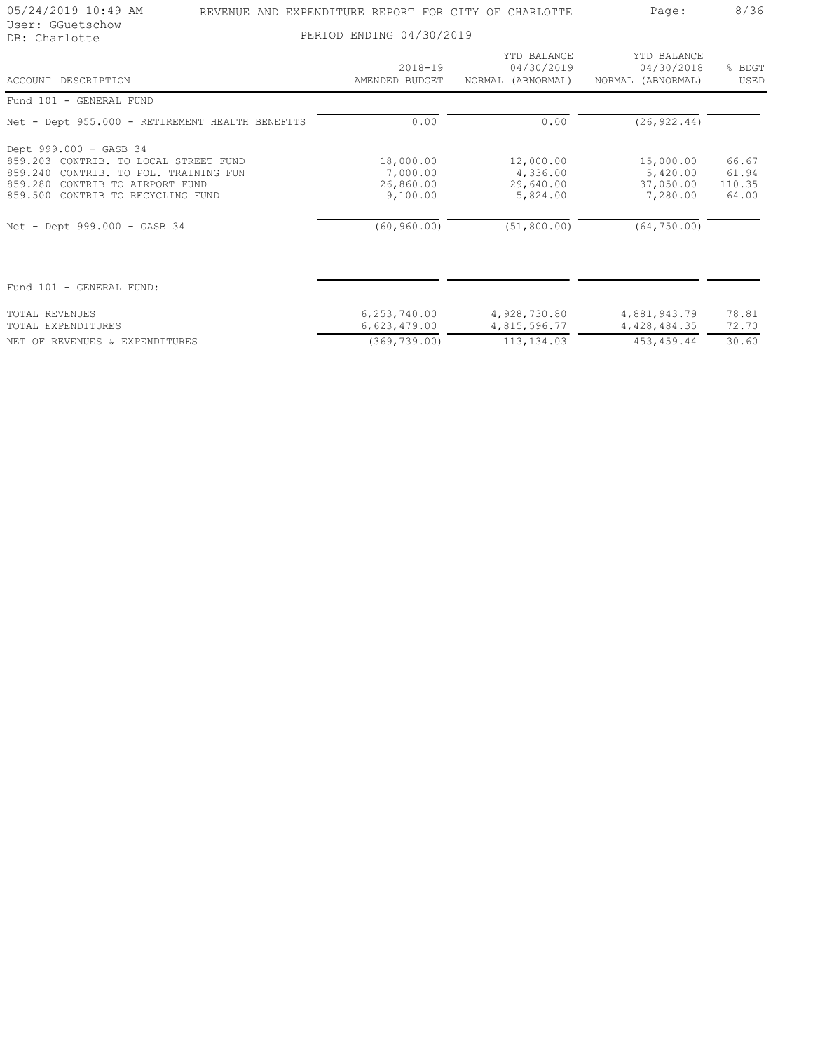## 05/24/2019 10:49 AM REVENUE AND EXPENDITURE REPORT FOR CITY OF CHARLOTTE Page: 8/36

|                                                                             | $2018 - 19$           | YTD BALANCE<br>04/30/2019 | YTD BALANCE<br>04/30/2018 | % BDGT          |
|-----------------------------------------------------------------------------|-----------------------|---------------------------|---------------------------|-----------------|
| ACCOUNT DESCRIPTION                                                         | AMENDED BUDGET        | (ABNORMAL)<br>NORMAL      | (ABNORMAL)<br>NORMAL      | USED            |
| Fund 101 - GENERAL FUND                                                     |                       |                           |                           |                 |
| Net - Dept 955.000 - RETIREMENT HEALTH BENEFITS                             | 0.00                  | 0.00                      | (26, 922.44)              |                 |
| Dept 999.000 - GASB 34                                                      |                       |                           |                           |                 |
| 859.203 CONTRIB. TO LOCAL STREET FUND                                       | 18,000.00             | 12,000.00                 | 15,000.00                 | 66.67           |
| 859.240 CONTRIB. TO POL. TRAINING FUN<br>859.280<br>CONTRIB TO AIRPORT FUND | 7,000.00<br>26,860.00 | 4,336.00                  | 5,420.00                  | 61.94<br>110.35 |
| 859.500<br>CONTRIB TO RECYCLING FUND                                        | 9,100.00              | 29,640.00<br>5,824.00     | 37,050.00<br>7,280.00     | 64.00           |
|                                                                             |                       |                           |                           |                 |
| Net - Dept 999.000 - GASB 34                                                | (60, 960.00)          | (51, 800, 00)             | (64, 750.00)              |                 |
|                                                                             |                       |                           |                           |                 |
| Fund 101 - GENERAL FUND:                                                    |                       |                           |                           |                 |
| TOTAL REVENUES                                                              | 6,253,740.00          | 4,928,730.80              | 4,881,943.79              | 78.81           |
| TOTAL EXPENDITURES                                                          | 6,623,479.00          | 4,815,596.77              | 4,428,484.35              | 72.70           |
| NET OF REVENUES & EXPENDITURES                                              | (369, 739.00)         | 113, 134.03               | 453, 459. 44              | 30.60           |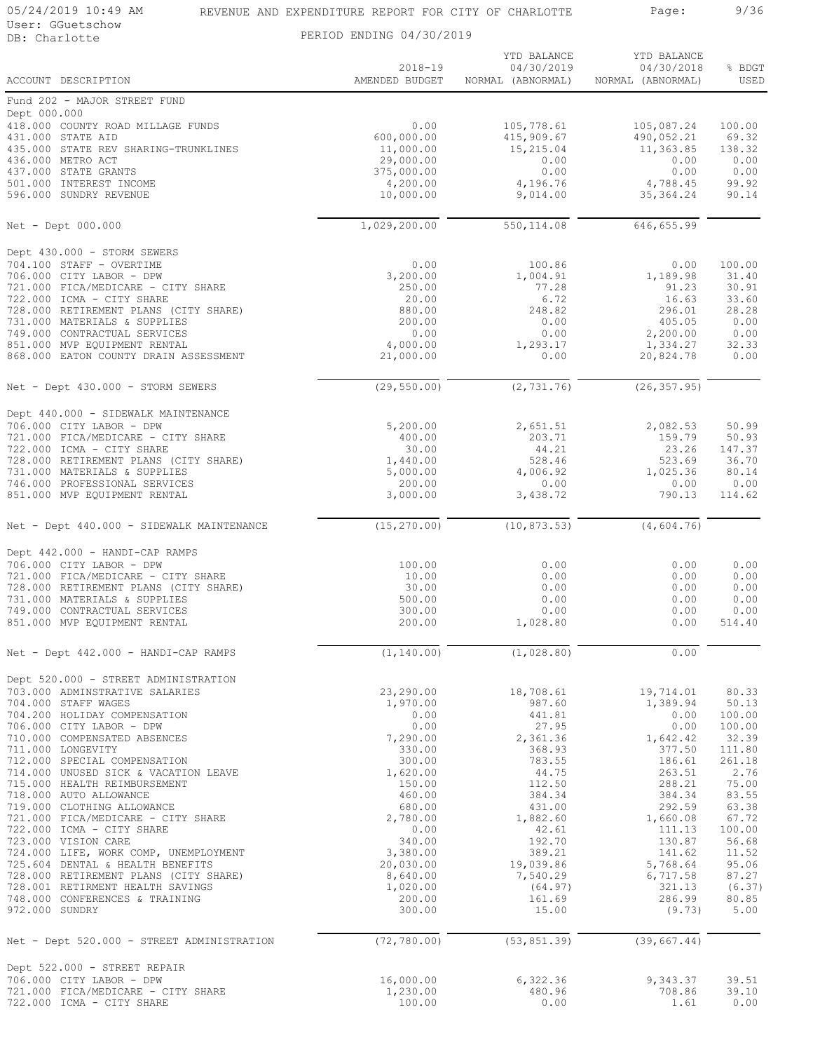### 05/24/2019 10:49 AM REVENUE AND EXPENDITURE REPORT FOR CITY OF CHARLOTTE Page: 9/36

| ACCOUNT DESCRIPTION                                                                                                                                                                                                                                                                                                                                                                                                                                                                                                                                                                                                                                                                    | 2018-19<br>AMENDED BUDGET                                                                                                                                                                                          | YTD BALANCE<br>04/30/2019<br>NORMAL (ABNORMAL)                                                                                                                                                                | YTD BALANCE<br>04/30/2018<br>NORMAL (ABNORMAL)                                                                                                                                                                | % BDGT<br>USED                                                                                                                                                                       |
|----------------------------------------------------------------------------------------------------------------------------------------------------------------------------------------------------------------------------------------------------------------------------------------------------------------------------------------------------------------------------------------------------------------------------------------------------------------------------------------------------------------------------------------------------------------------------------------------------------------------------------------------------------------------------------------|--------------------------------------------------------------------------------------------------------------------------------------------------------------------------------------------------------------------|---------------------------------------------------------------------------------------------------------------------------------------------------------------------------------------------------------------|---------------------------------------------------------------------------------------------------------------------------------------------------------------------------------------------------------------|--------------------------------------------------------------------------------------------------------------------------------------------------------------------------------------|
| Fund 202 - MAJOR STREET FUND                                                                                                                                                                                                                                                                                                                                                                                                                                                                                                                                                                                                                                                           |                                                                                                                                                                                                                    |                                                                                                                                                                                                               |                                                                                                                                                                                                               |                                                                                                                                                                                      |
| Dept 000.000<br>418.000 COUNTY ROAD MILLAGE FUNDS<br>431.000 STATE AID<br>435.000 STATE REV SHARING-TRUNKLINES<br>436.000 METRO ACT<br>437.000 STATE GRANTS<br>501.000 INTEREST INCOME                                                                                                                                                                                                                                                                                                                                                                                                                                                                                                 | 0.00<br>600,000.00<br>11,000.00<br>29,000.00<br>375,000.00<br>4,200.00                                                                                                                                             | 105,778.61<br>415,909.67<br>15,215.04<br>0.00<br>0.00<br>4,196.76                                                                                                                                             | 105,087.24<br>490,052.21<br>11,363.85<br>0.00<br>0.00<br>4,788.45<br>35,364.24                                                                                                                                | 100.00<br>69.32<br>138.32<br>0.00<br>0.00<br>99.92                                                                                                                                   |
| 596.000 SUNDRY REVENUE                                                                                                                                                                                                                                                                                                                                                                                                                                                                                                                                                                                                                                                                 | 10,000.00                                                                                                                                                                                                          | 9,014.00                                                                                                                                                                                                      |                                                                                                                                                                                                               | 90.14                                                                                                                                                                                |
| Net - Dept 000.000                                                                                                                                                                                                                                                                                                                                                                                                                                                                                                                                                                                                                                                                     | 1,029,200.00                                                                                                                                                                                                       | 550, 114.08                                                                                                                                                                                                   | 646, 655.99                                                                                                                                                                                                   |                                                                                                                                                                                      |
| Dept 430.000 - STORM SEWERS<br>704.100 STAFF - OVERTIME<br>704.100 STAFF - OVERTIME<br>706.000 CITY LABOR - DPW<br>721.000 FICA/MEDICARE - CITY SHARE<br>722.000 ICMA - CITY SHARE<br>728.000 RETIREMENT PLANS (CITY SHARE)<br>731.000 MATERIALS & SUPPLIES<br>749.000 CONTRACTUAL SERVICES<br>851.000 MVP EQUIPMENT RENTAL<br>868.000 EATON COUNTY DRAIN ASSESSMENT                                                                                                                                                                                                                                                                                                                   | 0.00<br>3,200.00<br>250.00<br>20.00<br>880.00<br>200.00<br>0.00<br>4,000.00<br>21,000.00                                                                                                                           | 100.86<br>1,004.91<br>77.28<br>6.72<br>248.82<br>0.00<br>0.00<br>1,293.17<br>0.00                                                                                                                             | 0.00<br>1,189.98 31.40<br>91.23<br>16.63<br>296.01<br>405.05 0.00<br>2,200.00<br>1,334.27<br>20,824.78 0.00                                                                                                   | 100.00<br>30.91<br>33.60<br>28.28<br>0.00<br>32.33                                                                                                                                   |
| Net - Dept 430.000 - STORM SEWERS                                                                                                                                                                                                                                                                                                                                                                                                                                                                                                                                                                                                                                                      | (29, 550.00)                                                                                                                                                                                                       | (2, 731.76)                                                                                                                                                                                                   | (26, 357.95)                                                                                                                                                                                                  |                                                                                                                                                                                      |
| Dept 440.000 - SIDEWALK MAINTENANCE<br>706.000 CITY LABOR - DPW<br>721.000 FICA/MEDICARE - CITY SHARE<br>722.000 FICA/MEDICARE - CITY SHARE<br>722.000 ICMA - CITY SHARE<br>728.000 RETIREMENT PLANS (CITY SHARE)<br>731.000 MATERIALS & SUPPLIES<br>746.000 PROFESSIONAL SERVICES<br>851.000 MVP EQUIPMENT RENTAL                                                                                                                                                                                                                                                                                                                                                                     | 5,200.00<br>400.00<br>30.00<br>1,440.00<br>5,000.00<br>200.00<br>3,000.00                                                                                                                                          | 2,651.51<br>203.71<br>44.21<br>528.46<br>4,006.92<br>0.00<br>3,438.72                                                                                                                                         | 2,082.53 50.99<br>159.79<br>23.26<br>523.69<br>1,025.36<br>0.00<br>790.13                                                                                                                                     | 50.93<br>147.37<br>36.70<br>80.14<br>0.00<br>114.62                                                                                                                                  |
| Net - Dept 440.000 - SIDEWALK MAINTENANCE                                                                                                                                                                                                                                                                                                                                                                                                                                                                                                                                                                                                                                              | (15, 270.00)                                                                                                                                                                                                       | (10, 873.53)                                                                                                                                                                                                  | (4, 604.76)                                                                                                                                                                                                   |                                                                                                                                                                                      |
| Dept 442.000 - HANDI-CAP RAMPS<br>706.000 CITY LABOR - DPW<br>721.000 FICA/MEDICARE - CITY SHARE<br>728.000 RETIREMENT PLANS (CITY SHARE)<br>731.000 MATERIALS & SUPPLIES<br>749.000 CONTRACTUAL SERVICES<br>851.000 MVP EQUIPMENT RENTAL                                                                                                                                                                                                                                                                                                                                                                                                                                              | 100.00<br>10.00<br>30.00<br>500.00<br>300.00<br>200.00                                                                                                                                                             | 0.00<br>0.00<br>0.00<br>0.00<br>0.00<br>1,028.80                                                                                                                                                              | 0.00<br>0.00<br>0.00<br>0.00<br>0.00<br>0.00                                                                                                                                                                  | 0.00<br>0.00<br>0.00<br>0.00<br>0.00<br>514.40                                                                                                                                       |
| Net - Dept 442.000 - HANDI-CAP RAMPS                                                                                                                                                                                                                                                                                                                                                                                                                                                                                                                                                                                                                                                   | (1, 140.00)                                                                                                                                                                                                        | (1,028.80)                                                                                                                                                                                                    | 0.00                                                                                                                                                                                                          |                                                                                                                                                                                      |
| Dept 520.000 - STREET ADMINISTRATION<br>703.000 ADMINSTRATIVE SALARIES<br>704.000 STAFF WAGES<br>704.200 HOLIDAY COMPENSATION<br>706.000 CITY LABOR - DPW<br>710.000 COMPENSATED ABSENCES<br>711.000 LONGEVITY<br>712.000 SPECIAL COMPENSATION<br>714.000 UNUSED SICK & VACATION LEAVE<br>715.000 HEALTH REIMBURSEMENT<br>718.000 AUTO ALLOWANCE<br>719.000 CLOTHING ALLOWANCE<br>721.000 FICA/MEDICARE - CITY SHARE<br>722.000 ICMA - CITY SHARE<br>723.000 VISION CARE<br>724.000 LIFE, WORK COMP, UNEMPLOYMENT<br>725.604 DENTAL & HEALTH BENEFITS<br>728.000 RETIREMENT PLANS (CITY SHARE)<br>728.001 RETIRMENT HEALTH SAVINGS<br>748.000 CONFERENCES & TRAINING<br>972.000 SUNDRY | 23,290.00<br>1,970.00<br>0.00<br>0.00<br>7,290.00<br>330.00<br>300.00<br>1,620.00<br>150.00<br>460.00<br>680.00<br>2,780.00<br>0.00<br>340.00<br>3,380.00<br>20,030.00<br>8,640.00<br>1,020.00<br>200.00<br>300.00 | 18,708.61<br>987.60<br>441.81<br>27.95<br>2,361.36<br>368.93<br>783.55<br>44.75<br>112.50<br>384.34<br>431.00<br>1,882.60<br>42.61<br>192.70<br>389.21<br>19,039.86<br>7,540.29<br>(64.97)<br>161.69<br>15.00 | 19,714.01<br>1,389.94<br>0.00<br>0.00<br>1,642.42<br>377.50<br>186.61<br>263.51<br>288.21<br>384.34<br>292.59<br>1,660.08<br>111.13<br>130.87<br>141.62<br>5,768.64<br>6,717.58<br>321.13<br>286.99<br>(9.73) | 80.33<br>50.13<br>100.00<br>100.00<br>32.39<br>111.80<br>261.18<br>2.76<br>75.00<br>83.55<br>63.38<br>67.72<br>100.00<br>56.68<br>11.52<br>95.06<br>87.27<br>(6.37)<br>80.85<br>5.00 |
| Net - Dept 520.000 - STREET ADMINISTRATION                                                                                                                                                                                                                                                                                                                                                                                                                                                                                                                                                                                                                                             | (72, 780.00)                                                                                                                                                                                                       | (53, 851.39)                                                                                                                                                                                                  | (39, 667.44)                                                                                                                                                                                                  |                                                                                                                                                                                      |
| Dept 522.000 - STREET REPAIR<br>706.000 CITY LABOR - DPW<br>721.000 FICA/MEDICARE - CITY SHARE<br>722.000 ICMA - CITY SHARE                                                                                                                                                                                                                                                                                                                                                                                                                                                                                                                                                            | 16,000.00<br>1,230.00<br>100.00                                                                                                                                                                                    | 6,322.36<br>480.96<br>0.00                                                                                                                                                                                    | 9,343.37<br>708.86<br>1.61                                                                                                                                                                                    | 39.51<br>39.10<br>0.00                                                                                                                                                               |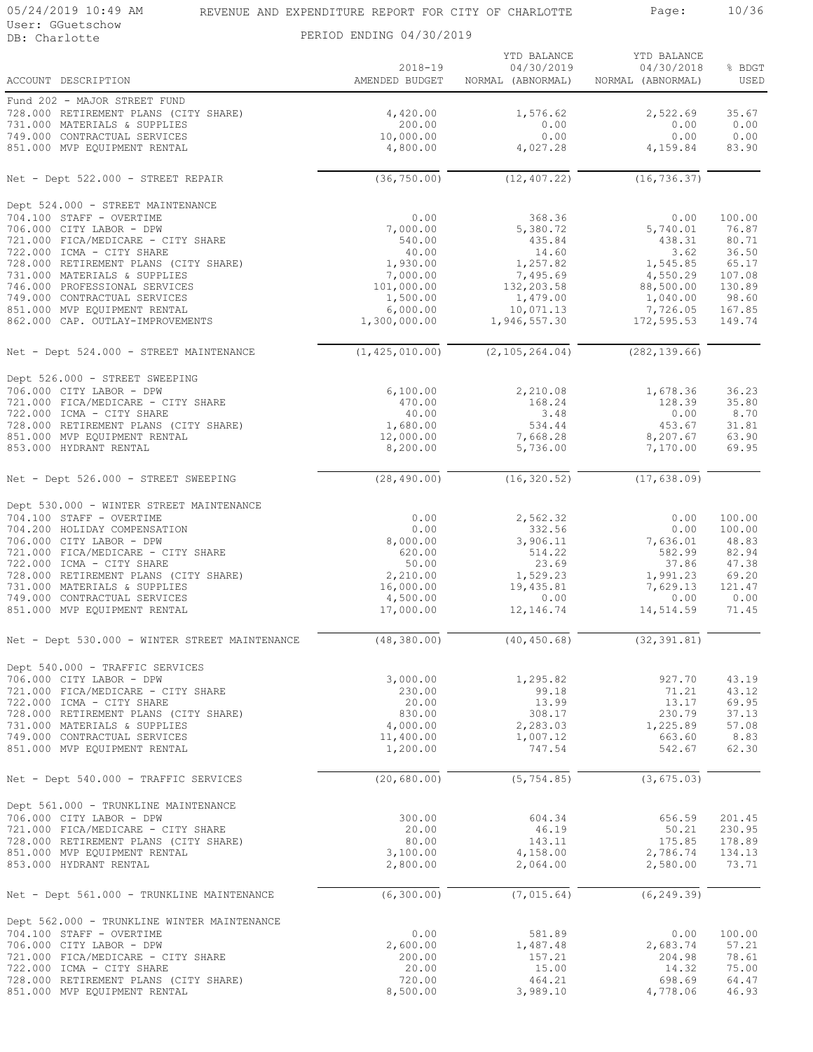### 05/24/2019 10:49 AM REVENUE AND EXPENDITURE REPORT FOR CITY OF CHARLOTTE Page: 10/36

| OPET ' GAMELPCHOM<br>DB: Charlotte                                          | PERIOD ENDING 04/30/2019      |                                                |                                                |                  |
|-----------------------------------------------------------------------------|-------------------------------|------------------------------------------------|------------------------------------------------|------------------|
| ACCOUNT DESCRIPTION                                                         | $2018 - 19$<br>AMENDED BUDGET | YTD BALANCE<br>04/30/2019<br>NORMAL (ABNORMAL) | YTD BALANCE<br>04/30/2018<br>NORMAL (ABNORMAL) | % BDGT<br>USED   |
| Fund 202 - MAJOR STREET FUND                                                |                               |                                                |                                                |                  |
| 728.000 RETIREMENT PLANS (CITY SHARE)                                       | 4,420.00                      | 1,576.62                                       | 2,522.69                                       | 35.67            |
| 731.000 MATERIALS & SUPPLIES                                                | 200.00                        | 0.00                                           | 0.00                                           | 0.00             |
| 749.000 CONTRACTUAL SERVICES<br>851.000 MVP EQUIPMENT RENTAL                | 10,000.00<br>4,800.00         | 0.00<br>4,027.28                               | 0.00<br>4,159.84                               | 0.00<br>83.90    |
|                                                                             |                               |                                                |                                                |                  |
| Net - Dept 522.000 - STREET REPAIR                                          | (36, 750.00)                  | (12, 407.22)                                   | (16, 736.37)                                   |                  |
| Dept 524.000 - STREET MAINTENANCE                                           |                               |                                                |                                                |                  |
| 704.100 STAFF - OVERTIME                                                    | 0.00                          | 368.36                                         | 0.00                                           | 100.00           |
| 706.000 CITY LABOR - DPW                                                    | 7,000.00                      | 5,380.72                                       | 5,740.01                                       | 76.87            |
| 721.000 FICA/MEDICARE - CITY SHARE<br>722.000 ICMA - CITY SHARE             | 540.00<br>40.00               | 435.84<br>14.60                                | 438.31<br>3.62                                 | 80.71<br>36.50   |
| 728.000 RETIREMENT PLANS (CITY SHARE)                                       | 1,930.00                      | 1,257.82                                       | 1,545.85                                       | 65.17            |
| 731.000 MATERIALS & SUPPLIES                                                | 7,000.00                      | 7,495.69                                       | 4,550.29                                       | 107.08           |
| 746.000 PROFESSIONAL SERVICES                                               | 101,000.00                    | 132,203.58                                     | 88,500.00                                      | 130.89           |
| 749.000 CONTRACTUAL SERVICES<br>851.000 MVP EQUIPMENT RENTAL                | 1,500.00<br>6,000.00          | 1,479.00<br>10,071.13                          | 1,040.00<br>7,726.05                           | 98.60<br>167.85  |
| 862.000 CAP. OUTLAY-IMPROVEMENTS                                            | 1,300,000.00                  | 1,946,557.30                                   | 172,595.53                                     | 149.74           |
| Net - Dept 524.000 - STREET MAINTENANCE                                     | (1, 425, 010.00)              | (2, 105, 264.04)                               | (282, 139.66)                                  |                  |
| Dept 526.000 - STREET SWEEPING                                              |                               |                                                |                                                |                  |
| 706.000 CITY LABOR - DPW                                                    | 6,100.00                      | 2,210.08                                       | 1,678.36                                       | 36.23            |
| 721.000 FICA/MEDICARE - CITY SHARE                                          | 470.00                        | 168.24                                         | 128.39                                         | 35.80            |
| 722.000 ICMA - CITY SHARE<br>728.000 RETIREMENT PLANS (CITY SHARE)          | 40.00                         | 3.48<br>534.44                                 | 0.00<br>453.67                                 | 8.70<br>31.81    |
| 851.000 MVP EQUIPMENT RENTAL                                                | 1,680.00<br>12,000.00         | 7,668.28                                       | 8,207.67                                       | 63.90            |
| 853.000 HYDRANT RENTAL                                                      | 8,200.00                      | 5,736.00                                       | 7,170.00                                       | 69.95            |
| Net - Dept 526.000 - STREET SWEEPING                                        | (28, 490.00)                  | (16, 320.52)                                   | (17, 638.09)                                   |                  |
| Dept 530.000 - WINTER STREET MAINTENANCE                                    |                               |                                                |                                                |                  |
| 704.100 STAFF - OVERTIME                                                    | 0.00                          | 2,562.32                                       | 0.00                                           | 100.00           |
| 704.200 HOLIDAY COMPENSATION                                                | 0.00                          | 332.56                                         | 0.00                                           | 100.00           |
| 706.000 CITY LABOR - DPW<br>721.000 FICA/MEDICARE - CITY SHARE              | 8,000.00<br>620.00            | 3,906.11<br>514.22                             | 7,636.01<br>582.99                             | 48.83<br>82.94   |
| 722.000 ICMA - CITY SHARE                                                   | 50.00                         | 23.69                                          | 37.86                                          | 47.38            |
| 728.000 RETIREMENT PLANS (CITY SHARE)                                       | 2,210.00                      | 1,529.23                                       | 1,991.23                                       | 69.20            |
| 731.000 MATERIALS & SUPPLIES<br>749.000 CONTRACTUAL SERVICES                | 16,000.00<br>4,500.00         | 19,435.81<br>0.00                              | 7,629.13<br>0.00                               | 121.47<br>0.00   |
| 851.000 MVP EQUIPMENT RENTAL                                                | 17,000.00                     | 12, 146.74                                     | 14,514.59                                      | 71.45            |
| Net - Dept 530.000 - WINTER STREET MAINTENANCE                              | (48, 380.00)                  | (40, 450.68)                                   | (32, 391.81)                                   |                  |
| Dept 540.000 - TRAFFIC SERVICES                                             |                               |                                                |                                                |                  |
| 706.000 CITY LABOR - DPW                                                    | 3,000.00                      | 1,295.82                                       | 927.70                                         | 43.19            |
| 721.000 FICA/MEDICARE - CITY SHARE                                          | 230.00                        | 99.18                                          | 71.21                                          | 43.12            |
| 722.000 ICMA - CITY SHARE<br>728.000 RETIREMENT PLANS (CITY SHARE)          | 20.00<br>830.00               | 13.99<br>308.17                                | 13.17<br>230.79                                | 69.95<br>37.13   |
| 731.000 MATERIALS & SUPPLIES                                                | 4,000.00                      | 2,283.03                                       | 1,225.89                                       | 57.08            |
| 749.000 CONTRACTUAL SERVICES                                                | 11,400.00                     | 1,007.12                                       | 663.60 8.83                                    |                  |
| 851.000 MVP EQUIPMENT RENTAL                                                | 1,200.00                      | 747.54                                         | 542.67                                         | 62.30            |
| Net - Dept 540.000 - TRAFFIC SERVICES                                       | (20, 680.00)                  | (5, 754.85)                                    | (3, 675.03)                                    |                  |
| Dept 561.000 - TRUNKLINE MAINTENANCE                                        |                               |                                                |                                                |                  |
| 706.000 CITY LABOR - DPW                                                    | 300.00                        | 604.34                                         | 656.59                                         | 201.45           |
| 721.000 FICA/MEDICARE - CITY SHARE<br>728.000 RETIREMENT PLANS (CITY SHARE) | 20.00<br>80.00                | 46.19<br>143.11                                | 50.21<br>175.85                                | 230.95<br>178.89 |
| 851.000 MVP EQUIPMENT RENTAL                                                | 3,100.00                      | 4,158.00                                       | 2,786.74                                       | 134.13           |
| 853.000 HYDRANT RENTAL                                                      | 2,800.00                      | 2,064.00                                       | 2,580.00                                       | 73.71            |
| Net - Dept 561.000 - TRUNKLINE MAINTENANCE                                  | (6, 300.00)                   | (7, 015.64)                                    | (6, 249.39)                                    |                  |
| Dept 562.000 - TRUNKLINE WINTER MAINTENANCE                                 |                               |                                                |                                                |                  |
| 704.100 STAFF - OVERTIME                                                    | 0.00                          | 581.89                                         | 0.00                                           | 100.00           |
| 706.000 CITY LABOR - DPW                                                    | 2,600.00                      | 1,487.48                                       | 2,683.74                                       | 57.21            |
| 721.000 FICA/MEDICARE - CITY SHARE<br>722.000 ICMA - CITY SHARE             | 200.00<br>20.00               | 157.21<br>15.00                                | 204.98<br>14.32                                | 78.61<br>75.00   |
| 728.000 RETIREMENT PLANS (CITY SHARE)                                       | 720.00                        | 464.21                                         | 698.69                                         | 64.47            |
| 851.000 MVP EQUIPMENT RENTAL                                                | 8,500.00                      | 3,989.10                                       | 4,778.06                                       | 46.93            |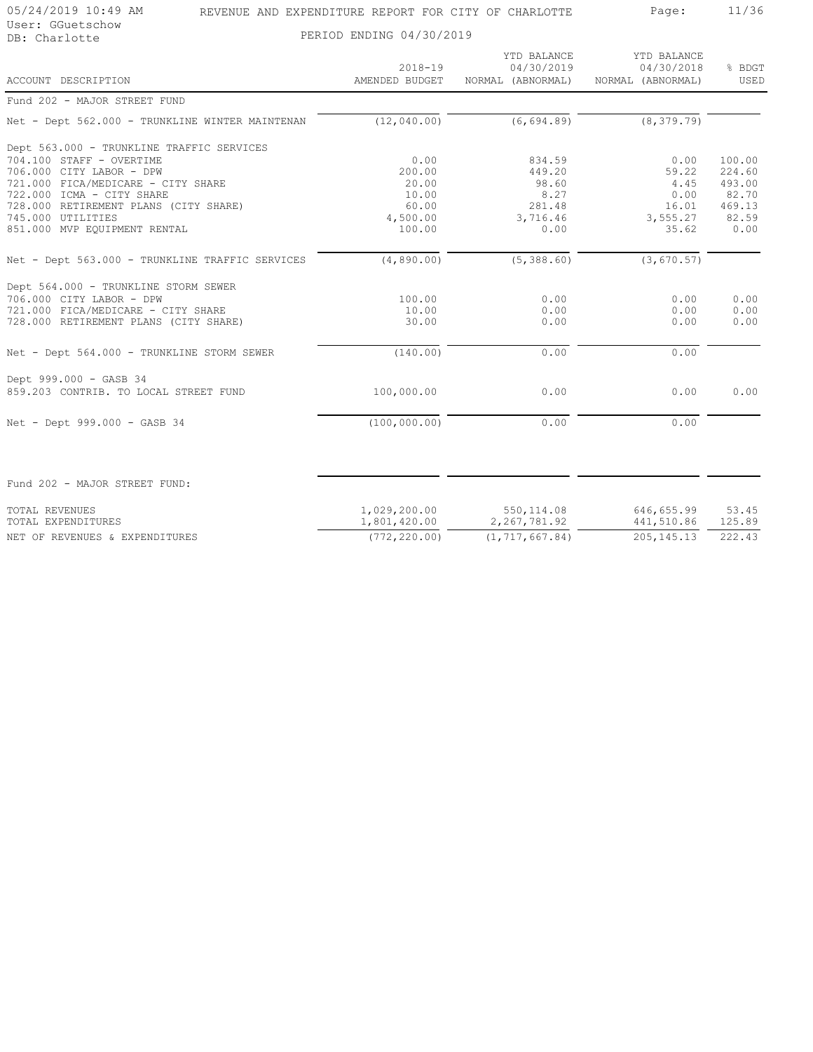## 05/24/2019 10:49 AM REVENUE AND EXPENDITURE REPORT FOR CITY OF CHARLOTTE Page: 11/36

|                                                                | $2018 - 19$     | YTD BALANCE<br>04/30/2019 | YTD BALANCE<br>04/30/2018 | % BDGT           |
|----------------------------------------------------------------|-----------------|---------------------------|---------------------------|------------------|
| ACCOUNT DESCRIPTION                                            | AMENDED BUDGET  | NORMAL (ABNORMAL)         | NORMAL (ABNORMAL)         | <b>USED</b>      |
| Fund 202 - MAJOR STREET FUND                                   |                 |                           |                           |                  |
| Net - Dept 562.000 - TRUNKLINE WINTER MAINTENAN                | (12, 040, 00)   | (6, 694.89)               | (8, 379, 79)              |                  |
| Dept 563.000 - TRUNKLINE TRAFFIC SERVICES                      |                 |                           |                           |                  |
| 704.100 STAFF - OVERTIME                                       | 0.00            | 834.59                    | 0.00                      | 100.00           |
| 706.000 CITY LABOR - DPW<br>721.000 FICA/MEDICARE - CITY SHARE | 200.00<br>20.00 | 449.20<br>98.60           | 59.22<br>4.45             | 224.60<br>493.00 |
| 722.000 ICMA - CITY SHARE                                      | 10.00           | 8.27                      | 0.00                      | 82.70            |
| 728.000 RETIREMENT PLANS (CITY SHARE)                          | 60.00           | 281.48                    | 16.01                     | 469.13           |
| 745.000 UTILITIES                                              | 4,500.00        | 3,716.46                  | 3,555.27                  | 82.59            |
| 851.000 MVP EQUIPMENT RENTAL                                   | 100.00          | 0.00                      | 35.62                     | 0.00             |
| Net - Dept 563.000 - TRUNKLINE TRAFFIC SERVICES                | (4, 890, 00)    | (5, 388, 60)              | (3, 670.57)               |                  |
| Dept 564.000 - TRUNKLINE STORM SEWER                           |                 |                           |                           |                  |
| 706.000 CITY LABOR - DPW                                       | 100.00          | 0.00                      | 0.00                      | 0.00             |
| 721.000 FICA/MEDICARE - CITY SHARE                             | 10.00           | 0.00                      | 0.00                      | 0.00             |
| 728.000 RETIREMENT PLANS (CITY SHARE)                          | 30.00           | 0.00                      | 0.00                      | 0.00             |
| Net - Dept 564.000 - TRUNKLINE STORM SEWER                     | (140.00)        | 0.00                      | 0.00                      |                  |
| Dept 999.000 - GASB 34                                         |                 |                           |                           |                  |
| 859.203 CONTRIB. TO LOCAL STREET FUND                          | 100,000.00      | 0.00                      | 0.00                      | 0.00             |
| Net - Dept 999.000 - GASB 34                                   | (100, 000.00)   | 0.00                      | 0.00                      |                  |
|                                                                |                 |                           |                           |                  |
| Fund 202 - MAJOR STREET FUND:                                  |                 |                           |                           |                  |
| TOTAL REVENUES                                                 | 1,029,200.00    | 550, 114.08               | 646,655.99                | 53.45            |
| TOTAL EXPENDITURES                                             | 1,801,420.00    | 2, 267, 781.92            | 441,510.86                | 125.89           |
| NET OF REVENUES & EXPENDITURES                                 | (772, 220.00)   | (1, 717, 667.84)          | 205, 145. 13              | 222.43           |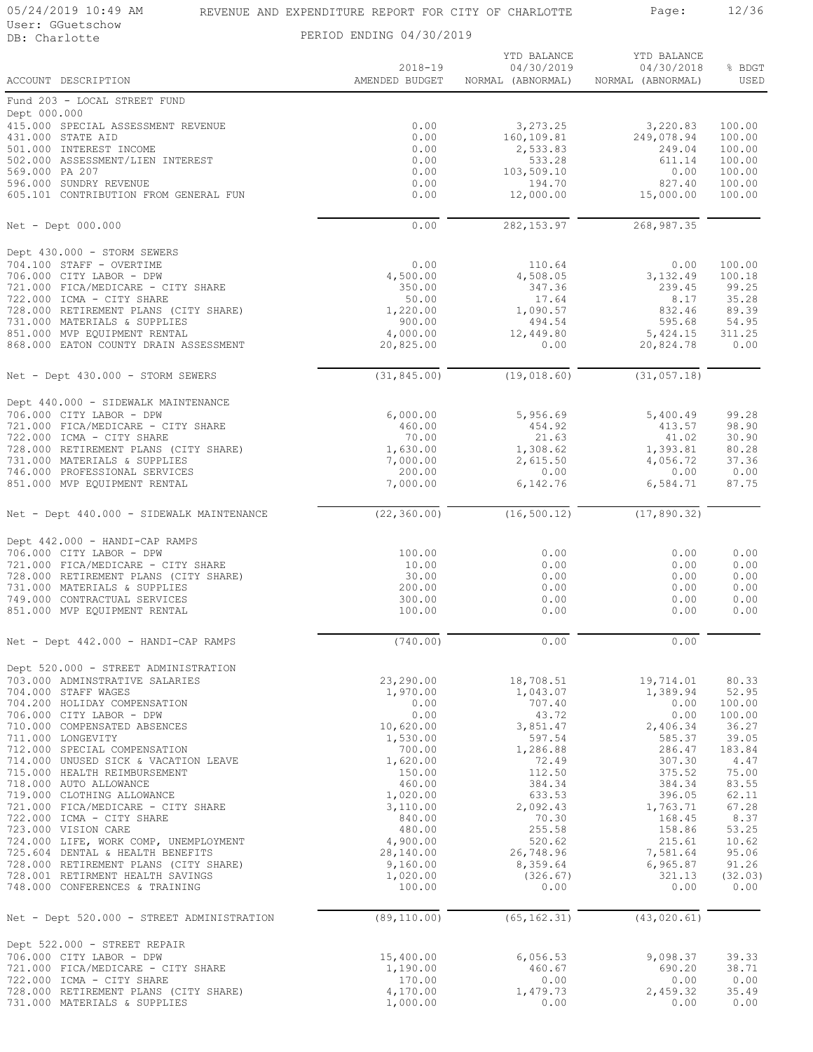# User: GGuetschow DB: Charlotte PERIOD ENDING 04/30/2019

### 05/24/2019 10:49 AM REVENUE AND EXPENDITURE REPORT FOR CITY OF CHARLOTTE Page: 12/36

|                                                                           |                               | YTD BALANCE                     | YTD BALANCE                     |                  |
|---------------------------------------------------------------------------|-------------------------------|---------------------------------|---------------------------------|------------------|
| ACCOUNT DESCRIPTION                                                       | $2018 - 19$<br>AMENDED BUDGET | 04/30/2019<br>NORMAL (ABNORMAL) | 04/30/2018<br>NORMAL (ABNORMAL) | % BDGT<br>USED   |
|                                                                           |                               |                                 |                                 |                  |
| Fund 203 - LOCAL STREET FUND                                              |                               |                                 |                                 |                  |
| Dept 000.000<br>415.000 SPECIAL ASSESSMENT REVENUE                        | 0.00                          | 3,273.25                        | 3,220.83                        | 100.00           |
| 431.000 STATE AID                                                         | 0.00                          | 160,109.81                      | 249,078.94                      | 100.00           |
| 501.000 INTEREST INCOME                                                   | 0.00                          | 2,533.83                        | 249.04                          | 100.00           |
| 502.000 ASSESSMENT/LIEN INTEREST                                          | 0.00                          | 533.28                          | 611.14                          | 100.00           |
| 569.000 PA 207<br>596.000 SUNDRY REVENUE                                  | 0.00<br>0.00                  | 103,509.10<br>194.70            | 0.00<br>827.40                  | 100.00<br>100.00 |
| 605.101 CONTRIBUTION FROM GENERAL FUN                                     | 0.00                          | 12,000.00                       | 15,000.00                       | 100.00           |
|                                                                           |                               |                                 |                                 |                  |
| Net - Dept 000.000                                                        | 0.00                          | 282, 153.97                     | 268,987.35                      |                  |
|                                                                           |                               |                                 |                                 |                  |
| Dept 430.000 - STORM SEWERS                                               |                               |                                 |                                 |                  |
| 704.100 STAFF - OVERTIME                                                  | 0.00                          | 110.64                          | 0.00                            | 100.00           |
| 706.000 CITY LABOR - DPW<br>721.000 FICA/MEDICARE - CITY SHARE            | 4,500.00<br>350.00            | 4,508.05<br>347.36              | 3,132.49<br>239.45              | 100.18<br>99.25  |
| 722.000 ICMA - CITY SHARE                                                 | 50.00                         | 17.64                           | 8.17                            | 35.28            |
| 728.000 RETIREMENT PLANS (CITY SHARE)                                     | 1,220.00                      | 1,090.57                        | 832.46                          | 89.39            |
| 731.000 MATERIALS & SUPPLIES                                              | 900.00                        | 494.54                          | 595.68                          | 54.95            |
| 851.000 MVP EQUIPMENT RENTAL<br>868.000 EATON COUNTY DRAIN ASSESSMENT     | 4,000.00<br>20,825.00         | 12,449.80<br>0.00               | 5,424.15<br>20,824.78           | 311.25<br>0.00   |
|                                                                           |                               |                                 |                                 |                  |
| Net - Dept 430.000 - STORM SEWERS                                         | (31, 845.00)                  | (19, 018.60)                    | (31, 057, 18)                   |                  |
|                                                                           |                               |                                 |                                 |                  |
| Dept 440.000 - SIDEWALK MAINTENANCE                                       |                               |                                 |                                 |                  |
| 706.000 CITY LABOR - DPW                                                  | 6,000.00                      | 5,956.69                        | 5,400.49                        | 99.28            |
| 721.000 FICA/MEDICARE - CITY SHARE                                        | 460.00                        | 454.92                          | 413.57                          | 98.90            |
| 722.000 ICMA - CITY SHARE<br>728.000 RETIREMENT PLANS (CITY SHARE)        | 70.00<br>1,630.00             | 21.63<br>1,308.62               | 41.02<br>1,393.81               | 30.90<br>80.28   |
| 731.000 MATERIALS & SUPPLIES                                              | 7,000.00                      | 2,615.50                        | 4,056.72                        | 37.36            |
| 746.000 PROFESSIONAL SERVICES                                             | 200.00                        | 0.00                            | 0.00                            | 0.00             |
| 851.000 MVP EQUIPMENT RENTAL                                              | 7,000.00                      | 6,142.76                        | 6,584.71                        | 87.75            |
|                                                                           |                               |                                 |                                 |                  |
| Net - Dept 440.000 - SIDEWALK MAINTENANCE                                 | (22, 360.00)                  | (16, 500.12)                    | (17, 890.32)                    |                  |
|                                                                           |                               |                                 |                                 |                  |
| Dept 442.000 - HANDI-CAP RAMPS<br>706.000 CITY LABOR - DPW                | 100.00                        | 0.00                            | 0.00                            | 0.00             |
| 721.000 FICA/MEDICARE - CITY SHARE                                        | 10.00                         | 0.00                            | 0.00                            | 0.00             |
| 728.000 RETIREMENT PLANS (CITY SHARE)                                     | 30.00                         | 0.00                            | 0.00                            | 0.00             |
| 731.000 MATERIALS & SUPPLIES                                              | 200.00                        | 0.00                            | 0.00                            | 0.00             |
| 749.000 CONTRACTUAL SERVICES<br>851.000 MVP EQUIPMENT RENTAL              | 300.00<br>100.00              | 0.00<br>0.00                    | 0.00<br>0.00                    | 0.00<br>0.00     |
|                                                                           |                               |                                 |                                 |                  |
| Net - Dept 442.000 - HANDI-CAP RAMPS                                      | (740.00)                      | 0.00                            | 0.00                            |                  |
|                                                                           |                               |                                 |                                 |                  |
| Dept 520.000 - STREET ADMINISTRATION                                      |                               |                                 |                                 |                  |
| 703.000 ADMINSTRATIVE SALARIES                                            | 23,290.00                     | 18,708.51                       | 19,714.01                       | 80.33            |
| 704.000 STAFF WAGES                                                       | 1,970.00                      | 1,043.07                        | 1,389.94                        | 52.95            |
| 704.200 HOLIDAY COMPENSATION<br>706.000 CITY LABOR - DPW                  | 0.00<br>0.00                  | 707.40<br>43.72                 | 0.00<br>0.00                    | 100.00<br>100.00 |
| 710.000 COMPENSATED ABSENCES                                              | 10,620.00                     | 3,851.47                        | 2,406.34                        | 36.27            |
| 711.000 LONGEVITY                                                         | 1,530.00                      | 597.54                          | 585.37                          | 39.05            |
| 712.000 SPECIAL COMPENSATION<br>714.000 UNUSED SICK & VACATION LEAVE      | 700.00<br>1,620.00            | 1,286.88<br>72.49               | 286.47<br>307.30                | 183.84<br>4.47   |
| 715.000 HEALTH REIMBURSEMENT                                              | 150.00                        | 112.50                          | 375.52                          | 75.00            |
| 718.000 AUTO ALLOWANCE                                                    | 460.00                        | 384.34                          | 384.34                          | 83.55            |
| 719.000 CLOTHING ALLOWANCE                                                | 1,020.00                      | 633.53                          | 396.05                          | 62.11            |
| 721.000 FICA/MEDICARE - CITY SHARE<br>722.000 ICMA - CITY SHARE           | 3,110.00<br>840.00            | 2,092.43<br>70.30               | 1,763.71<br>168.45              | 67.28<br>8.37    |
| 723.000 VISION CARE                                                       | 480.00                        | 255.58                          | 158.86                          | 53.25            |
| 724.000 LIFE, WORK COMP, UNEMPLOYMENT                                     | 4,900.00                      | 520.62                          | 215.61                          | 10.62            |
| 725.604 DENTAL & HEALTH BENEFITS                                          | 28,140.00                     | 26,748.96                       | 7,581.64                        | 95.06            |
| 728.000 RETIREMENT PLANS (CITY SHARE)<br>728.001 RETIRMENT HEALTH SAVINGS | 9,160.00<br>1,020.00          | 8,359.64<br>(326.67)            | 6,965.87<br>321.13              | 91.26<br>(32.03) |
| 748.000 CONFERENCES & TRAINING                                            | 100.00                        | 0.00                            | 0.00                            | 0.00             |
|                                                                           |                               |                                 |                                 |                  |
| Net - Dept 520.000 - STREET ADMINISTRATION                                | (89, 110.00)                  | (65, 162.31)                    | (43, 020.61)                    |                  |
|                                                                           |                               |                                 |                                 |                  |
| Dept 522.000 - STREET REPAIR<br>706.000 CITY LABOR - DPW                  | 15,400.00                     | 6,056.53                        | 9,098.37                        | 39.33            |
| 721.000 FICA/MEDICARE - CITY SHARE                                        | 1,190.00                      | 460.67                          | 690.20                          | 38.71            |
| 722.000 ICMA - CITY SHARE                                                 | 170.00                        | 0.00                            | 0.00                            | 0.00             |
| 728.000 RETIREMENT PLANS (CITY SHARE)                                     | 4,170.00                      | 1,479.73                        | 2,459.32                        | 35.49            |

731.000 MATERIALS & SUPPLIES 1,000.00 0.00 0.00 0.00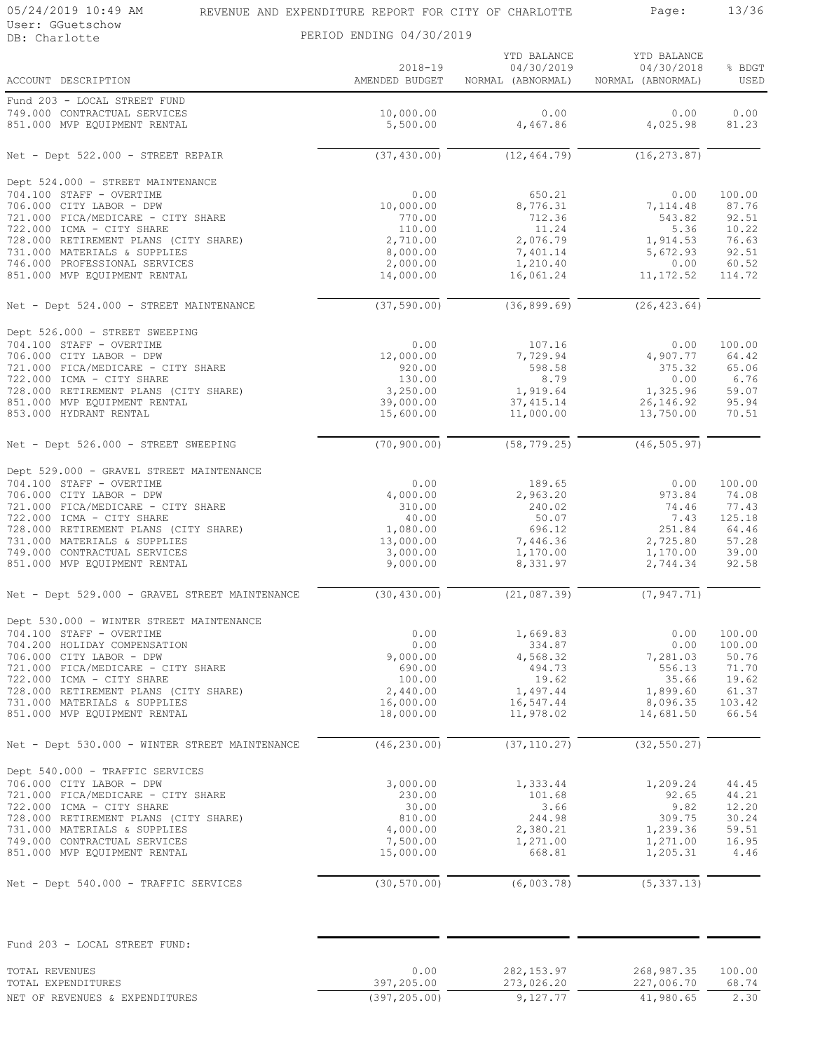# User: GGuetschow DB: Charlotte PERIOD ENDING 04/30/2019

#### 05/24/2019 10:49 AM REVENUE AND EXPENDITURE REPORT FOR CITY OF CHARLOTTE Page: 13/36

|                                                                       |                               | YTD BALANCE                     | YTD BALANCE                     |                      |
|-----------------------------------------------------------------------|-------------------------------|---------------------------------|---------------------------------|----------------------|
| ACCOUNT DESCRIPTION                                                   | $2018 - 19$<br>AMENDED BUDGET | 04/30/2019<br>NORMAL (ABNORMAL) | 04/30/2018<br>NORMAL (ABNORMAL) | % BDGT<br>USED       |
|                                                                       |                               |                                 |                                 |                      |
| Fund 203 - LOCAL STREET FUND<br>749.000 CONTRACTUAL SERVICES          | 10,000.00                     | 0.00                            | 0.00                            | 0.00                 |
| 851.000 MVP EQUIPMENT RENTAL                                          | 5,500.00                      | 4,467.86                        | 4,025.98                        | 81.23                |
|                                                                       |                               |                                 |                                 |                      |
| Net - Dept 522.000 - STREET REPAIR                                    | (37, 430.00)                  | (12, 464.79)                    | (16, 273.87)                    |                      |
|                                                                       |                               |                                 |                                 |                      |
| Dept 524.000 - STREET MAINTENANCE                                     |                               |                                 |                                 |                      |
| 704.100 STAFF - OVERTIME                                              | 0.00                          | 650.21                          | 0.00                            | 100.00               |
| 706.000 CITY LABOR - DPW<br>721.000 FICA/MEDICARE - CITY SHARE        | 10,000.00<br>770.00           | 8,776.31<br>712.36              | 7,114.48<br>543.82              | 87.76<br>92.51       |
| 722.000 ICMA - CITY SHARE                                             | 110.00                        | 11.24                           | 5.36                            | 10.22                |
| 728.000 RETIREMENT PLANS (CITY SHARE)                                 | 2,710.00                      | 2,076.79                        | 1,914.53 76.63                  |                      |
| 731.000 MATERIALS & SUPPLIES                                          | 8,000.00                      | 7,401.14                        | 5,672.93<br>0.00                | 92.51                |
| 746.000 PROFESSIONAL SERVICES<br>851.000 MVP EQUIPMENT RENTAL         | 2,000.00<br>14,000.00         | 1,210.40<br>16,061.24           | 11, 172.52                      | 60.52<br>114.72      |
|                                                                       |                               |                                 |                                 |                      |
| Net - Dept 524.000 - STREET MAINTENANCE                               | (37, 590.00)                  | (36, 899.69)                    | (26, 423.64)                    |                      |
|                                                                       |                               |                                 |                                 |                      |
| Dept 526.000 - STREET SWEEPING<br>704.100 STAFF - OVERTIME            |                               |                                 |                                 |                      |
| 706.000 CITY LABOR - DPW                                              | 0.00<br>12,000.00             | 107.16<br>7,729.94              | 0.00<br>4,907.77                | 100.00<br>64.42      |
| 721.000 FICA/MEDICARE - CITY SHARE                                    | 920.00                        | 598.58                          | 375.32                          | 65.06                |
| 722.000 ICMA - CITY SHARE                                             | 130.00                        | 8.79                            | 0.00                            | 6.76                 |
| 728.000 RETIREMENT PLANS (CITY SHARE)<br>851.000 MVP EQUIPMENT RENTAL | 3,250.00<br>39,000.00         | 1,919.64<br>37, 415.14          | 1,325.96                        | 59.07<br>95.94       |
| 853.000 HYDRANT RENTAL                                                | 15,600.00                     | 11,000.00                       | 26,146.92<br>13,750.00          | 70.51                |
|                                                                       |                               |                                 |                                 |                      |
| Net - Dept 526.000 - STREET SWEEPING                                  | (70, 900.00)                  | (58, 779.25)                    | (46, 505.97)                    |                      |
| Dept 529.000 - GRAVEL STREET MAINTENANCE                              |                               |                                 |                                 |                      |
| 704.100 STAFF - OVERTIME                                              | 0.00                          | 189.65                          | 0.00                            | 100.00               |
| 706.000 CITY LABOR - DPW                                              | 4,000.00                      | 2,963.20                        | 973.84                          | 74.08                |
| 721.000 FICA/MEDICARE - CITY SHARE                                    | 310.00                        | 240.02                          | 74.46                           | 77.43                |
| 722.000 ICMA - CITY SHARE<br>728.000 RETIREMENT PLANS (CITY SHARE)    | 40.00<br>1,080.00             | 50.07<br>696.12                 | 7.43<br>251.84                  | 125.18<br>64.46      |
| 731.000 MATERIALS & SUPPLIES                                          | 13,000.00                     | 7,446.36                        | 2,725.80                        | 57.28                |
| 749.000 CONTRACTUAL SERVICES                                          | 3,000.00                      | 1,170.00                        | 1,170.00                        | 39.00                |
| 851.000 MVP EQUIPMENT RENTAL                                          | 9,000.00                      | 8,331.97                        | 2,744.34                        | 92.58                |
| Net - Dept 529.000 - GRAVEL STREET MAINTENANCE                        | (30, 430.00)                  | (21, 087, 39)                   | (7, 947, 71)                    |                      |
|                                                                       |                               |                                 |                                 |                      |
| Dept 530.000 - WINTER STREET MAINTENANCE                              |                               |                                 |                                 |                      |
| 704.100 STAFF - OVERTIME                                              | 0.00                          | 1,669.83                        | 0.00                            | 100.00               |
| 704.200 HOLIDAY COMPENSATION<br>706.000 CITY LABOR - DPW              | 0.00<br>9,000.00              | 334.87<br>4,568.32              | 7,281.03                        | 0.00 100.00<br>50.76 |
| 721.000 FICA/MEDICARE - CITY SHARE                                    | 690.00                        | 494.73                          | 556.13                          | 71.70                |
| 722.000 ICMA - CITY SHARE                                             | 100.00                        | 19.62                           | 35.66                           | 19.62                |
| 728.000 RETIREMENT PLANS (CITY SHARE)                                 | 2,440.00                      | 1,497.44                        | 1,899.60                        | 61.37                |
| 731.000 MATERIALS & SUPPLIES<br>851.000 MVP EQUIPMENT RENTAL          | 16,000.00<br>18,000.00        | 16,547.44<br>11,978.02          | 8,096.35<br>14,681.50           | 103.42<br>66.54      |
|                                                                       |                               |                                 |                                 |                      |
| Net - Dept 530.000 - WINTER STREET MAINTENANCE                        | (46, 230, 00)                 | (37, 110.27)                    | (32, 550.27)                    |                      |
|                                                                       |                               |                                 |                                 |                      |
| Dept 540.000 - TRAFFIC SERVICES<br>706.000 CITY LABOR - DPW           | 3,000.00                      | 1,333.44                        | 1,209.24                        | 44.45                |
| 721.000 FICA/MEDICARE - CITY SHARE                                    | 230.00                        | 101.68                          | 92.65                           | 44.21                |
| 722.000 ICMA - CITY SHARE                                             | 30.00                         | 3.66                            | 9.82                            | 12.20                |
| 728.000 RETIREMENT PLANS (CITY SHARE)                                 | 810.00                        | 244.98                          | 309.75                          | 30.24                |
| 731.000 MATERIALS & SUPPLIES<br>749.000 CONTRACTUAL SERVICES          | 4,000.00<br>7,500.00          | 2,380.21<br>1,271.00            | 1,239.36<br>1,271.00            | 59.51<br>16.95       |
| 851.000 MVP EQUIPMENT RENTAL                                          | 15,000.00                     | 668.81                          | 1,205.31                        | 4.46                 |
|                                                                       |                               |                                 |                                 |                      |
| Net - Dept 540.000 - TRAFFIC SERVICES                                 | (30, 570.00)                  | (6,003.78)                      | (5, 337.13)                     |                      |
| Fund 203 - LOCAL STREET FUND:                                         |                               |                                 |                                 |                      |
| TOTAL REVENUES                                                        | 0.00                          | 282, 153.97                     | 268,987.35                      | 100.00               |
| TOTAL EXPENDITURES                                                    | 397,205.00                    | 273,026.20                      | 227,006.70                      | 68.74                |
| NET OF REVENUES & EXPENDITURES                                        | (397, 205.00)                 | 9,127.77                        | 41,980.65                       | 2.30                 |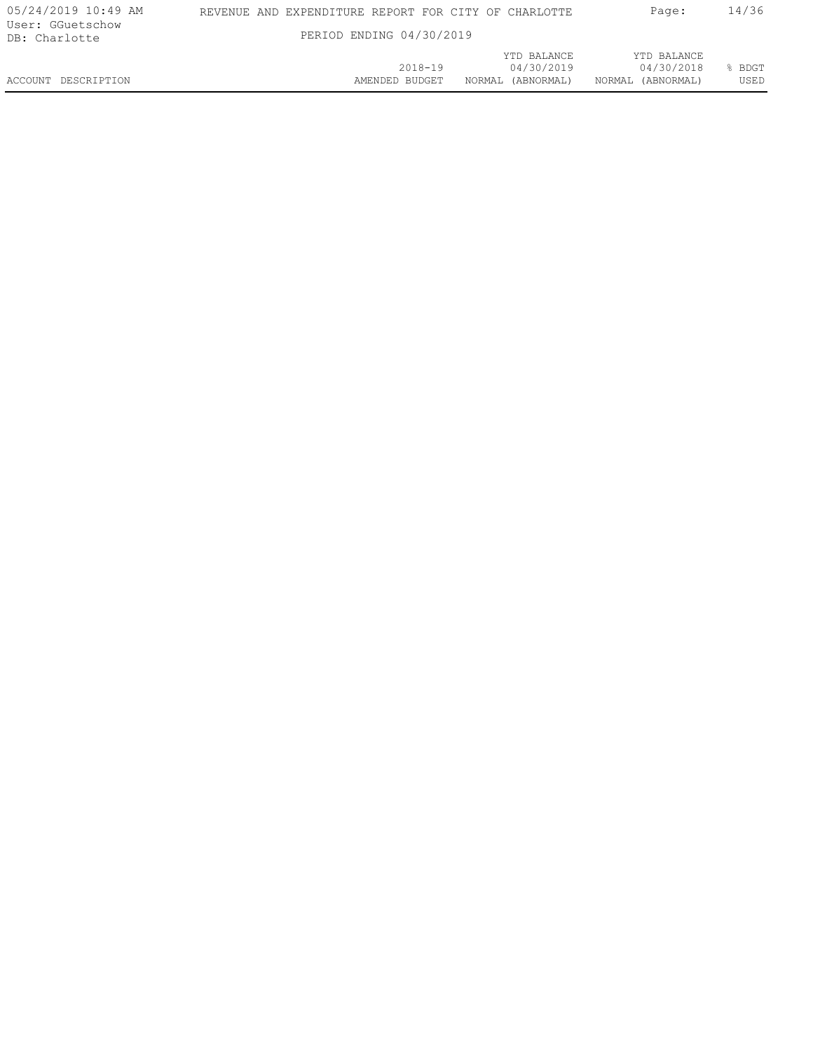| 05/24/2019 10:49 AM               | REVENUE AND EXPENDITURE REPORT FOR CITY OF CHARLOTTE |                          |             |                   | Page:             | 14/36  |
|-----------------------------------|------------------------------------------------------|--------------------------|-------------|-------------------|-------------------|--------|
| User: GGuetschow<br>DB: Charlotte |                                                      | PERIOD ENDING 04/30/2019 |             |                   |                   |        |
|                                   |                                                      |                          |             | YTD BALANCE       | YTD BALANCE       |        |
|                                   |                                                      |                          | $2018 - 19$ | 04/30/2019        | 04/30/2018        | % BDGT |
| ACCOUNT DESCRIPTION               |                                                      | AMENDED BUDGET           |             | NORMAL (ABNORMAL) | NORMAL (ABNORMAL) | USED   |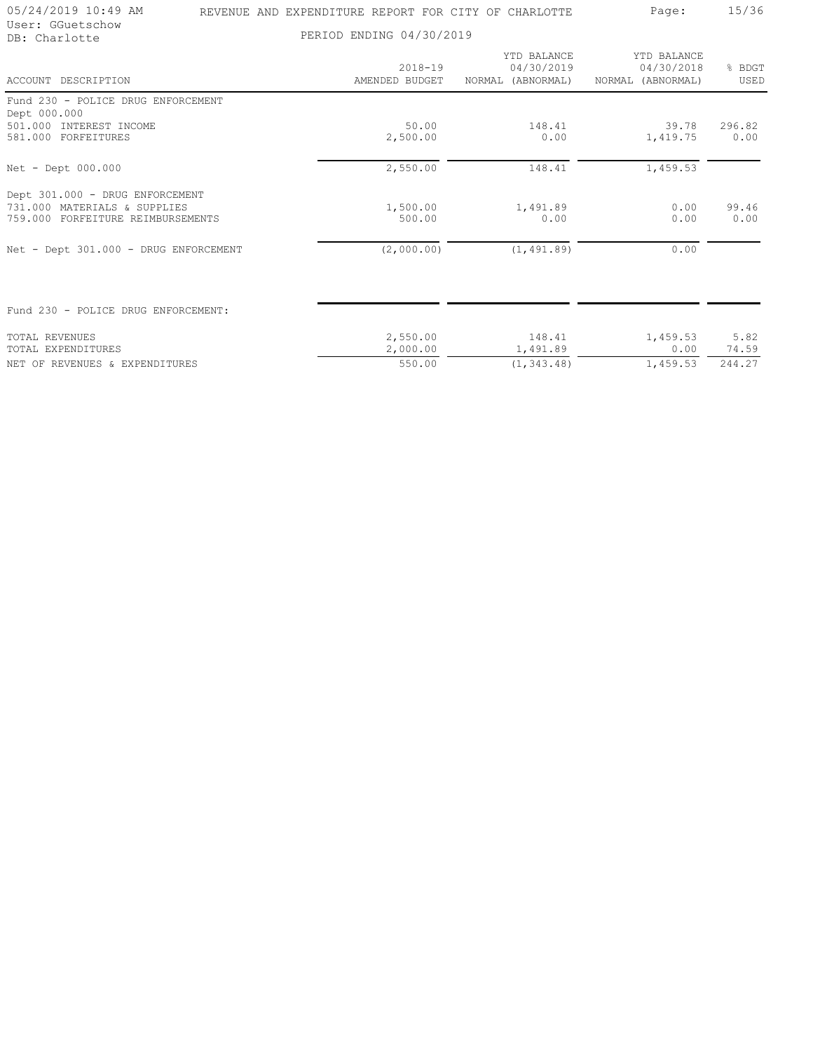## 05/24/2019 10:49 AM REVENUE AND EXPENDITURE REPORT FOR CITY OF CHARLOTTE Page: 15/36

| ACCOUNT DESCRIPTION                     | $2018 - 19$<br>AMENDED BUDGET | YTD BALANCE<br>04/30/2019<br>NORMAL<br>(ABNORMAL) | YTD BALANCE<br>04/30/2018<br>NORMAL (ABNORMAL) | % BDGT<br>USED |
|-----------------------------------------|-------------------------------|---------------------------------------------------|------------------------------------------------|----------------|
| Fund 230 - POLICE DRUG ENFORCEMENT      |                               |                                                   |                                                |                |
| Dept 000.000<br>501.000 INTEREST INCOME | 50.00                         | 148.41                                            | 39.78                                          | 296.82         |
| 581.000 FORFEITURES                     | 2,500.00                      | 0.00                                              | 1,419.75                                       | 0.00           |
| Net - Dept 000.000                      | 2,550.00                      | 148.41                                            | 1,459.53                                       |                |
| Dept 301.000 - DRUG ENFORCEMENT         |                               |                                                   |                                                |                |
| 731.000 MATERIALS & SUPPLIES            | 1,500.00                      | 1,491.89                                          | 0.00                                           | 99.46          |
| 759.000 FORFEITURE REIMBURSEMENTS       | 500.00                        | 0.00                                              | 0.00                                           | 0.00           |
| Net - Dept 301.000 - DRUG ENFORCEMENT   | (2,000.00)                    | (1, 491.89)                                       | 0.00                                           |                |
| Fund 230 - POLICE DRUG ENFORCEMENT:     |                               |                                                   |                                                |                |
| <b>TOTAL REVENUES</b>                   | 2,550.00                      | 148.41                                            | 1,459.53                                       | 5.82           |
| TOTAL EXPENDITURES                      | 2,000.00                      | 1,491.89                                          | 0.00                                           | 74.59          |
| NET OF REVENUES & EXPENDITURES          | 550.00                        | (1, 343.48)                                       | 1,459.53                                       | 244.27         |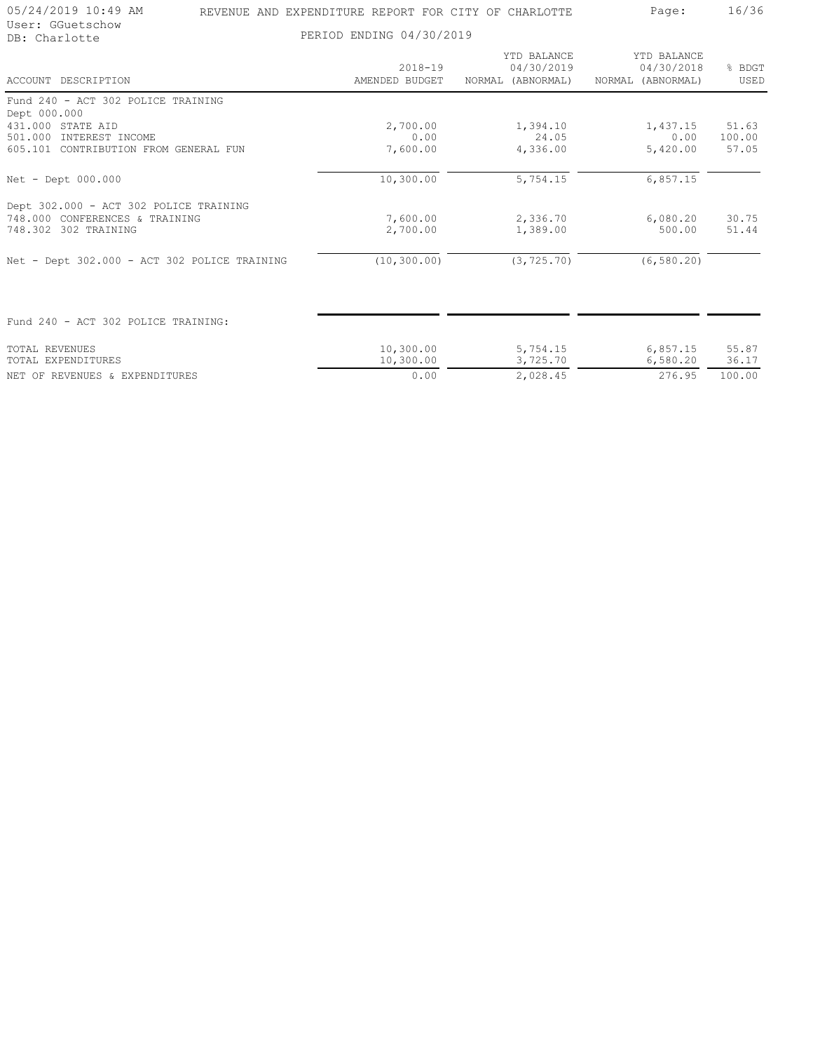#### 05/24/2019 10:49 AM REVENUE AND EXPENDITURE REPORT FOR CITY OF CHARLOTTE Page: 16/36

DB: Charlotte PERIOD ENDING 04/30/2019

| ACCOUNT DESCRIPTION                                                                                      | $2018 - 19$<br>AMENDED BUDGET | YTD BALANCE<br>04/30/2019<br>(ABNORMAL)<br>NORMAL | YTD BALANCE<br>04/30/2018<br>NORMAL<br>(ABNORMAL) | % BDGT<br>USED           |
|----------------------------------------------------------------------------------------------------------|-------------------------------|---------------------------------------------------|---------------------------------------------------|--------------------------|
| Fund 240 - ACT 302 POLICE TRAINING                                                                       |                               |                                                   |                                                   |                          |
| Dept 000.000<br>431,000 STATE AID<br>501.000<br>INTEREST INCOME<br>605.101 CONTRIBUTION FROM GENERAL FUN | 2,700.00<br>0.00<br>7,600.00  | 1,394.10<br>24.05<br>4,336.00                     | 1,437.15<br>0.00<br>5,420.00                      | 51.63<br>100.00<br>57.05 |
| Net - Dept 000.000                                                                                       | 10,300.00                     | 5,754.15                                          | 6,857.15                                          |                          |
| Dept 302.000 - ACT 302 POLICE TRAINING<br>748.000 CONFERENCES & TRAINING<br>748.302 302 TRAINING         | 7,600.00<br>2,700.00          | 2,336.70<br>1,389.00                              | 6,080.20<br>500.00                                | 30.75<br>51.44           |
| Net - Dept 302.000 - ACT 302 POLICE TRAINING                                                             | (10, 300.00)                  | (3, 725.70)                                       | (6, 580.20)                                       |                          |
|                                                                                                          |                               |                                                   |                                                   |                          |
| Fund 240 - ACT 302 POLICE TRAINING:                                                                      |                               |                                                   |                                                   |                          |
| <b>TOTAL REVENUES</b><br>TOTAL EXPENDITURES                                                              | 10,300.00<br>10,300.00        | 5,754.15<br>3,725.70                              | 6,857.15<br>6,580.20                              | 55.87<br>36.17           |
| NET OF REVENUES & EXPENDITURES                                                                           | 0.00                          | 2,028.45                                          | 276.95                                            | 100.00                   |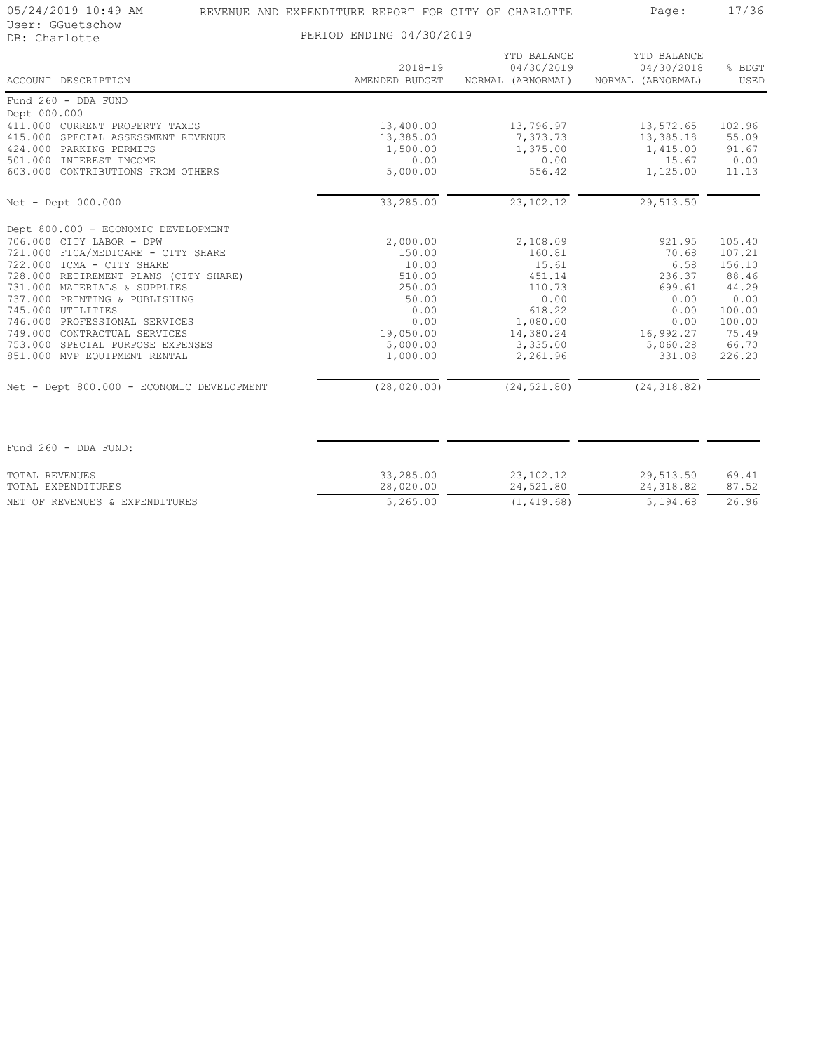### User: GGuetschow User: GGuetschow<br>
DB: Charlotte PERIOD ENDING 04/30/2019

#### 05/24/2019 10:49 AM REVENUE AND EXPENDITURE REPORT FOR CITY OF CHARLOTTE Page: 17/36

|                                           | $2018 - 19$    | YTD BALANCE<br>04/30/2019 | YTD BALANCE<br>04/30/2018 | % BDGT |
|-------------------------------------------|----------------|---------------------------|---------------------------|--------|
| ACCOUNT DESCRIPTION                       | AMENDED BUDGET | NORMAL (ABNORMAL)         | NORMAL (ABNORMAL)         | USED   |
| Fund $260$ - DDA FUND                     |                |                           |                           |        |
| Dept 000.000                              |                |                           |                           |        |
| 411.000 CURRENT PROPERTY TAXES            | 13,400.00      | 13,796.97                 | 13,572.65                 | 102.96 |
| 415.000 SPECIAL ASSESSMENT REVENUE        | 13,385.00      | 7,373.73                  | 13,385.18                 | 55.09  |
| 424.000 PARKING PERMITS                   | 1,500.00       | 1,375.00                  | 1,415.00                  | 91.67  |
| 501.000 INTEREST INCOME                   | 0.00           | 0.00                      | 15.67                     | 0.00   |
| 603.000 CONTRIBUTIONS FROM OTHERS         | 5,000.00       | 556.42                    | 1,125.00                  | 11.13  |
| Net - Dept 000.000                        | 33,285.00      | 23, 102.12                | 29,513.50                 |        |
| Dept 800.000 - ECONOMIC DEVELOPMENT       |                |                           |                           |        |
| 706.000 CITY LABOR - DPW                  | 2,000.00       | 2,108.09                  | 921.95                    | 105.40 |
| 721.000 FICA/MEDICARE - CITY SHARE        | 150.00         | 160.81                    | 70.68                     | 107.21 |
| 722.000 ICMA - CITY SHARE                 | 10.00          | 15.61                     | 6.58                      | 156.10 |
| 728.000 RETIREMENT PLANS (CITY SHARE)     | 510.00         | 451.14                    | 236.37                    | 88.46  |
| 731.000 MATERIALS & SUPPLIES              | 250.00         | 110.73                    | 699.61                    | 44.29  |
| 737.000 PRINTING & PUBLISHING             | 50.00          | 0.00                      | 0.00                      | 0.00   |
| 745.000 UTILITIES                         | 0.00           | 618.22                    | 0.00                      | 100.00 |
| 746.000 PROFESSIONAL SERVICES             | 0.00           | 1,080.00                  | 0.00                      | 100.00 |
| 749.000 CONTRACTUAL SERVICES              | 19,050.00      | 14,380.24                 | 16,992.27                 | 75.49  |
| 753.000 SPECIAL PURPOSE EXPENSES          | 5,000.00       | 3,335.00                  | 5,060.28                  | 66.70  |
| 851.000 MVP EQUIPMENT RENTAL              | 1,000.00       | 2,261.96                  | 331.08                    | 226.20 |
| Net - Dept 800.000 - ECONOMIC DEVELOPMENT | (28, 020, 00)  | (24, 521, 80)             | (24, 318, 82)             |        |
|                                           |                |                           |                           |        |
| Fund $260$ - DDA FUND:                    |                |                           |                           |        |
| TOTAL REVENUES                            | 33,285.00      | 23, 102.12                | 29,513.50                 | 69.41  |
| TOTAL EXPENDITURES                        | 28,020.00      | 24,521.80                 | 24, 318.82                | 87.52  |
| NET OF REVENUES & EXPENDITURES            | 5,265.00       | (1, 419.68)               | 5,194.68                  | 26.96  |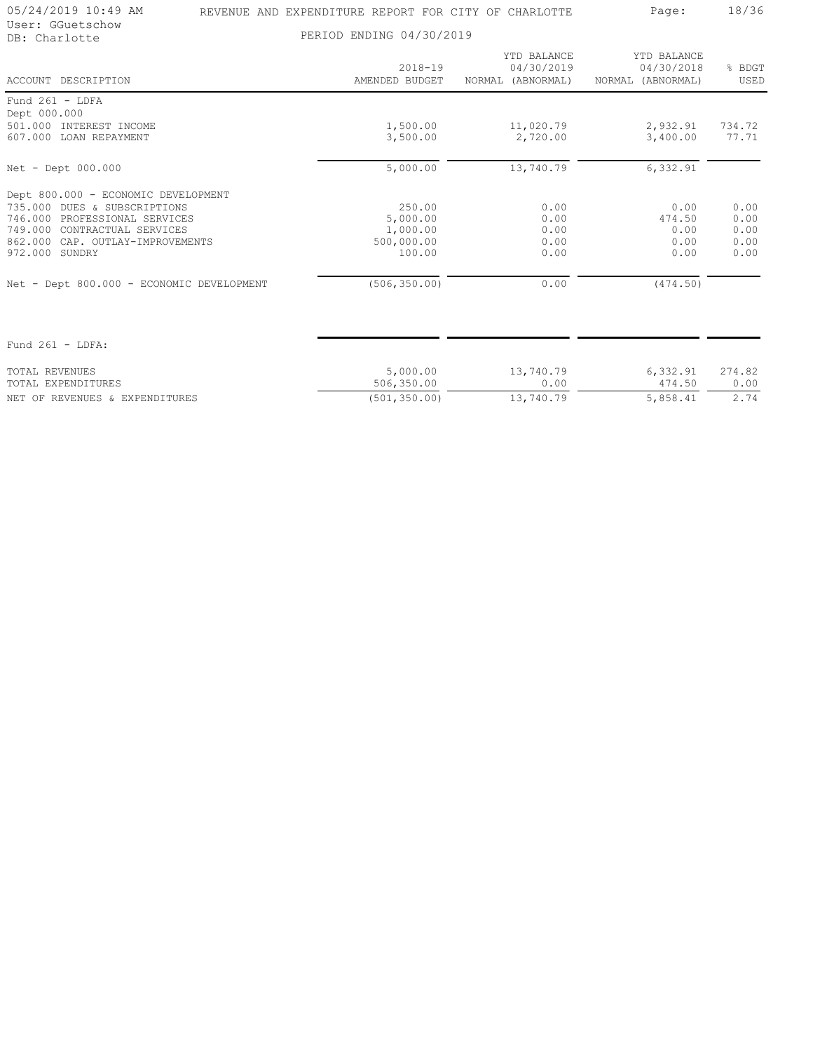### 05/24/2019 10:49 AM REVENUE AND EXPENDITURE REPORT FOR CITY OF CHARLOTTE Page: 18/36

DB: Charlotte PERIOD ENDING 04/30/2019

|                                           | $2018 - 19$    | YTD BALANCE<br>04/30/2019 | YTD BALANCE<br>04/30/2018 | % BDGT |  |
|-------------------------------------------|----------------|---------------------------|---------------------------|--------|--|
| ACCOUNT DESCRIPTION                       | AMENDED BUDGET | (ABNORMAL)<br>NORMAL      | (ABNORMAL)<br>NORMAL      | USED   |  |
| Fund $261 - LDFA$                         |                |                           |                           |        |  |
| Dept 000.000                              |                |                           |                           |        |  |
| 501.000 INTEREST INCOME                   | 1,500.00       | 11,020.79                 | 2,932.91                  | 734.72 |  |
| 607.000 LOAN REPAYMENT                    | 3,500.00       | 2,720.00                  | 3,400.00                  | 77.71  |  |
| Net - Dept 000.000                        | 5,000.00       | 13,740.79                 | 6,332.91                  |        |  |
| Dept 800.000 - ECONOMIC DEVELOPMENT       |                |                           |                           |        |  |
| 735.000 DUES & SUBSCRIPTIONS              | 250.00         | 0.00                      | 0.00                      | 0.00   |  |
| 746.000<br>PROFESSIONAL SERVICES          | 5,000.00       | 0.00                      | 474.50                    | 0.00   |  |
| 749.000 CONTRACTUAL SERVICES              | 1,000.00       | 0.00                      | 0.00                      | 0.00   |  |
| 862.000 CAP. OUTLAY-IMPROVEMENTS          | 500,000.00     | 0.00                      | 0.00                      | 0.00   |  |
| 972.000 SUNDRY                            | 100.00         | 0.00                      | 0.00                      | 0.00   |  |
| Net - Dept 800.000 - ECONOMIC DEVELOPMENT | (506, 350.00)  | 0.00                      | (474.50)                  |        |  |
|                                           |                |                           |                           |        |  |
| Fund $261 - LDFA$ :                       |                |                           |                           |        |  |
| <b>TOTAL REVENUES</b>                     | 5,000.00       | 13,740.79                 | 6,332.91                  | 274.82 |  |
| TOTAL EXPENDITURES                        | 506,350.00     | 0.00                      | 474.50                    | 0.00   |  |
| NET OF REVENUES & EXPENDITURES            | (501, 350.00)  | 13,740.79                 | 5,858.41                  | 2.74   |  |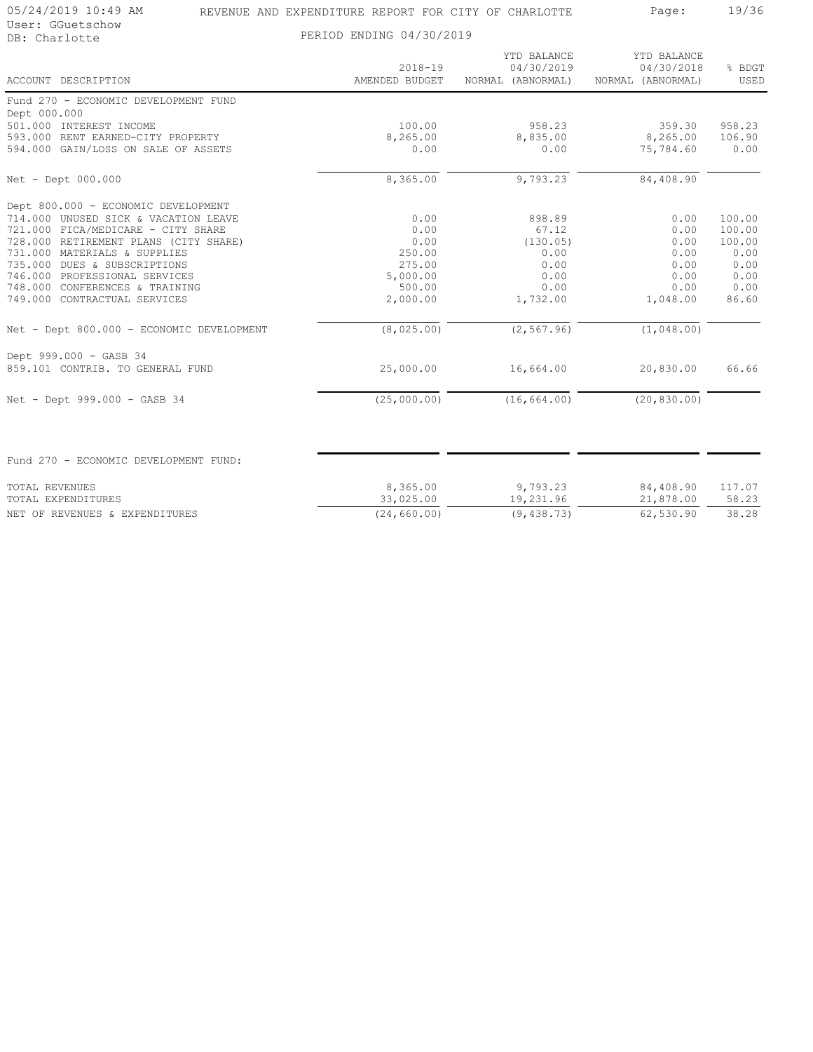## 05/24/2019 10:49 AM REVENUE AND EXPENDITURE REPORT FOR CITY OF CHARLOTTE Page: 19/36

| ACCOUNT DESCRIPTION                       | $2018 - 19$<br>AMENDED BUDGET | YTD BALANCE<br>04/30/2019<br>NORMAL (ABNORMAL) | YTD BALANCE<br>04/30/2018<br>NORMAL (ABNORMAL) | % BDGT<br><b>USED</b> |
|-------------------------------------------|-------------------------------|------------------------------------------------|------------------------------------------------|-----------------------|
| Fund 270 - ECONOMIC DEVELOPMENT FUND      |                               |                                                |                                                |                       |
| Dept 000.000                              |                               |                                                |                                                |                       |
| 501.000 INTEREST INCOME                   | 100.00                        | 958.23                                         | 359.30                                         | 958.23                |
| 593.000 RENT EARNED-CITY PROPERTY         | 8,265.00                      | 8,835.00                                       | 8,265.00                                       | 106.90                |
| 594.000 GAIN/LOSS ON SALE OF ASSETS       | 0.00                          | 0.00                                           | 75,784.60                                      | 0.00                  |
| Net - Dept 000.000                        | 8,365.00                      | 9,793.23                                       | 84,408.90                                      |                       |
| Dept 800.000 - ECONOMIC DEVELOPMENT       |                               |                                                |                                                |                       |
| 714.000 UNUSED SICK & VACATION LEAVE      | 0.00                          | 898.89                                         | 0.00                                           | 100.00                |
| 721.000 FICA/MEDICARE - CITY SHARE        | 0.00                          | 67.12                                          | 0.00                                           | 100.00                |
| 728.000 RETIREMENT PLANS (CITY SHARE)     | 0.00                          | (130.05)                                       | 0.00                                           | 100.00                |
| 731.000 MATERIALS & SUPPLIES              | 250.00                        | 0.00                                           | 0.00                                           | 0.00                  |
| 735.000 DUES & SUBSCRIPTIONS              | 275.00                        | 0.00                                           | 0.00                                           | 0.00                  |
| 746.000 PROFESSIONAL SERVICES             | 5,000.00                      | 0.00                                           | 0.00                                           | 0.00                  |
| 748.000 CONFERENCES & TRAINING            | 500.00                        | 0.00                                           | 0.00                                           | 0.00                  |
| 749.000 CONTRACTUAL SERVICES              | 2,000.00                      | 1,732.00                                       | 1,048.00                                       | 86.60                 |
| Net - Dept 800.000 - ECONOMIC DEVELOPMENT | (8, 025.00)                   | (2, 567.96)                                    | (1,048.00)                                     |                       |
| Dept 999.000 - GASB 34                    |                               |                                                |                                                |                       |
| 859.101 CONTRIB. TO GENERAL FUND          | 25,000.00                     | 16,664.00                                      | 20,830.00                                      | 66.66                 |
| Net - Dept 999.000 - GASB 34              | (25,000.00)                   | (16, 664, 00)                                  | (20, 830.00)                                   |                       |
| Fund 270 - ECONOMIC DEVELOPMENT FUND:     |                               |                                                |                                                |                       |
|                                           |                               |                                                |                                                |                       |
| TOTAL REVENUES<br>TOTAL EXPENDITURES      | 8,365.00<br>33,025.00         | 9,793.23<br>19,231.96                          | 84,408.90<br>21,878.00                         | 117.07<br>58.23       |
| NET OF REVENUES & EXPENDITURES            | (24, 660.00)                  | (9, 438.73)                                    | 62,530.90                                      | 38.28                 |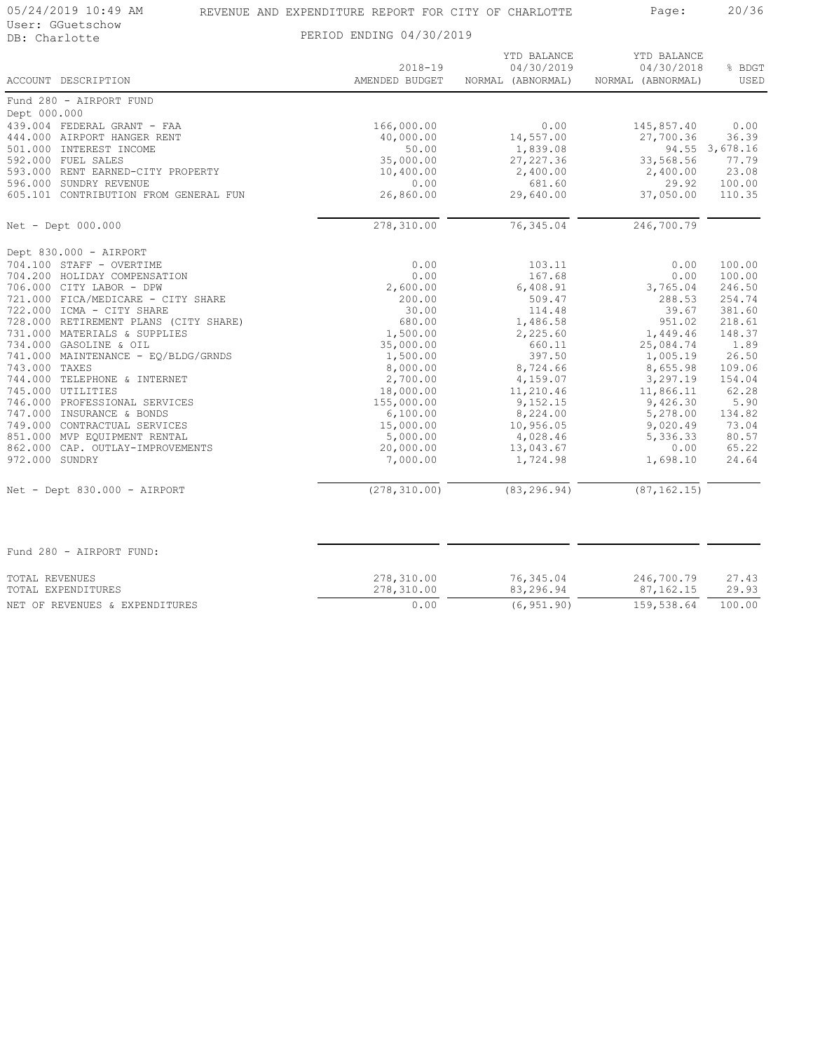#### 05/24/2019 10:49 AM REVENUE AND EXPENDITURE REPORT FOR CITY OF CHARLOTTE Page: 20/36

DB: Charlotte PERIOD ENDING 04/30/2019

| ACCOUNT DESCRIPTION                                                   | 2018-19<br>AMENDED BUDGET | YTD BALANCE<br>04/30/2019<br>NORMAL (ABNORMAL) | YTD BALANCE<br>04/30/2018<br>NORMAL (ABNORMAL) | % BDGT<br>USED   |
|-----------------------------------------------------------------------|---------------------------|------------------------------------------------|------------------------------------------------|------------------|
| Fund 280 - AIRPORT FUND                                               |                           |                                                |                                                |                  |
| Dept 000.000                                                          |                           |                                                |                                                |                  |
| 439.004 FEDERAL GRANT - FAA                                           | 166,000.00                | 0.00                                           | 145,857.40                                     | 0.00             |
| 444.000 AIRPORT HANGER RENT                                           | 40,000.00                 | 14,557.00                                      | 27,700.36                                      | 36.39            |
| 501.000 INTEREST INCOME                                               | 50.00                     | 1,839.08                                       |                                                | 94.55 3,678.16   |
| 592.000 FUEL SALES                                                    | 35,000.00                 | 27, 227.36                                     | 33,568.56                                      | 77.79            |
| 593.000 RENT EARNED-CITY PROPERTY                                     | 10,400.00                 | 2,400.00                                       | 2,400.00                                       | 23.08            |
| 596.000 SUNDRY REVENUE                                                | 0.00                      | 681.60                                         | 29.92                                          | 100.00           |
| 605.101 CONTRIBUTION FROM GENERAL FUN                                 | 26,860.00                 | 29,640.00                                      | 37,050.00                                      | 110.35           |
| Net - Dept 000.000                                                    | 278,310.00                | 76,345.04                                      | 246,700.79                                     |                  |
|                                                                       |                           |                                                |                                                |                  |
| Dept 830.000 - AIRPORT                                                |                           |                                                |                                                |                  |
| 704.100 STAFF - OVERTIME                                              | 0.00                      | 103.11                                         | 0.00                                           | 100.00           |
| 704.200 HOLIDAY COMPENSATION                                          | 0.00                      | 167.68                                         | 0.00                                           | 100.00           |
| 706.000 CITY LABOR - DPW                                              | 2,600.00                  | 6,408.91                                       | 3,765.04                                       | 246.50           |
| 721.000 FICA/MEDICARE - CITY SHARE                                    | 200.00                    | 509.47                                         | 288.53                                         | 254.74           |
| 722.000 ICMA - CITY SHARE                                             | 30.00                     | 114.48                                         | 39.67<br>951.02                                | 381.60<br>218.61 |
| 728.000 RETIREMENT PLANS (CITY SHARE)<br>731.000 MATERIALS & SUPPLIES | 680.00<br>1,500.00        | 1,486.58<br>2,225.60                           | 1,449.46                                       | 148.37           |
| 734.000 GASOLINE & OIL                                                | 35,000.00                 | 660.11                                         | 25,084.74                                      | 1.89             |
| 741.000 MAINTENANCE - EQ/BLDG/GRNDS                                   | 1,500.00                  | 397.50                                         | 1,005.19                                       | 26.50            |
| 743.000 TAXES                                                         | 8,000.00                  | 8,724.66                                       | 8,655.98                                       | 109.06           |
| 744.000 TELEPHONE & INTERNET                                          | 2,700.00                  | 4,159.07                                       | 3,297.19                                       | 154.04           |
| 745.000 UTILITIES                                                     | 18,000.00                 | 11,210.46                                      | 11,866.11                                      | 62.28            |
| 746.000 PROFESSIONAL SERVICES                                         | 155,000.00                | 9,152.15                                       | 9,426.30                                       | 5.90             |
| 747.000 INSURANCE & BONDS                                             | 6,100.00                  | 8,224.00                                       | 5,278.00                                       | 134.82           |
| 749.000 CONTRACTUAL SERVICES                                          | 15,000.00                 | 10,956.05                                      | 9,020.49                                       | 73.04            |
| 851.000 MVP EQUIPMENT RENTAL                                          | 5,000.00                  | 4,028.46                                       | 5,336.33                                       | 80.57            |
| 862.000 CAP. OUTLAY-IMPROVEMENTS                                      | 20,000.00                 | 13,043.67                                      | 0.00                                           | 65.22            |
| 972.000 SUNDRY                                                        | 7,000.00                  | 1,724.98                                       | 1,698.10                                       | 24.64            |
| Net - Dept 830.000 - AIRPORT                                          | (278, 310, 00)            | (83, 296.94)                                   | (87, 162, 15)                                  |                  |
|                                                                       |                           |                                                |                                                |                  |
| Fund 280 - AIRPORT FUND:                                              |                           |                                                |                                                |                  |
| TOTAL REVENUES                                                        | 278,310.00                | 76,345.04                                      | 246,700.79                                     | 27.43            |
| TOTAL EXPENDITURES                                                    | 278,310.00                | 83,296.94                                      | 87, 162. 15                                    | 29.93            |
| NET OF REVENUES & EXPENDITURES                                        | 0.00                      | (6, 951.90)                                    | 159,538.64                                     | 100.00           |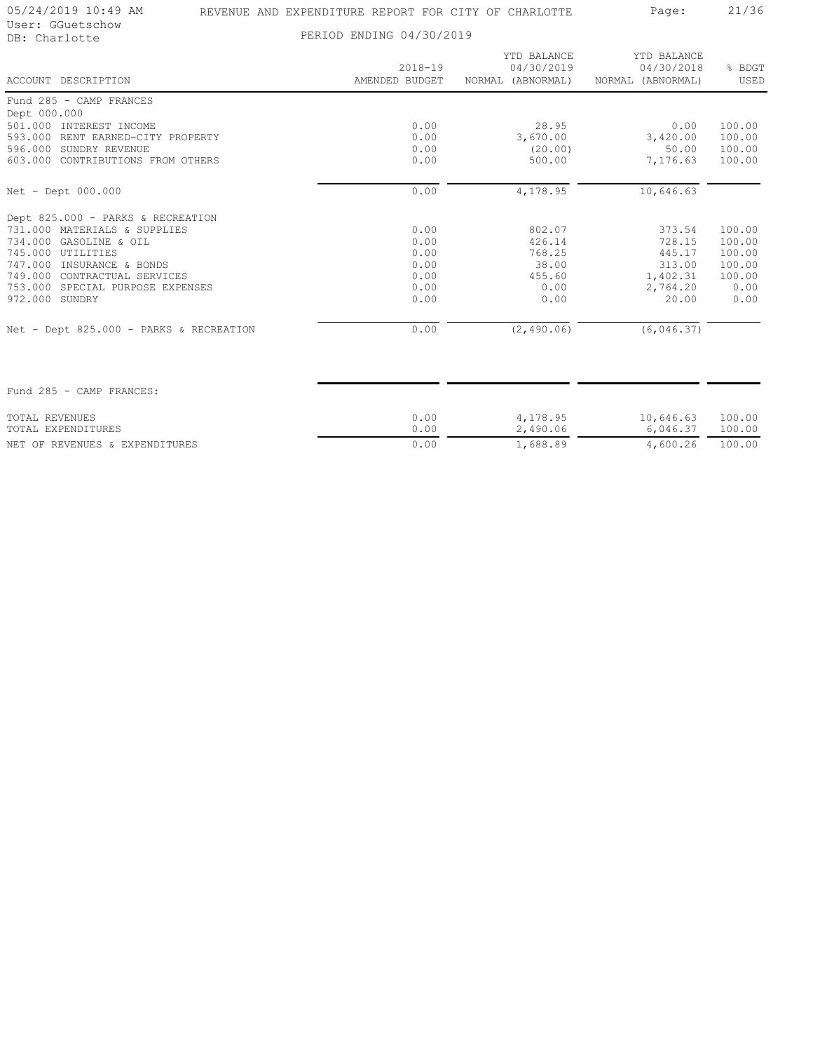### 05/24/2019 10:49 AM REVENUE AND EXPENDITURE REPORT FOR CITY OF CHARLOTTE Page: 21/36

DB: Charlotte PERIOD ENDING 04/30/2019

| ACCOUNT DESCRIPTION                     | $2018 - 19$<br>AMENDED BUDGET | YTD BALANCE<br>04/30/2019<br>NORMAL (ABNORMAL) | YTD BALANCE<br>04/30/2018<br>NORMAL (ABNORMAL) | % BDGT<br>USED |
|-----------------------------------------|-------------------------------|------------------------------------------------|------------------------------------------------|----------------|
| Fund 285 - CAMP FRANCES                 |                               |                                                |                                                |                |
| Dept 000.000<br>501.000 INTEREST INCOME | 0.00                          | 28.95                                          | 0.00                                           | 100.00         |
| 593.000 RENT EARNED-CITY PROPERTY       | 0.00                          | 3,670.00                                       | 3,420.00                                       | 100.00         |
| 596.000 SUNDRY REVENUE                  | 0.00                          | (20.00)                                        | 50.00                                          | 100.00         |
| 603.000 CONTRIBUTIONS FROM OTHERS       | 0.00                          | 500.00                                         | 7,176.63                                       | 100.00         |
| Net - Dept 000.000                      | 0.00                          | 4,178.95                                       | 10,646.63                                      |                |
| Dept 825.000 - PARKS & RECREATION       |                               |                                                |                                                |                |
| 731.000 MATERIALS & SUPPLIES            | 0.00                          | 802.07                                         | 373.54                                         | 100.00         |
| 734.000 GASOLINE & OIL                  | 0.00                          | 426.14                                         | 728.15                                         | 100.00         |
| 745.000 UTILITIES                       | 0.00                          | 768.25                                         | 445.17                                         | 100.00         |
| 747.000 INSURANCE & BONDS               | 0.00                          | 38.00                                          | 313.00                                         | 100.00         |
| 749.000 CONTRACTUAL SERVICES            | 0.00                          | 455.60                                         | 1,402.31                                       | 100.00         |
| 753.000 SPECIAL PURPOSE EXPENSES        | 0.00                          | 0.00                                           | 2,764.20                                       | 0.00           |
| 972.000 SUNDRY                          | 0.00                          | 0.00                                           | 20.00                                          | 0.00           |
| Net - Dept 825.000 - PARKS & RECREATION | 0.00                          | (2, 490.06)                                    | (6, 046, 37)                                   |                |
|                                         |                               |                                                |                                                |                |
| Fund 285 - CAMP FRANCES:                |                               |                                                |                                                |                |
| <b>TOTAL REVENUES</b>                   | 0.00                          | 4,178.95                                       | 10,646.63                                      | 100.00         |
| TOTAL EXPENDITURES                      | 0.00                          | 2,490.06                                       | 6,046.37                                       | 100.00         |
| NET OF REVENUES & EXPENDITURES          | 0.00                          | 1,688.89                                       | 4,600.26                                       | 100.00         |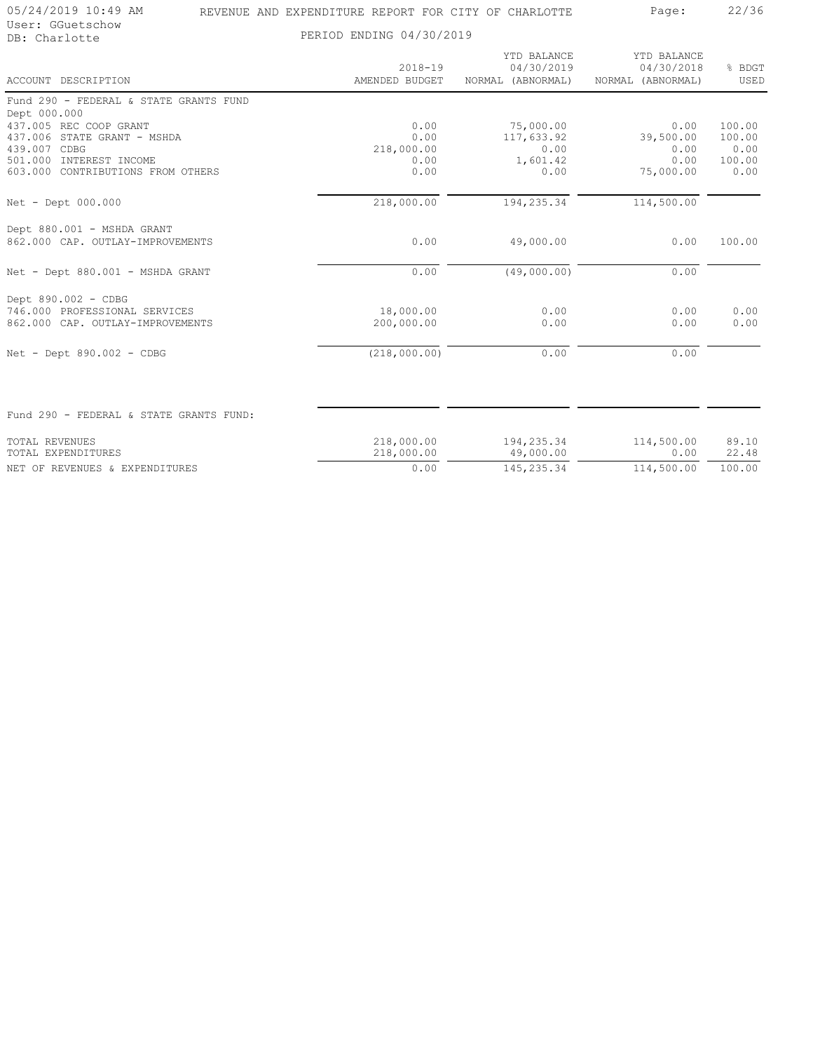### 05/24/2019 10:49 AM REVENUE AND EXPENDITURE REPORT FOR CITY OF CHARLOTTE Page: 22/36

| ACCOUNT DESCRIPTION                         | $2018 - 19$<br>AMENDED BUDGET | YTD BALANCE<br>04/30/2019<br>NORMAL (ABNORMAL) | YTD BALANCE<br>04/30/2018<br>NORMAL (ABNORMAL) | % BDGT<br>USED |
|---------------------------------------------|-------------------------------|------------------------------------------------|------------------------------------------------|----------------|
| Fund 290 - FEDERAL & STATE GRANTS FUND      |                               |                                                |                                                |                |
| Dept 000.000                                |                               |                                                |                                                |                |
| 437.005 REC COOP GRANT                      | 0.00                          | 75,000.00                                      | 0.00                                           | 100.00         |
| 437.006 STATE GRANT - MSHDA<br>439.007 CDBG | 0.00<br>218,000.00            | 117,633.92<br>0.00                             | 39,500.00<br>0.00                              | 100.00<br>0.00 |
| 501.000 INTEREST INCOME                     | 0.00                          | 1,601.42                                       | 0.00                                           | 100.00         |
| 603.000 CONTRIBUTIONS FROM OTHERS           | 0.00                          | 0.00                                           | 75,000.00                                      | 0.00           |
| Net - Dept 000.000                          | 218,000.00                    | 194,235.34                                     | 114,500.00                                     |                |
|                                             |                               |                                                |                                                |                |
| Dept 880.001 - MSHDA GRANT                  |                               |                                                |                                                |                |
| 862.000 CAP. OUTLAY-IMPROVEMENTS            | 0.00                          | 49,000.00                                      | 0.00                                           | 100.00         |
| Net - Dept 880.001 - MSHDA GRANT            | 0.00                          | (49,000.00)                                    | 0.00                                           |                |
| Dept 890.002 - CDBG                         |                               |                                                |                                                |                |
| 746.000 PROFESSIONAL SERVICES               | 18,000.00                     | 0.00                                           | 0.00                                           | 0.00           |
| 862.000 CAP. OUTLAY-IMPROVEMENTS            | 200,000.00                    | 0.00                                           | 0.00                                           | 0.00           |
| Net - Dept $890.002$ - CDBG                 | (218,000.00)                  | 0.00                                           | 0.00                                           |                |
|                                             |                               |                                                |                                                |                |
| Fund 290 - FEDERAL & STATE GRANTS FUND:     |                               |                                                |                                                |                |
| TOTAL REVENUES                              | 218,000.00                    | 194,235.34                                     | 114,500.00                                     | 89.10          |
| TOTAL EXPENDITURES                          | 218,000.00                    | 49,000.00                                      | 0.00                                           | 22.48          |
| NET OF REVENUES & EXPENDITURES              | 0.00                          | 145, 235.34                                    | 114,500.00                                     | 100.00         |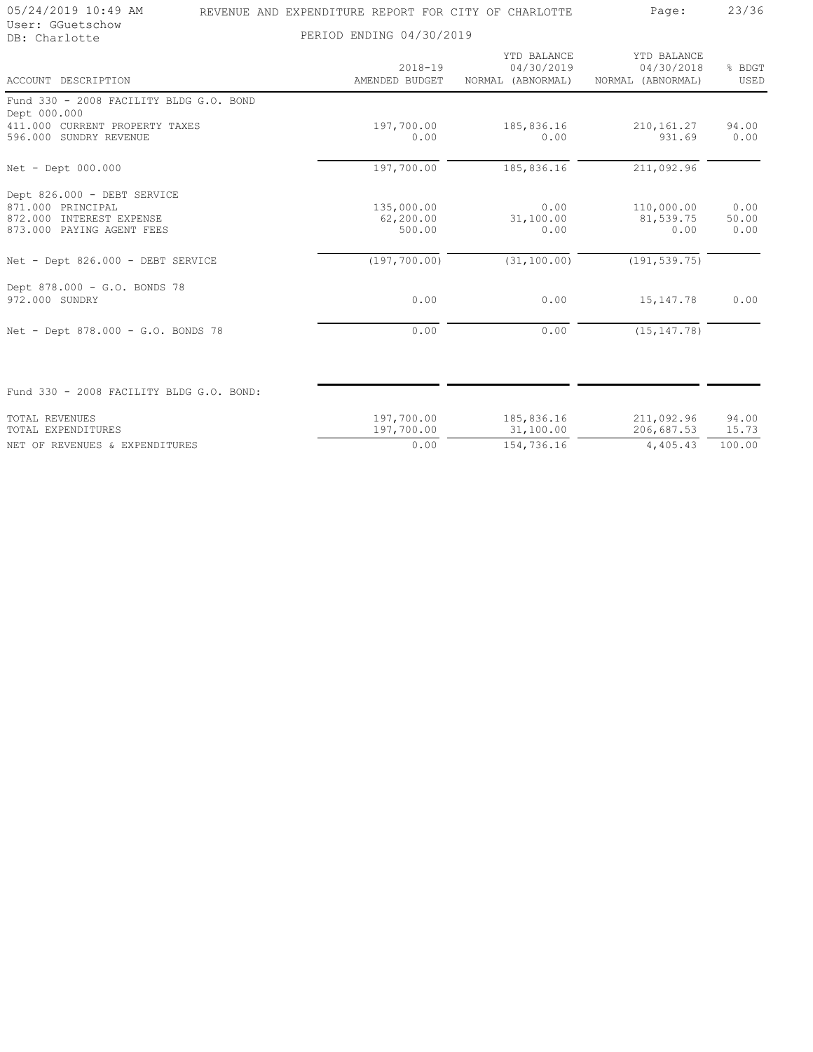### 05/24/2019 10:49 AM REVENUE AND EXPENDITURE REPORT FOR CITY OF CHARLOTTE Page: 23/36

DB: Charlotte PERIOD ENDING 04/30/2019

| ACCOUNT DESCRIPTION                                      | $2018 - 19$<br>AMENDED BUDGET     | YTD BALANCE<br>04/30/2019<br>NORMAL (ABNORMAL) | YTD BALANCE<br>04/30/2018<br>NORMAL (ABNORMAL) | % BDGT<br>USED        |
|----------------------------------------------------------|-----------------------------------|------------------------------------------------|------------------------------------------------|-----------------------|
| Fund 330 - 2008 FACILITY BLDG G.O. BOND<br>Dept 000.000  |                                   |                                                |                                                |                       |
| 411.000 CURRENT PROPERTY TAXES<br>596.000 SUNDRY REVENUE | 197,700.00<br>0.00                | 185,836.16<br>0.00                             | 210,161.27<br>931.69                           | 94.00<br>0.00         |
| Net - Dept 000.000                                       | 197,700.00                        | 185,836.16                                     | 211,092.96                                     |                       |
| Dept 826.000 - DEBT SERVICE<br>871.000 PRINCIPAL         |                                   |                                                |                                                |                       |
| 872.000 INTEREST EXPENSE<br>873.000 PAYING AGENT FEES    | 135,000.00<br>62,200.00<br>500.00 | 0.00<br>31,100.00<br>0.00                      | 110,000.00<br>81,539.75<br>0.00                | 0.00<br>50.00<br>0.00 |
| Net - Dept 826.000 - DEBT SERVICE                        | (197, 700.00)                     | (31, 100.00)                                   | (191, 539.75)                                  |                       |
| Dept 878.000 - G.O. BONDS 78<br>972.000 SUNDRY           | 0.00                              | 0.00                                           | 15,147.78                                      | 0.00                  |
| Net - Dept 878.000 - G.O. BONDS 78                       | 0.00                              | 0.00                                           | (15, 147, 78)                                  |                       |
| Fund 330 - 2008 FACILITY BLDG G.O. BOND:                 |                                   |                                                |                                                |                       |
|                                                          |                                   |                                                |                                                |                       |
| TOTAL REVENUES<br>TOTAL EXPENDITURES                     | 197,700.00<br>197,700.00          | 185,836.16<br>31,100.00                        | 211,092.96<br>206,687.53                       | 94.00<br>15.73        |
| NET OF REVENUES & EXPENDITURES                           | 0.00                              | 154,736.16                                     | 4,405.43                                       | 100.00                |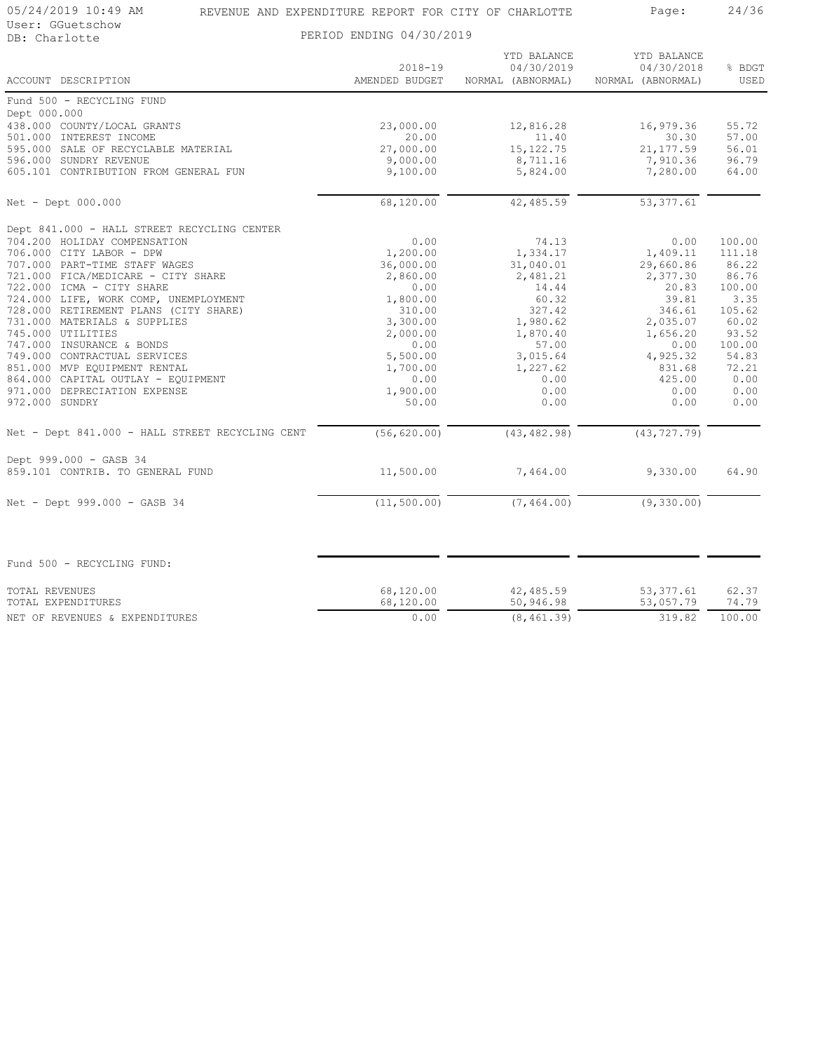### 05/24/2019 10:49 AM REVENUE AND EXPENDITURE REPORT FOR CITY OF CHARLOTTE Page: 24/36

| ACCOUNT DESCRIPTION                             | $2018 - 19$<br>AMENDED BUDGET | YTD BALANCE<br>04/30/2019<br>NORMAL (ABNORMAL) | YTD BALANCE<br>04/30/2018<br>NORMAL (ABNORMAL) | % BDGT<br>USED |
|-------------------------------------------------|-------------------------------|------------------------------------------------|------------------------------------------------|----------------|
| Fund 500 - RECYCLING FUND                       |                               |                                                |                                                |                |
| Dept 000.000                                    |                               |                                                |                                                |                |
| 438.000 COUNTY/LOCAL GRANTS                     | 23,000.00                     | 12,816.28                                      | 16,979.36                                      | 55.72          |
| 501.000 INTEREST INCOME                         | 20.00                         | 11.40                                          | 30.30                                          | 57.00          |
| 595.000 SALE OF RECYCLABLE MATERIAL             | 27,000.00                     | 15, 122.75                                     | 21, 177.59                                     | 56.01          |
| 596.000 SUNDRY REVENUE                          | 9,000.00                      | 8,711.16                                       | 7,910.36                                       | 96.79          |
| 605.101 CONTRIBUTION FROM GENERAL FUN           | 9,100.00                      | 5,824.00                                       | 7,280.00                                       | 64.00          |
| Net - Dept 000.000                              | 68,120.00                     | 42,485.59                                      | 53, 377.61                                     |                |
| Dept 841.000 - HALL STREET RECYCLING CENTER     |                               |                                                |                                                |                |
| 704.200 HOLIDAY COMPENSATION                    | 0.00                          | 74.13                                          | 0.00                                           | 100.00         |
| 706.000 CITY LABOR - DPW                        | 1,200.00                      | 1,334.17                                       | 1,409.11                                       | 111.18         |
| 707.000 PART-TIME STAFF WAGES                   | 36,000.00                     | 31,040.01                                      | 29,660.86                                      | 86.22          |
| 721.000 FICA/MEDICARE - CITY SHARE              | 2,860.00                      | 2,481.21                                       | 2,377.30                                       | 86.76          |
| 722.000 ICMA - CITY SHARE                       | 0.00                          | 14.44                                          | 20.83                                          | 100.00         |
| 724.000 LIFE, WORK COMP, UNEMPLOYMENT           | 1,800.00                      | 60.32                                          | 39.81                                          | 3.35           |
| 728.000 RETIREMENT PLANS (CITY SHARE)           | 310.00                        | 327.42                                         | 346.61                                         | 105.62         |
| 731.000 MATERIALS & SUPPLIES                    | 3,300.00                      | 1,980.62                                       | 2,035.07                                       | 60.02          |
| 745.000 UTILITIES                               | 2,000.00                      | 1,870.40                                       | 1,656.20                                       | 93.52          |
| 747.000 INSURANCE & BONDS                       | 0.00                          | 57.00                                          | 0.00                                           | 100.00         |
| 749.000 CONTRACTUAL SERVICES                    | 5,500.00                      | 3,015.64                                       | 4,925.32                                       | 54.83          |
| 851.000 MVP EQUIPMENT RENTAL                    | 1,700.00                      | 1,227.62                                       | 831.68                                         | 72.21          |
| 864.000 CAPITAL OUTLAY - EQUIPMENT              | 0.00                          | 0.00                                           | 425.00                                         | 0.00           |
| 971.000 DEPRECIATION EXPENSE                    | 1,900.00                      | 0.00                                           | 0.00                                           | 0.00           |
| 972.000 SUNDRY                                  | 50.00                         | 0.00                                           | 0.00                                           | 0.00           |
| Net - Dept 841.000 - HALL STREET RECYCLING CENT | (56, 620.00)                  | (43, 482.98)                                   | (43, 727.79)                                   |                |
| Dept 999.000 - GASB 34                          |                               |                                                |                                                |                |
| 859.101 CONTRIB. TO GENERAL FUND                | 11,500.00                     | 7,464.00                                       | 9,330.00                                       | 64.90          |
| Net - Dept 999.000 - GASB 34                    | (11, 500.00)                  | (7, 464, 00)                                   | (9, 330.00)                                    |                |
| Fund 500 - RECYCLING FUND:                      |                               |                                                |                                                |                |
| TOTAL REVENUES                                  | 68,120.00                     | 42, 485.59                                     | 53, 377.61                                     | 62.37          |
| TOTAL EXPENDITURES                              | 68,120.00                     | 50,946.98                                      | 53,057.79                                      | 74.79          |
| NET OF REVENUES & EXPENDITURES                  | 0.00                          | (8, 461.39)                                    | 319.82                                         | 100.00         |
|                                                 |                               |                                                |                                                |                |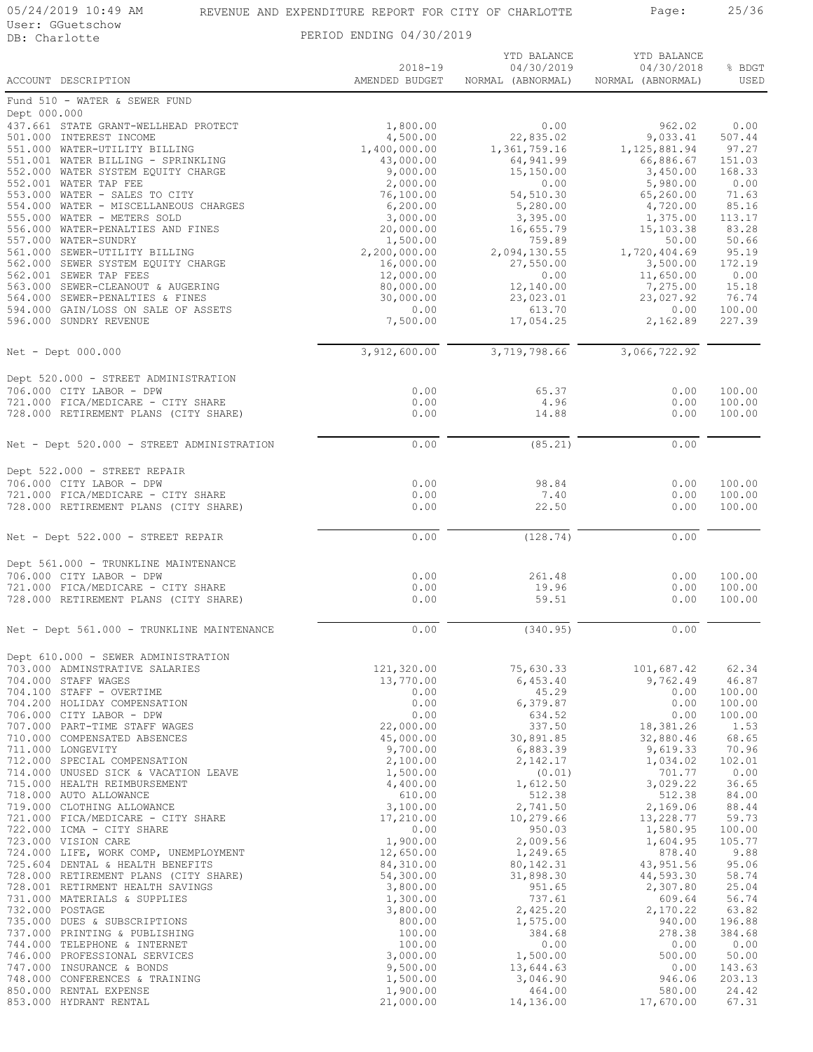### User: GGuetschow User: GGuetschow<br>DB: Charlotte PERIOD ENDING 04/30/2019

### 05/24/2019 10:49 AM REVENUE AND EXPENDITURE REPORT FOR CITY OF CHARLOTTE Page: 25/36

| $2018 - 19$<br>AMENDED BUDGET                                                                                                                                          | YTD BALANCE<br>04/30/2019<br>NORMAL (ABNORMAL)                                                                                                                                                                                                                                                                                | YTD BALANCE<br>04/30/2018<br>NORMAL (ABNORMAL)                                                                                                                                                                                                                                                                  | % BDGT<br>USED                                                                                                                                                                                                                                                          |
|------------------------------------------------------------------------------------------------------------------------------------------------------------------------|-------------------------------------------------------------------------------------------------------------------------------------------------------------------------------------------------------------------------------------------------------------------------------------------------------------------------------|-----------------------------------------------------------------------------------------------------------------------------------------------------------------------------------------------------------------------------------------------------------------------------------------------------------------|-------------------------------------------------------------------------------------------------------------------------------------------------------------------------------------------------------------------------------------------------------------------------|
|                                                                                                                                                                        |                                                                                                                                                                                                                                                                                                                               |                                                                                                                                                                                                                                                                                                                 |                                                                                                                                                                                                                                                                         |
| 1,800.00<br>4,500.00<br>1,400,000.00<br>43,000.00<br>9,000.00<br>2,000.00<br>76,100.00<br>6,200.00<br>3,000.00<br>20,000.00<br>1,500.00<br>2, 200, 000.00<br>16,000.00 | 0.00<br>22,835.02<br>1,361,759.16<br>64,941.99<br>15,150.00<br>0.00<br>54,510.30<br>5,280.00<br>3,395.00<br>16,655.79<br>759.89<br>2,094,130.55<br>27,550.00                                                                                                                                                                  | 962.02<br>9,033.41<br>1, 125, 881.94<br>66,886.67<br>3,450.00<br>5,980.00<br>65,260.00<br>4,720.00<br>1,375.00<br>15,103.38<br>50.00<br>1,720,404.69<br>3,500.00                                                                                                                                                | 0.00<br>507.44<br>97.27<br>151.03<br>168.33<br>0.00<br>71.63<br>85.16<br>113.17<br>83.28<br>50.66<br>95.19<br>172.19                                                                                                                                                    |
| 12,000.00<br>80,000.00<br>30,000.00<br>0.00<br>7,500.00                                                                                                                | 0.00<br>12,140.00<br>23,023.01<br>613.70<br>17,054.25                                                                                                                                                                                                                                                                         | 11,650.00<br>7,275.00<br>23,027.92<br>0.00<br>2,162.89                                                                                                                                                                                                                                                          | 0.00<br>15.18<br>76.74<br>100.00<br>227.39                                                                                                                                                                                                                              |
| 3,912,600.00                                                                                                                                                           | 3,719,798.66                                                                                                                                                                                                                                                                                                                  | 3,066,722.92                                                                                                                                                                                                                                                                                                    |                                                                                                                                                                                                                                                                         |
| 0.00<br>0.00<br>0.00                                                                                                                                                   | 65.37<br>4.96<br>14.88                                                                                                                                                                                                                                                                                                        | 0.00<br>0.00<br>0.00                                                                                                                                                                                                                                                                                            | 100.00<br>100.00<br>100.00                                                                                                                                                                                                                                              |
| 0.00                                                                                                                                                                   | (85.21)                                                                                                                                                                                                                                                                                                                       | 0.00                                                                                                                                                                                                                                                                                                            |                                                                                                                                                                                                                                                                         |
| 0.00<br>0.00<br>0.00                                                                                                                                                   | 98.84<br>7.40<br>22.50                                                                                                                                                                                                                                                                                                        | 0.00<br>0.00<br>0.00                                                                                                                                                                                                                                                                                            | 100.00<br>100.00<br>100.00                                                                                                                                                                                                                                              |
| 0.00                                                                                                                                                                   | (128.74)                                                                                                                                                                                                                                                                                                                      | 0.00                                                                                                                                                                                                                                                                                                            |                                                                                                                                                                                                                                                                         |
| 0.00<br>0.00<br>0.00                                                                                                                                                   | 261.48<br>19.96<br>59.51                                                                                                                                                                                                                                                                                                      | 0.00<br>0.00<br>0.00                                                                                                                                                                                                                                                                                            | 100.00<br>100.00<br>100.00                                                                                                                                                                                                                                              |
| 0.00                                                                                                                                                                   | (340.95)                                                                                                                                                                                                                                                                                                                      | 0.00                                                                                                                                                                                                                                                                                                            |                                                                                                                                                                                                                                                                         |
|                                                                                                                                                                        | 75,630.33<br>6,453.40<br>45.29<br>6,379.87<br>634.52<br>337.50<br>30,891.85<br>6,883.39<br>2,142.17<br>(0.01)<br>1,612.50<br>512.38<br>2,741.50<br>10,279.66<br>950.03<br>2,009.56<br>1,249.65<br>80, 142. 31<br>31,898.30<br>951.65<br>737.61<br>2,425.20<br>1,575.00<br>384.68<br>0.00<br>1,500.00<br>13,644.63<br>3,046.90 | 101,687.42<br>9,762.49<br>0.00<br>0.00<br>0.00<br>18,381.26<br>32,880.46<br>9,619.33<br>1,034.02<br>701.77<br>3,029.22<br>512.38<br>2,169.06<br>13,228.77<br>1,580.95<br>1,604.95<br>878.40<br>43,951.56<br>44,593.30<br>2,307.80<br>609.64<br>2,170.22<br>940.00<br>278.38<br>0.00<br>500.00<br>0.00<br>946.06 | 62.34<br>46.87<br>100.00<br>100.00<br>100.00<br>1.53<br>68.65<br>70.96<br>102.01<br>0.00<br>36.65<br>84.00<br>88.44<br>59.73<br>100.00<br>105.77<br>9.88<br>95.06<br>58.74<br>25.04<br>56.74<br>63.82<br>196.88<br>384.68<br>0.00<br>50.00<br>143.63<br>203.13<br>24.42 |
|                                                                                                                                                                        | 1,900.00<br>21,000.00                                                                                                                                                                                                                                                                                                         | 464.00                                                                                                                                                                                                                                                                                                          | 580.00<br>14,136.00<br>17,670.00                                                                                                                                                                                                                                        |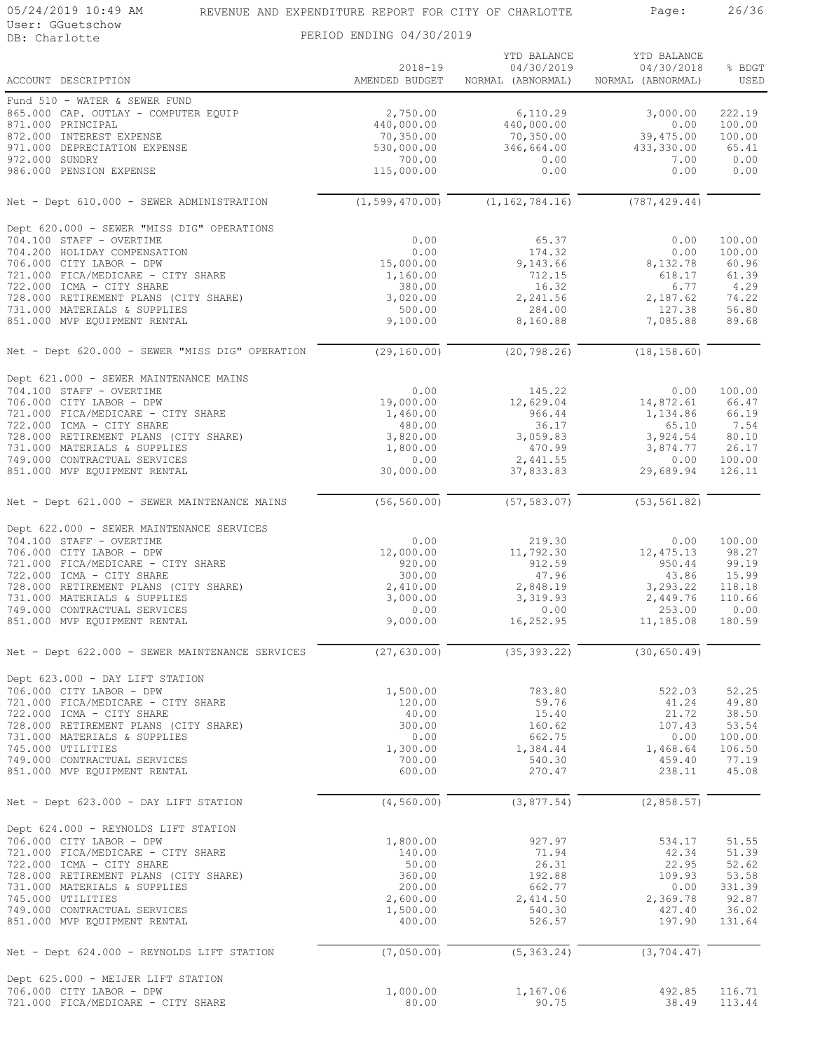### 05/24/2019 10:49 AM REVENUE AND EXPENDITURE REPORT FOR CITY OF CHARLOTTE Page: 26/36

User: GGuetschow DB: Charlotte PERIOD ENDING 04/30/2019

| ACCOUNT DESCRIPTION                                                    | $2018 - 19$<br>AMENDED BUDGET | YTD BALANCE<br>04/30/2019<br>NORMAL (ABNORMAL) | YTD BALANCE<br>04/30/2018<br>NORMAL (ABNORMAL) | % BDGT<br>USED  |
|------------------------------------------------------------------------|-------------------------------|------------------------------------------------|------------------------------------------------|-----------------|
| Fund 510 - WATER & SEWER FUND                                          |                               |                                                |                                                |                 |
| 865.000 CAP. OUTLAY - COMPUTER EQUIP                                   | 2,750.00                      | 6,110.29                                       | 3,000.00                                       | 222.19          |
| 871.000 PRINCIPAL                                                      | 440,000.00                    | 440,000.00                                     | 0.00                                           | 100.00          |
| 872.000 INTEREST EXPENSE                                               | 70,350.00                     | 70,350.00                                      | 39,475.00                                      | 100.00          |
| 971.000 DEPRECIATION EXPENSE<br>972.000 SUNDRY                         | 530,000.00<br>700.00          | 346,664.00<br>0.00                             | 433,330.00<br>7.00                             | 65.41<br>0.00   |
| 986.000 PENSION EXPENSE                                                | 115,000.00                    | 0.00                                           | 0.00                                           | 0.00            |
| Net - Dept 610.000 - SEWER ADMINISTRATION                              | (1, 599, 470.00)              | (1, 162, 784.16)                               | (787, 429.44)                                  |                 |
| Dept 620.000 - SEWER "MISS DIG" OPERATIONS<br>704.100 STAFF - OVERTIME | 0.00                          | 65.37                                          | 0.00                                           | 100.00          |
| 704.200 HOLIDAY COMPENSATION                                           | 0.00                          | 174.32                                         | 0.00                                           | 100.00          |
| 706.000 CITY LABOR - DPW                                               | 15,000.00                     | 9,143.66                                       | 8,132.78                                       | 60.96           |
| 721.000 FICA/MEDICARE - CITY SHARE                                     | 1,160.00                      | 712.15                                         | 618.17                                         | 61.39           |
| 722.000 ICMA - CITY SHARE<br>728.000 RETIREMENT PLANS (CITY SHARE)     | 380.00<br>3,020.00            | 16.32<br>2,241.56                              | 6.77<br>2,187.62                               | 4.29<br>74.22   |
| 731.000 MATERIALS & SUPPLIES                                           | 500.00                        | 284.00                                         | 127.38                                         | 56.80           |
| 851.000 MVP EQUIPMENT RENTAL                                           | 9,100.00                      | 8,160.88                                       | 7,085.88                                       | 89.68           |
| Net - Dept 620.000 - SEWER "MISS DIG" OPERATION                        | (29, 160, 00)                 | (20, 798.26)                                   | (18, 158.60)                                   |                 |
| Dept 621.000 - SEWER MAINTENANCE MAINS                                 |                               |                                                |                                                |                 |
| 704.100 STAFF - OVERTIME                                               | 0.00                          | 145.22                                         | 0.00                                           | 100.00          |
| 706.000 CITY LABOR - DPW<br>721.000 FICA/MEDICARE - CITY SHARE         | 19,000.00<br>1,460.00         | 12,629.04                                      | 14,872.61<br>1,134.86                          | 66.47<br>66.19  |
| 722.000 ICMA - CITY SHARE                                              | 480.00                        | 966.44<br>36.17                                | 65.10                                          | 7.54            |
| 728.000 RETIREMENT PLANS (CITY SHARE)                                  | 3,820.00                      | 3,059.83                                       | 3,924.54                                       | 80.10           |
| 731.000 MATERIALS & SUPPLIES                                           | 1,800.00                      | 470.99                                         | 3,874.77 26.17                                 |                 |
| 749.000 CONTRACTUAL SERVICES                                           | 0.00                          | 2,441.55                                       | 0.00                                           | 100.00          |
| 851.000 MVP EQUIPMENT RENTAL                                           | 30,000.00                     | 37,833.83                                      | 29,689.94                                      | 126.11          |
| Net - Dept 621.000 - SEWER MAINTENANCE MAINS                           | (56, 560.00)                  | (57, 583.07)                                   | (53, 561.82)                                   |                 |
| Dept 622.000 - SEWER MAINTENANCE SERVICES                              |                               |                                                |                                                |                 |
| 704.100 STAFF - OVERTIME                                               | 0.00                          | 219.30                                         | 0.00                                           | 100.00          |
| 706.000 CITY LABOR - DPW<br>721.000 FICA/MEDICARE - CITY SHARE         | $0.00$<br>12,000.00           | 11,792.30<br>912.59                            | 12,475.13<br>950.44                            | 98.27<br>99.19  |
| 722.000 ICMA - CITY SHARE                                              | 300.00                        | 47.96                                          | 43.86                                          | 15.99           |
| 728.000 RETIREMENT PLANS (CITY SHARE)                                  | 2,410.00                      | 2,848.19                                       | 3,293.22                                       | 118.18          |
| 731.000 MATERIALS & SUPPLIES                                           | 3,000.00                      | 3,319.93                                       | 2,449.76                                       | 110.66          |
| 749.000 CONTRACTUAL SERVICES<br>851.000 MVP EQUIPMENT RENTAL           | 0.00<br>9,000.00              | 0.00<br>16,252.95                              | 253.00<br>11,185.08                            | 0.00<br>180.59  |
|                                                                        |                               |                                                |                                                |                 |
| Net - Dept 622.000 - SEWER MAINTENANCE SERVICES (27,630.00)            |                               | (35, 393.22)                                   | (30, 650.49)                                   |                 |
| Dept 623.000 - DAY LIFT STATION                                        |                               |                                                |                                                |                 |
| 706.000 CITY LABOR - DPW                                               | 1,500.00                      | 783.80<br>59.76                                | 522.03                                         | 52.25           |
| 721.000 FICA/MEDICARE - CITY SHARE<br>722.000 ICMA - CITY SHARE        | 120.00<br>40.00               | 15.40                                          | 41.24<br>21.72                                 | 49.80<br>38.50  |
| 728.000 RETIREMENT PLANS (CITY SHARE)                                  | 300.00                        | 160.62                                         | 107.43                                         | 53.54           |
| 731.000 MATERIALS & SUPPLIES                                           | 0.00                          | 662.75                                         | 0.00                                           | 100.00          |
| 745.000 UTILITIES                                                      | 1,300.00                      | 1,384.44                                       | 1,468.64                                       | 106.50          |
| 749.000 CONTRACTUAL SERVICES<br>851.000 MVP EQUIPMENT RENTAL           | 700.00<br>600.00              | 540.30<br>270.47                               | 459.40 77.19<br>238.11                         | 45.08           |
| Net - Dept 623.000 - DAY LIFT STATION                                  | (4, 560.00)                   | (3, 877.54)                                    | (2, 858.57)                                    |                 |
| Dept 624.000 - REYNOLDS LIFT STATION                                   |                               |                                                |                                                |                 |
| 706.000 CITY LABOR - DPW                                               | 1,800.00                      | 927.97                                         | 534.17                                         | 51.55           |
| 721.000 FICA/MEDICARE - CITY SHARE                                     | 140.00                        | 71.94                                          | 42.34                                          | 51.39           |
| 722.000 ICMA - CITY SHARE                                              | 50.00                         | 26.31                                          |                                                | 22.95 52.62     |
| 728.000 RETIREMENT PLANS (CITY SHARE)                                  | 360.00<br>200.00              | 192.88<br>662.77                               | 109.93<br>0.00                                 | 53.58<br>331.39 |
| 731.000 MATERIALS & SUPPLIES<br>745.000 UTILITIES                      | 2,600.00                      | 2,414.50                                       | 2,369.78                                       | 92.87           |
| 749.000 CONTRACTUAL SERVICES                                           | 1,500.00                      | 540.30                                         | 427.40                                         | 36.02           |
| 851.000 MVP EQUIPMENT RENTAL                                           | 400.00                        | 526.57                                         | 197.90                                         | 131.64          |
| Net - Dept 624.000 - REYNOLDS LIFT STATION                             | (7,050.00)                    | (5, 363.24)                                    | (3, 704.47)                                    |                 |
| Dept 625.000 - MEIJER LIFT STATION                                     |                               |                                                |                                                |                 |
| 706.000 CITY LABOR - DPW                                               | 1,000.00                      | 1,167.06                                       | 492.85                                         | 116.71          |

721.000 FICA/MEDICARE - CITY SHARE 60.00 80.00 80.00 80.00 80.00 80.00 80.00 80.00 81 113.44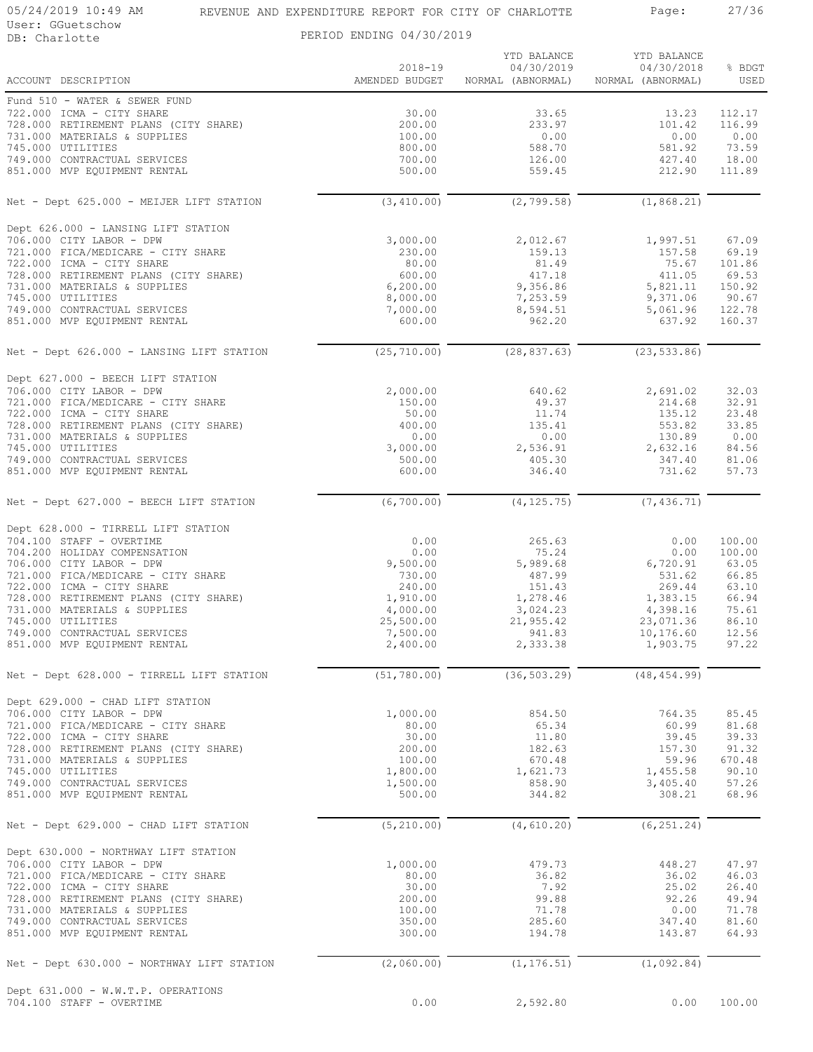## 05/24/2019 10:49 AM REVENUE AND EXPENDITURE REPORT FOR CITY OF CHARLOTTE Page: 27/36

| ACCOUNT DESCRIPTION                                             | 2018-19<br>AMENDED BUDGET | YTD BALANCE<br>04/30/2019<br>NORMAL (ABNORMAL) | YTD BALANCE<br>04/30/2018<br>NORMAL (ABNORMAL) | % BDGT<br>USED |
|-----------------------------------------------------------------|---------------------------|------------------------------------------------|------------------------------------------------|----------------|
| Fund 510 - WATER & SEWER FUND                                   |                           |                                                |                                                |                |
| 722.000 ICMA - CITY SHARE                                       | 30.00                     | 33.65                                          | 13.23                                          | 112.17         |
| 728.000 RETIREMENT PLANS (CITY SHARE)                           | 200.00                    | 233.97                                         | 101.42                                         | 116.99         |
| 731.000 MATERIALS & SUPPLIES                                    | 100.00                    | 0.00                                           | 0.00                                           | 0.00           |
| 745.000 UTILITIES<br>749.000 CONTRACTUAL SERVICES               | 800.00<br>700.00          | 588.70<br>126.00                               | 581.92<br>427.40                               | 73.59<br>18.00 |
| 851.000 MVP EQUIPMENT RENTAL                                    | 500.00                    | 559.45                                         | 212.90                                         | 111.89         |
| Net - Dept 625.000 - MEIJER LIFT STATION                        | (3, 410.00)               | (2, 799.58)                                    | (1, 868.21)                                    |                |
| Dept 626.000 - LANSING LIFT STATION                             |                           |                                                |                                                |                |
| 706.000 CITY LABOR - DPW                                        | 3,000.00<br>230.00        | 2,012.67<br>159.13                             | 1,997.51<br>157.58                             | 67.09<br>69.19 |
| 721.000 FICA/MEDICARE - CITY SHARE<br>722.000 ICMA - CITY SHARE | 80.00                     | 81.49                                          | 75.67                                          | 101.86         |
| 728.000 RETIREMENT PLANS (CITY SHARE)                           | 600.00                    | 417.18                                         | 411.05                                         | 69.53          |
| 731.000 MATERIALS & SUPPLIES                                    | 6,200.00                  | 9,356.86                                       | 5,821.11                                       | 150.92         |
| 745.000 UTILITIES                                               | 8,000.00                  | 7,253.59                                       | 9,371.06                                       | 90.67          |
| 749.000 CONTRACTUAL SERVICES                                    | 7,000.00                  | 8,594.51                                       | 5,061.96                                       | 122.78         |
| 851.000 MVP EQUIPMENT RENTAL                                    | 600.00                    | 962.20                                         | 637.92                                         | 160.37         |
| Net - Dept 626.000 - LANSING LIFT STATION                       | (25, 710.00)              | (28, 837.63)                                   | (23, 533.86)                                   |                |
| Dept 627.000 - BEECH LIFT STATION                               |                           |                                                |                                                |                |
| 706.000 CITY LABOR - DPW<br>721.000 FICA/MEDICARE - CITY SHARE  | 2,000.00<br>150.00        | 640.62<br>49.37                                | 2,691.02<br>214.68                             | 32.03<br>32.91 |
| 722.000 ICMA - CITY SHARE                                       | 50.00                     | 11.74                                          | 135.12                                         | 23.48          |
| 728.000 RETIREMENT PLANS (CITY SHARE)                           | 400.00                    | 135.41                                         | 553.82                                         | 33.85          |
| 731.000 MATERIALS & SUPPLIES                                    | 0.00                      | 0.00                                           | 130.89                                         | 0.00           |
| 745.000 UTILITIES                                               | 3,000.00                  | 2,536.91                                       | 2,632.16                                       | 84.56          |
| 749.000 CONTRACTUAL SERVICES                                    | 500.00                    | 405.30                                         | 347.40                                         | 81.06          |
| 851.000 MVP EQUIPMENT RENTAL                                    | 600.00                    | 346.40                                         | 731.62                                         | 57.73          |
| Net - Dept 627.000 - BEECH LIFT STATION                         | (6, 700.00)               | (4, 125.75)                                    | (7, 436.71)                                    |                |
| Dept 628.000 - TIRRELL LIFT STATION                             | 0.00                      | 265.63                                         | 0.00                                           | 100.00         |
| 704.100 STAFF - OVERTIME<br>704.200 HOLIDAY COMPENSATION        | 0.00                      | 75.24                                          | 0.00                                           | 100.00         |
| 706.000 CITY LABOR - DPW                                        | 9,500.00                  | 5,989.68                                       | 6,720.91                                       | 63.05          |
| 721.000 FICA/MEDICARE - CITY SHARE                              | 730.00                    | 487.99                                         | 531.62                                         | 66.85          |
| 722.000 ICMA - CITY SHARE                                       | 240.00                    | 151.43                                         | 269.44                                         | 63.10          |
| 728.000 RETIREMENT PLANS (CITY SHARE)                           | 1,910.00                  | 1,278.46                                       | 1,383.15                                       | 66.94          |
| 731.000 MATERIALS & SUPPLIES<br>745.000 UTILITIES               | 4,000.00                  | 3,024.23<br>21,955.42                          | 4,398.16<br>23,071.36                          | 75.61<br>86.10 |
| 749.000 CONTRACTUAL SERVICES                                    | 25,500.00<br>7,500.00     | 941.83                                         | 10,176.60                                      | 12.56          |
| 851.000 MVP EQUIPMENT RENTAL                                    | 2,400.00                  | 2,333.38                                       | 1,903.75                                       | 97.22          |
| Net - Dept 628.000 - TIRRELL LIFT STATION                       | (51, 780.00)              | (36, 503.29)                                   | (48, 454.99)                                   |                |
| Dept 629.000 - CHAD LIFT STATION                                |                           |                                                |                                                |                |
| 706.000 CITY LABOR - DPW                                        | 1,000.00                  | 854.50                                         | 764.35                                         | 85.45          |
| 721.000 FICA/MEDICARE - CITY SHARE                              | 80.00                     | 65.34                                          | 60.99                                          | 81.68          |
| 722.000 ICMA - CITY SHARE                                       | 30.00                     | 11.80                                          | 39.45                                          | 39.33          |
| 728.000 RETIREMENT PLANS (CITY SHARE)                           | 200.00                    | 182.63                                         | 157.30                                         | 91.32          |
| 731.000 MATERIALS & SUPPLIES<br>745.000 UTILITIES               | 100.00                    | 670.48                                         | 59.96<br>1,455.58                              | 670.48         |
| 749.000 CONTRACTUAL SERVICES                                    | 1,800.00<br>1,500.00      | 1,621.73<br>858.90                             | 3,405.40                                       | 90.10<br>57.26 |
| 851.000 MVP EQUIPMENT RENTAL                                    | 500.00                    | 344.82                                         | 308.21                                         | 68.96          |
| Net - Dept 629.000 - CHAD LIFT STATION                          | (5, 210.00)               | (4, 610.20)                                    | (6, 251.24)                                    |                |
| Dept 630.000 - NORTHWAY LIFT STATION                            |                           |                                                |                                                |                |
| 706.000 CITY LABOR - DPW                                        | 1,000.00                  | 479.73                                         | 448.27                                         | 47.97          |
| 721.000 FICA/MEDICARE - CITY SHARE                              | 80.00                     | 36.82                                          | 36.02                                          | 46.03          |
| 722.000 ICMA - CITY SHARE                                       | 30.00                     | 7.92                                           | 25.02                                          | 26.40          |
| 728.000 RETIREMENT PLANS (CITY SHARE)                           | 200.00                    | 99.88                                          | 92.26                                          | 49.94          |
| 731.000 MATERIALS & SUPPLIES<br>749.000 CONTRACTUAL SERVICES    | 100.00<br>350.00          | 71.78<br>285.60                                | 0.00<br>347.40                                 | 71.78<br>81.60 |
| 851.000 MVP EQUIPMENT RENTAL                                    | 300.00                    | 194.78                                         | 143.87                                         | 64.93          |
| Net - Dept 630.000 - NORTHWAY LIFT STATION                      | (2,060.00)                | (1, 176.51)                                    | (1,092.84)                                     |                |
|                                                                 |                           |                                                |                                                |                |
| Dept 631.000 - W.W.T.P. OPERATIONS                              |                           |                                                |                                                |                |
| 704.100 STAFF - OVERTIME                                        | 0.00                      | 2,592.80                                       |                                                | 0.00 100.00    |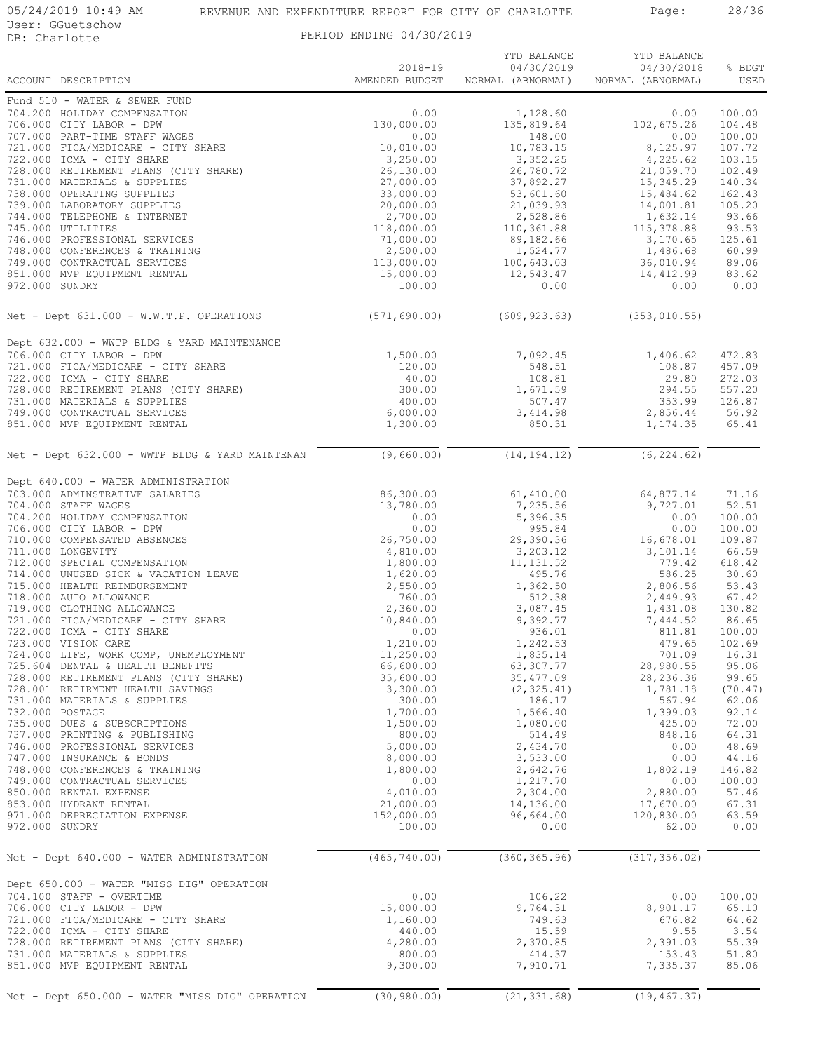### 05/24/2019 10:49 AM REVENUE AND EXPENDITURE REPORT FOR CITY OF CHARLOTTE Page: 28/36

PERIOD ENDING 04/30/2019

| ACCOUNT DESCRIPTION                                                                                                                                                             | $2018 - 19$<br>AMENDED BUDGET | YTD BALANCE<br>04/30/2019<br>NORMAL (ABNORMAL) | YTD BALANCE<br>04/30/2018<br>NORMAL (ABNORMAL) | % BDGT<br>USED   |
|---------------------------------------------------------------------------------------------------------------------------------------------------------------------------------|-------------------------------|------------------------------------------------|------------------------------------------------|------------------|
| Fund 510 - WATER & SEWER FUND                                                                                                                                                   |                               |                                                |                                                |                  |
| 704.200 HOLIDAY COMPENSATION                                                                                                                                                    | 0.00                          | 1,128.60                                       | 0.00                                           | 100.00           |
| 706.000 CITY LABOR - DPW                                                                                                                                                        | 130,000.00                    | 135,819.64                                     | 102,675.26                                     | 104.48           |
| 707.000 PART-TIME STAFF WAGES                                                                                                                                                   | 0.00                          | 148.00                                         | 0.00                                           | 100.00<br>107.72 |
| 721.000 FICA/MEDICARE - CITY SHARE<br>722.000 ICMA - CITY SHARE                                                                                                                 | 10,010.00<br>3,250.00         | 10,783.15<br>3,352.25                          | 8,125.97<br>4,225.62                           | 103.15           |
| 728.000 RETIREMENT PLANS (CITY SHARE)                                                                                                                                           | 26,130.00                     | 26,780.72                                      | 21,059.70                                      | 102.49           |
| 731.000 MATERIALS & SUPPLIES                                                                                                                                                    | 27,000.00                     | 37,892.27                                      | 15,345.29                                      | 140.34           |
| 738.000 OPERATING SUPPLIES                                                                                                                                                      | 33,000.00                     | 53,601.60                                      | 15,484.62                                      | 162.43           |
| 739.000 LABORATORY SUPPLIES                                                                                                                                                     | 20,000.00                     | 21,039.93                                      | 14,001.81                                      | 105.20<br>93.66  |
| 744.000 TELEPHONE & INTERNET<br>745.000 UTILITIES                                                                                                                               | 2,700.00<br>118,000.00        | 2,528.86<br>110,361.88                         | 1,632.14<br>115,378.88                         | 93.53            |
| 746.000 PROFESSIONAL SERVICES                                                                                                                                                   | 71,000.00                     | 89,182.66                                      | 3,170.65                                       | 125.61           |
| 748.000 CONFERENCES & TRAINING                                                                                                                                                  | 2,500.00                      | 1,524.77                                       | 1,486.68                                       | 60.99            |
| 749.000 CONTRACTUAL SERVICES                                                                                                                                                    | 113,000.00                    | 100,643.03                                     | 36,010.94                                      | 89.06            |
| 851.000 MVP EQUIPMENT RENTAL<br>972.000 SUNDRY                                                                                                                                  | 15,000.00<br>100.00           | 12,543.47<br>0.00                              | 14,412.99<br>0.00                              | 83.62<br>0.00    |
|                                                                                                                                                                                 |                               |                                                |                                                |                  |
| Net - Dept 631.000 - W.W.T.P. OPERATIONS                                                                                                                                        | (571, 690.00)                 | (609, 923.63)                                  | (353, 010.55)                                  |                  |
| Dept 632.000 - WWTP BLDG & YARD MAINTENANCE<br>706.000 CITY LABOR - DPW                                                                                                         | 1,500.00                      | 7,092.45                                       | 1,406.62                                       | 472.83           |
| 721.000 FICA/MEDICARE - CITY SHARE                                                                                                                                              | 120.00                        | 548.51                                         | 108.87                                         | 457.09           |
| 722.000 ICMA - CITY SHARE                                                                                                                                                       | 40.00                         | 108.81                                         | 29.80                                          | 272.03           |
| 728.000 RETIREMENT PLANS (CITY SHARE)                                                                                                                                           | 300.00                        | 1,671.59                                       | 294.55                                         | 557.20           |
| 731.000 MATERIALS & SUPPLIES                                                                                                                                                    | 400.00                        | 507.47                                         | 353.99                                         | 126.87           |
| 749.000 CONTRACTUAL SERVICES<br>851.000 MVP EQUIPMENT RENTAL                                                                                                                    | 6,000.00<br>1,300.00          | 3,414.98<br>850.31                             | 2,856.44<br>1,174.35                           | 56.92<br>65.41   |
|                                                                                                                                                                                 |                               |                                                |                                                |                  |
| Net - Dept 632.000 - WWTP BLDG & YARD MAINTENAN                                                                                                                                 | (9,660.00)                    | (14, 194.12)                                   | (6, 224.62)                                    |                  |
| Dept 640.000 - WATER ADMINISTRATION                                                                                                                                             |                               |                                                |                                                |                  |
| 703.000 ADMINSTRATIVE SALARIES                                                                                                                                                  | 86,300.00                     | 61,410.00                                      | 64,877.14                                      | 71.16            |
| 704.000 STAFF WAGES                                                                                                                                                             | 13,780.00                     | 7,235.56                                       | 9,727.01                                       | 52.51            |
| 704.200 HOLIDAY COMPENSATION<br>706.000 CITY LABOR - DPW                                                                                                                        | 0.00<br>0.00                  | 5,396.35<br>995.84                             | 0.00<br>0.00                                   | 100.00<br>100.00 |
| 710.000 COMPENSATED ABSENCES                                                                                                                                                    | 26,750.00                     | 29,390.36                                      | 16,678.01                                      | 109.87           |
| 711.000 LONGEVITY                                                                                                                                                               | 4,810.00                      | 3,203.12                                       | 3,101.14                                       | 66.59            |
| 712.000 SPECIAL COMPENSATION                                                                                                                                                    | 1,800.00                      | 11, 131.52                                     | 779.42                                         | 618.42           |
| 714.000 UNUSED SICK & VACATION LEAVE                                                                                                                                            | 1,620.00                      | 495.76                                         | 586.25                                         | 30.60            |
| 715.000 HEALTH REIMBURSEMENT<br>119.000 CLOTHING ALLOWANCE<br>721.000 FICA/MEDICARE - CITY SHARE<br>722.000 ICMA - CITY SHARE<br>723.000 VISION CARE<br>724.000 LIFE, WORK COMP | 2,550.00<br>760.00            | 1,362.50<br>512.38                             | 2,806.56<br>2,449.93                           | 53.43<br>67.42   |
|                                                                                                                                                                                 | 2,360.00                      | 3,087.45                                       | 1,431.08                                       | 130.82           |
|                                                                                                                                                                                 | 10,840.00                     | 9,392.77                                       | 7,444.52                                       | 86.65            |
|                                                                                                                                                                                 | 0.00                          | 936.01                                         | 811.81                                         | 100.00           |
|                                                                                                                                                                                 | 1,210.00                      | 1,242.53                                       | 479.65 102.69                                  |                  |
| 725.604 DENTAL & HEALTH BENEFITS                                                                                                                                                | 11,250.00<br>66,600.00        | 1,835.14<br>63,307.77                          | 701.09<br>28,980.55                            | 16.31<br>95.06   |
| 728.000 RETIREMENT PLANS (CITY SHARE)                                                                                                                                           | 35,600.00                     | 35,477.09                                      | 28,236.36                                      | 99.65            |
| 728.001 RETIRMENT HEALTH SAVINGS                                                                                                                                                | 3,300.00                      | (2, 325.41)                                    | 1,781.18                                       | (70.47)          |
| 731.000 MATERIALS & SUPPLIES                                                                                                                                                    | 300.00                        | 186.17                                         | 567.94                                         | 62.06            |
| 732.000 POSTAGE                                                                                                                                                                 | 1,700.00                      | 1,566.40                                       | 1,399.03                                       | 92.14            |
| 735.000 DUES & SUBSCRIPTIONS<br>737.000 PRINTING & PUBLISHING                                                                                                                   | 1,500.00<br>800.00            | 1,080.00<br>514.49                             | 425.00<br>848.16                               | 72.00<br>64.31   |
| 746.000 PROFESSIONAL SERVICES                                                                                                                                                   | 5,000.00                      | 2,434.70                                       | 0.00                                           | 48.69            |
| 747.000 INSURANCE & BONDS                                                                                                                                                       | 8,000.00                      | 3,533.00                                       | 0.00                                           | 44.16            |
| 748.000 CONFERENCES & TRAINING                                                                                                                                                  | 1,800.00                      | 2,642.76                                       | 1,802.19                                       | 146.82           |
| 749.000 CONTRACTUAL SERVICES                                                                                                                                                    | 0.00                          | 1,217.70                                       | 0.00                                           | 100.00           |
| 850.000 RENTAL EXPENSE                                                                                                                                                          | 4,010.00                      | 2,304.00                                       | 2,880.00                                       | 57.46            |
| 853.000 HYDRANT RENTAL<br>971.000 DEPRECIATION EXPENSE                                                                                                                          | 21,000.00<br>152,000.00       | 14,136.00<br>96,664.00                         | 17,670.00<br>120,830.00 63.59                  | 67.31            |
| 972.000 SUNDRY                                                                                                                                                                  | 100.00                        | 0.00                                           | 62.00                                          | 0.00             |
| Net - Dept 640.000 - WATER ADMINISTRATION                                                                                                                                       | (465, 740.00)                 | $(360, 365.96)$ $(317, 356.02)$                |                                                |                  |
| Dept 650.000 - WATER "MISS DIG" OPERATION                                                                                                                                       |                               |                                                |                                                |                  |
| 704.100 STAFF - OVERTIME<br>706.000 CITY LABOR - DPW                                                                                                                            | 0.00<br>15,000.00             | 106.22<br>9,764.31                             | 0.00<br>8,901.17                               | 100.00<br>65.10  |
| 721.000 FICA/MEDICARE - CITY SHARE                                                                                                                                              | 1,160.00                      | 749.63                                         | 676.82                                         | 64.62            |
| 722.000 ICMA - CITY SHARE                                                                                                                                                       | 440.00                        | 15.59                                          | 9.55                                           | 3.54             |
| 728.000 RETIREMENT PLANS (CITY SHARE)                                                                                                                                           | 4,280.00                      | 2,370.85                                       | 2,391.03                                       | 55.39            |
| 731.000 MATERIALS & SUPPLIES<br>851.000 MVP EQUIPMENT RENTAL                                                                                                                    | 800.00<br>9,300.00            | 414.37<br>7,910.71                             | 153.43<br>7,335.37                             | 51.80<br>85.06   |
|                                                                                                                                                                                 |                               |                                                |                                                |                  |

Net - Dept 650.000 - WATER "MISS DIG" OPERATION (30,980.00) (21,331.68) (19,467.37)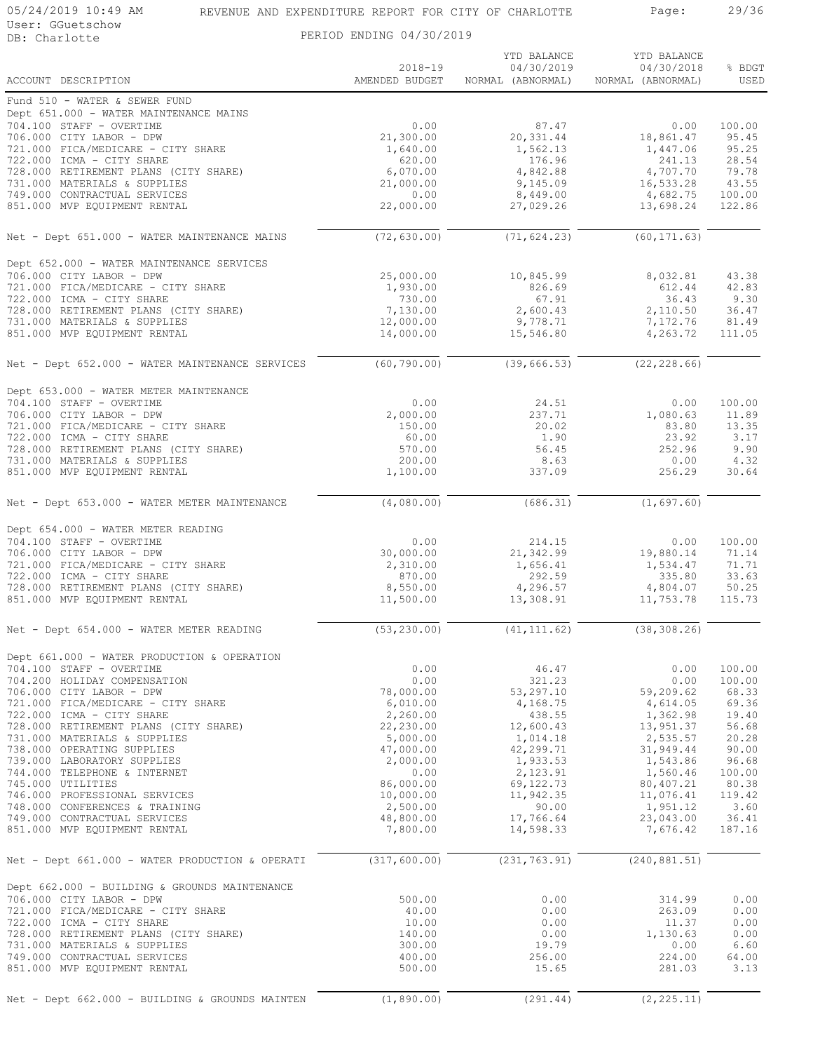### User: GGuetschow User: GGuetschow<br>DB: Charlotte PERIOD ENDING 04/30/2019

### 05/24/2019 10:49 AM REVENUE AND EXPENDITURE REPORT FOR CITY OF CHARLOTTE Page: 29/36

| ACCOUNT DESCRIPTION                                                       | $2018 - 19$<br>AMENDED BUDGET | YTD BALANCE<br>04/30/2019<br>NORMAL (ABNORMAL) | YTD BALANCE<br>04/30/2018<br>NORMAL (ABNORMAL) | % BDGT<br>USED   |
|---------------------------------------------------------------------------|-------------------------------|------------------------------------------------|------------------------------------------------|------------------|
| Fund 510 - WATER & SEWER FUND                                             |                               |                                                |                                                |                  |
| Dept 651.000 - WATER MAINTENANCE MAINS                                    |                               |                                                |                                                |                  |
| 704.100 STAFF - OVERTIME<br>706.000 CITY LABOR - DPW                      | 0.00                          | 87.47                                          | 0.00                                           | 100.00<br>95.45  |
| 721.000 FICA/MEDICARE - CITY SHARE                                        | 21,300.00<br>1,640.00         | 20,331.44<br>1,562.13                          | 18,861.47<br>1,447.06                          | 95.25            |
| 722.000 ICMA - CITY SHARE                                                 | 620.00                        | 176.96                                         | 241.13                                         | 28.54            |
| 728.000 RETIREMENT PLANS (CITY SHARE)                                     | 6,070.00                      | 4,842.88                                       | 4,707.70                                       | 79.78            |
| 731.000 MATERIALS & SUPPLIES<br>749.000 CONTRACTUAL SERVICES              | 21,000.00<br>0.00             | 9,145.09<br>8,449.00                           | 16,533.28 43.55<br>4,682.75                    | 100.00           |
| 851.000 MVP EQUIPMENT RENTAL                                              | 22,000.00                     | 27,029.26                                      | 13,698.24                                      | 122.86           |
| Net - Dept 651.000 - WATER MAINTENANCE MAINS                              | (72, 630.00)                  | (71, 624.23)                                   | (60, 171.63)                                   |                  |
| Dept 652.000 - WATER MAINTENANCE SERVICES                                 |                               |                                                |                                                |                  |
| 706.000 CITY LABOR - DPW                                                  | 25,000.00                     | 10,845.99                                      | 8,032.81                                       | 43.38            |
| 721.000 FICA/MEDICARE - CITY SHARE<br>722.000 ICMA - CITY SHARE           | 1,930.00<br>730.00            | 826.69<br>67.91                                | 612.44<br>36.43                                | 42.83<br>9.30    |
| 728.000 RETIREMENT PLANS (CITY SHARE)                                     | 7,130.00                      | 2,600.43                                       | 2,110.50                                       | 36.47            |
| 731.000 MATERIALS & SUPPLIES                                              | 12,000.00                     | 9,778.71                                       | 7,172.76                                       | 81.49            |
| 851.000 MVP EQUIPMENT RENTAL                                              | 14,000.00                     | 15,546.80                                      | 4,263.72                                       | 111.05           |
| Net - Dept 652.000 - WATER MAINTENANCE SERVICES                           | (60, 790.00)                  | (39, 666.53)                                   | (22, 228.66)                                   |                  |
| Dept 653.000 - WATER METER MAINTENANCE                                    |                               |                                                |                                                |                  |
| 704.100 STAFF - OVERTIME<br>706.000 CITY LABOR - DPW                      | 0.00<br>2,000.00              | 24.51<br>237.71                                | 0.00<br>1,080.63                               | 100.00<br>11.89  |
| 721.000 FICA/MEDICARE - CITY SHARE                                        | 150.00                        | 20.02                                          | 83.80                                          | 13.35            |
| 722.000 ICMA - CITY SHARE                                                 | 60.00                         | 1.90                                           | 23.92                                          | 3.17             |
| 728.000 RETIREMENT PLANS (CITY SHARE)                                     | 570.00                        | 56.45                                          | 252.96                                         | 9.90             |
| 731.000 MATERIALS & SUPPLIES<br>851.000 MVP EQUIPMENT RENTAL              | 200.00<br>1,100.00            | 8.63<br>337.09                                 | 0.00<br>256.29                                 | 4.32<br>30.64    |
| Net - Dept 653.000 - WATER METER MAINTENANCE                              | (4,080.00)                    | (686.31)                                       | (1, 697.60)                                    |                  |
| Dept 654.000 - WATER METER READING                                        |                               |                                                |                                                |                  |
| 704.100 STAFF - OVERTIME                                                  | 0.00                          | 214.15                                         | 0.00                                           | 100.00           |
| 706.000 CITY LABOR - DPW                                                  | 30,000.00                     | 21,342.99                                      | 19,880.14                                      | 71.14            |
| 721.000 FICA/MEDICARE - CITY SHARE                                        | 2,310.00                      | 1,656.41                                       | 1,534.47                                       | 71.71            |
| 722.000 ICMA - CITY SHARE<br>728.000 RETIREMENT PLANS (CITY SHARE)        | 870.00<br>8,550.00            | 292.59<br>4,296.57                             | 335.80<br>4,804.07                             | 33.63<br>50.25   |
| 851.000 MVP EQUIPMENT RENTAL                                              | 11,500.00                     | 13,308.91                                      | 11,753.78                                      | 115.73           |
| Net - Dept 654.000 - WATER METER READING                                  | (53, 230.00)                  | (41, 111.62)                                   | (38, 308.26)                                   |                  |
| Dept 661.000 - WATER PRODUCTION & OPERATION                               |                               |                                                |                                                |                  |
| 704.100 STAFF - OVERTIME<br>704.200 HOLIDAY COMPENSATION                  | 0.00<br>0.00                  | 46.47<br>321.23                                | 0.00<br>0.00                                   | 100.00<br>100.00 |
| 706.000 CITY LABOR - DPW                                                  | 78,000.00                     | 53, 297.10                                     | 59,209.62                                      | 68.33            |
| 721.000 FICA/MEDICARE - CITY SHARE                                        | 6,010.00                      | 4,168.75                                       | 4,614.05                                       | 69.36            |
| 722.000 ICMA - CITY SHARE<br>728.000 RETIREMENT PLANS (CITY SHARE)        | 2,260.00<br>22,230.00         | 438.55<br>12,600.43                            | 1,362.98<br>13,951.37                          | 19.40<br>56.68   |
| 731.000 MATERIALS & SUPPLIES                                              | 5,000.00                      | 1,014.18                                       | 2,535.57                                       | 20.28            |
| 738.000 OPERATING SUPPLIES                                                | 47,000.00                     | 42,299.71                                      | 31,949.44                                      | 90.00            |
| 739.000 LABORATORY SUPPLIES<br>744.000 TELEPHONE & INTERNET               | 2,000.00<br>0.00              | 1,933.53<br>2,123.91                           | 1,543.86<br>1,560.46                           | 96.68<br>100.00  |
| 745.000 UTILITIES                                                         | 86,000.00                     | 69, 122.73                                     | 80,407.21                                      | 80.38            |
| 746.000 PROFESSIONAL SERVICES                                             | 10,000.00                     | 11,942.35                                      | 11,076.41                                      | 119.42           |
| 748.000 CONFERENCES & TRAINING                                            | 2,500.00                      | 90.00                                          | 1,951.12                                       | 3.60             |
| 749.000 CONTRACTUAL SERVICES<br>851.000 MVP EQUIPMENT RENTAL              | 48,800.00<br>7,800.00         | 17,766.64<br>14,598.33                         | 23,043.00<br>7,676.42                          | 36.41<br>187.16  |
| Net - Dept 661.000 - WATER PRODUCTION & OPERATI                           | (317, 600.00)                 | (231, 763.91)                                  | (240, 881.51)                                  |                  |
|                                                                           |                               |                                                |                                                |                  |
| Dept 662.000 - BUILDING & GROUNDS MAINTENANCE<br>706.000 CITY LABOR - DPW | 500.00                        | 0.00                                           | 314.99                                         | 0.00             |
| 721.000 FICA/MEDICARE - CITY SHARE                                        | 40.00                         | 0.00                                           | 263.09                                         | 0.00             |
| 722.000 ICMA - CITY SHARE                                                 | 10.00                         | 0.00                                           | 11.37                                          | 0.00             |
| 728.000 RETIREMENT PLANS (CITY SHARE)<br>731.000 MATERIALS & SUPPLIES     | 140.00<br>300.00              | 0.00<br>19.79                                  | 1,130.63<br>0.00                               | 0.00<br>6.60     |
| 749.000 CONTRACTUAL SERVICES                                              | 400.00                        | 256.00                                         | 224.00                                         | 64.00            |
| 851.000 MVP EQUIPMENT RENTAL                                              | 500.00                        | 15.65                                          | 281.03                                         | 3.13             |
| Net - Dept 662.000 - BUILDING & GROUNDS MAINTEN                           | (1, 890.00)                   | (291.44)                                       | (2, 225.11)                                    |                  |
|                                                                           |                               |                                                |                                                |                  |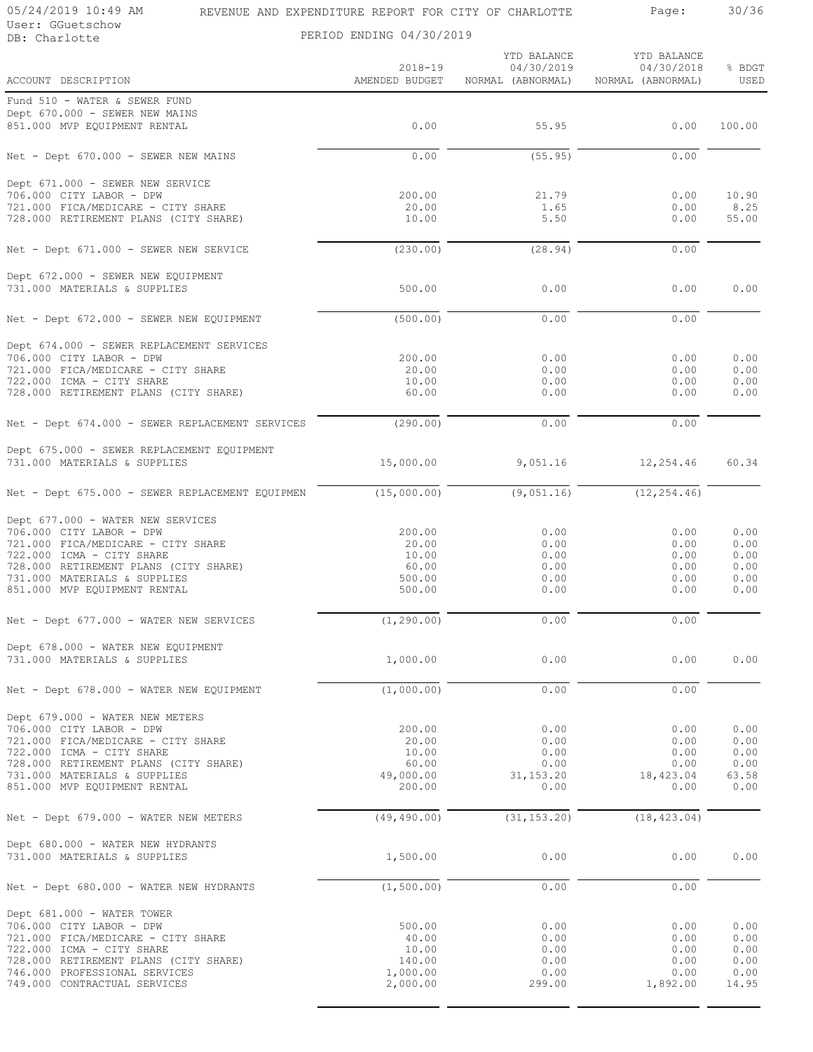### 05/24/2019 10:49 AM REVENUE AND EXPENDITURE REPORT FOR CITY OF CHARLOTTE Page: 30/36

PERIOD ENDING 04/30/2019

|                                                                             | $2018 - 19$     | YTD BALANCE<br>04/30/2019 | YTD BALANCE<br>04/30/2018 | % BDGT        |
|-----------------------------------------------------------------------------|-----------------|---------------------------|---------------------------|---------------|
| ACCOUNT DESCRIPTION                                                         | AMENDED BUDGET  | NORMAL (ABNORMAL)         | NORMAL (ABNORMAL)         | USED          |
| Fund 510 - WATER & SEWER FUND                                               |                 |                           |                           |               |
| Dept 670.000 - SEWER NEW MAINS                                              | 0.00            | 55.95                     |                           | 100.00        |
| 851.000 MVP EQUIPMENT RENTAL                                                |                 |                           | 0.00                      |               |
| Net - Dept 670.000 - SEWER NEW MAINS                                        | 0.00            | (55.95)                   | 0.00                      |               |
|                                                                             |                 |                           |                           |               |
| Dept 671.000 - SEWER NEW SERVICE                                            |                 |                           |                           |               |
| 706.000 CITY LABOR - DPW                                                    | 200.00          | 21.79                     | 0.00                      | 10.90         |
| 721.000 FICA/MEDICARE - CITY SHARE<br>728.000 RETIREMENT PLANS (CITY SHARE) | 20.00<br>10.00  | 1.65<br>5.50              | 0.00<br>0.00              | 8.25<br>55.00 |
|                                                                             |                 |                           |                           |               |
| Net - Dept 671.000 - SEWER NEW SERVICE                                      | (230.00)        | (28.94)                   | 0.00                      |               |
|                                                                             |                 |                           |                           |               |
| Dept 672.000 - SEWER NEW EQUIPMENT                                          |                 |                           |                           |               |
| 731.000 MATERIALS & SUPPLIES                                                | 500.00          | 0.00                      | 0.00                      | 0.00          |
|                                                                             |                 |                           |                           |               |
| Net - Dept 672.000 - SEWER NEW EQUIPMENT                                    | (500.00)        | 0.00                      | 0.00                      |               |
|                                                                             |                 |                           |                           |               |
| Dept 674.000 - SEWER REPLACEMENT SERVICES<br>706.000 CITY LABOR - DPW       | 200.00          | 0.00                      | 0.00                      | 0.00          |
| 721.000 FICA/MEDICARE - CITY SHARE                                          | 20.00           | 0.00                      | 0.00                      | 0.00          |
| 722.000 ICMA - CITY SHARE                                                   | 10.00           | 0.00                      | 0.00                      | 0.00          |
| 728.000 RETIREMENT PLANS (CITY SHARE)                                       | 60.00           | 0.00                      | 0.00                      | 0.00          |
|                                                                             |                 |                           |                           |               |
| Net - Dept 674.000 - SEWER REPLACEMENT SERVICES                             | (290.00)        | 0.00                      | 0.00                      |               |
| Dept 675.000 - SEWER REPLACEMENT EQUIPMENT                                  |                 |                           |                           |               |
| 731.000 MATERIALS & SUPPLIES                                                | 15,000.00       | 9,051.16                  | 12,254.46                 | 60.34         |
|                                                                             |                 |                           |                           |               |
| Net - Dept 675.000 - SEWER REPLACEMENT EQUIPMEN                             | (15,000.00)     | (9, 051.16)               | (12, 254.46)              |               |
|                                                                             |                 |                           |                           |               |
| Dept 677.000 - WATER NEW SERVICES                                           |                 |                           |                           |               |
| 706.000 CITY LABOR - DPW                                                    | 200.00          | 0.00                      | 0.00                      | 0.00          |
| 721.000 FICA/MEDICARE - CITY SHARE                                          | 20.00           | 0.00                      | 0.00                      | 0.00          |
| 722.000 ICMA - CITY SHARE<br>728.000 RETIREMENT PLANS (CITY SHARE)          | 10.00<br>60.00  | 0.00<br>0.00              | 0.00<br>0.00              | 0.00<br>0.00  |
| 731.000 MATERIALS & SUPPLIES                                                | 500.00          | 0.00                      | 0.00                      | 0.00          |
| 851.000 MVP EQUIPMENT RENTAL                                                | 500.00          | 0.00                      | 0.00                      | 0.00          |
|                                                                             |                 |                           |                           |               |
| Net - Dept 677.000 - WATER NEW SERVICES                                     | (1, 290.00)     | 0.00                      | 0.00                      |               |
|                                                                             |                 |                           |                           |               |
| Dept 678.000 - WATER NEW EQUIPMENT                                          | 1,000.00        | 0.00                      | 0.00                      | 0.00          |
| 731.000 MATERIALS & SUPPLIES                                                |                 |                           |                           |               |
| Net - Dept 678.000 - WATER NEW EQUIPMENT                                    | (1,000.00)      | 0.00                      | 0.00                      |               |
|                                                                             |                 |                           |                           |               |
| Dept 679.000 - WATER NEW METERS                                             |                 |                           |                           |               |
| 706.000 CITY LABOR - DPW                                                    | 200.00          | 0.00                      | 0.00                      | 0.00          |
| 721.000 FICA/MEDICARE - CITY SHARE                                          | 20.00           | 0.00                      | 0.00                      | 0.00          |
| 722.000 ICMA - CITY SHARE<br>728.000 RETIREMENT PLANS (CITY SHARE)          | 10.00<br>60.00  | 0.00<br>0.00              | 0.00<br>0.00              | 0.00<br>0.00  |
| 731.000 MATERIALS & SUPPLIES                                                | 49,000.00       | 31, 153. 20               | 18,423.04                 | 63.58         |
| 851.000 MVP EQUIPMENT RENTAL                                                | 200.00          | 0.00                      | 0.00                      | 0.00          |
|                                                                             |                 |                           |                           |               |
| Net - Dept 679.000 - WATER NEW METERS                                       | (49, 490.00)    | (31, 153.20)              | (18, 423.04)              |               |
|                                                                             |                 |                           |                           |               |
| Dept 680.000 - WATER NEW HYDRANTS<br>731.000 MATERIALS & SUPPLIES           | 1,500.00        | 0.00                      | 0.00                      | 0.00          |
|                                                                             |                 |                           |                           |               |
| Net - Dept 680.000 - WATER NEW HYDRANTS                                     | (1, 500.00)     | 0.00                      | 0.00                      |               |
|                                                                             |                 |                           |                           |               |
| Dept 681.000 - WATER TOWER                                                  |                 |                           |                           |               |
| 706.000 CITY LABOR - DPW                                                    | 500.00          | 0.00                      | 0.00                      | 0.00          |
| 721.000 FICA/MEDICARE - CITY SHARE                                          | 40.00           | 0.00                      | 0.00                      | 0.00          |
| 722.000 ICMA - CITY SHARE<br>728.000 RETIREMENT PLANS (CITY SHARE)          | 10.00<br>140.00 | 0.00<br>0.00              | 0.00<br>0.00              | 0.00<br>0.00  |
| 746.000 PROFESSIONAL SERVICES                                               | 1,000.00        | 0.00                      | 0.00                      | 0.00          |
| 749.000 CONTRACTUAL SERVICES                                                | 2,000.00        | 299.00                    | 1,892.00                  | 14.95         |

 $-$ 

 $-$ 

 $-$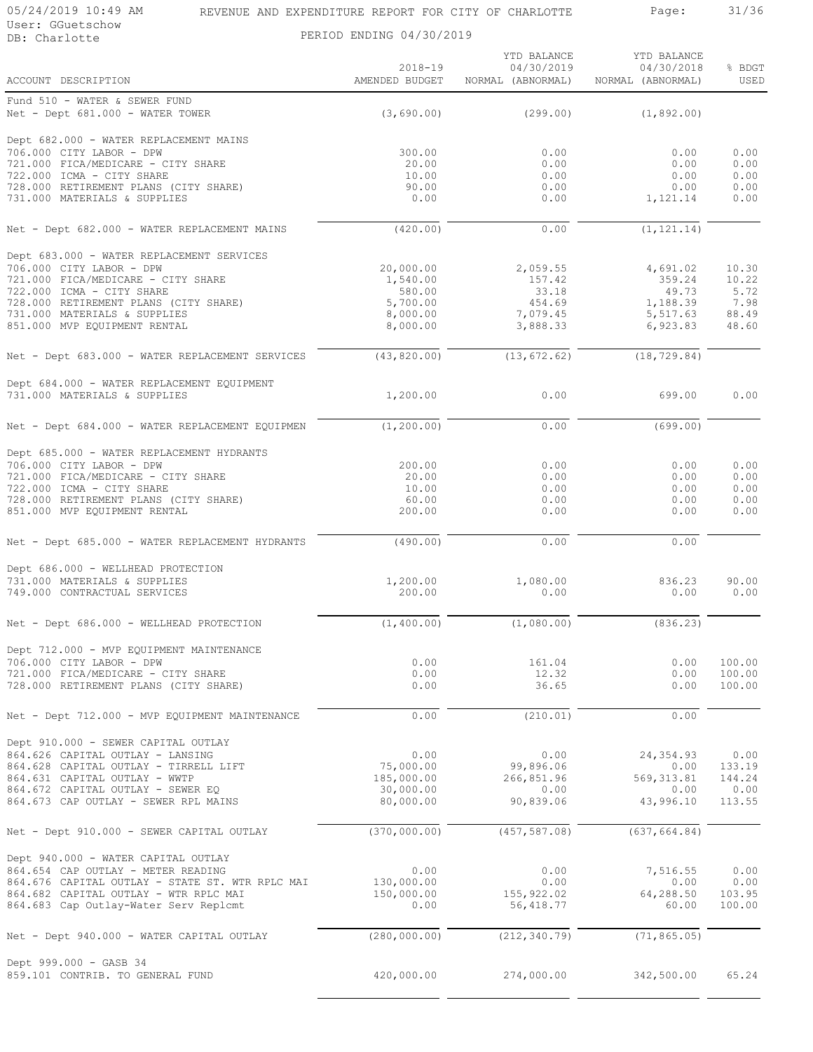### 05/24/2019 10:49 AM REVENUE AND EXPENDITURE REPORT FOR CITY OF CHARLOTTE Page: 31/36

PERIOD ENDING 04/30/2019

|                                                                                       |                           | YTD BALANCE                     | YTD BALANCE                     |                |
|---------------------------------------------------------------------------------------|---------------------------|---------------------------------|---------------------------------|----------------|
| ACCOUNT DESCRIPTION                                                                   | 2018-19<br>AMENDED BUDGET | 04/30/2019<br>NORMAL (ABNORMAL) | 04/30/2018<br>NORMAL (ABNORMAL) | % BDGT<br>USED |
|                                                                                       |                           |                                 |                                 |                |
| Fund 510 - WATER & SEWER FUND                                                         |                           |                                 |                                 |                |
| Net - Dept 681.000 - WATER TOWER                                                      | (3,690.00)                | (299.00)                        | (1, 892.00)                     |                |
| Dept 682.000 - WATER REPLACEMENT MAINS                                                |                           |                                 |                                 |                |
| 706.000 CITY LABOR - DPW                                                              | 300.00                    | 0.00                            | 0.00                            | 0.00           |
| 721.000 FICA/MEDICARE - CITY SHARE                                                    | 20.00                     | 0.00                            | 0.00                            | 0.00           |
| 722.000 ICMA - CITY SHARE<br>728.000 RETIREMENT PLANS (CITY SHARE)                    | 10.00<br>90.00            | 0.00<br>0.00                    | 0.00<br>0.00                    | 0.00<br>0.00   |
| 731.000 MATERIALS & SUPPLIES                                                          | 0.00                      | 0.00                            | 1,121.14                        | 0.00           |
|                                                                                       |                           |                                 |                                 |                |
| Net - Dept 682.000 - WATER REPLACEMENT MAINS                                          | (420.00)                  | 0.00                            | (1, 121.14)                     |                |
|                                                                                       |                           |                                 |                                 |                |
| Dept 683.000 - WATER REPLACEMENT SERVICES                                             |                           |                                 |                                 |                |
| 706.000 CITY LABOR - DPW                                                              | 20,000.00                 | 2,059.55                        | 4,691.02                        | 10.30          |
| 721.000 FICA/MEDICARE - CITY SHARE                                                    | 1,540.00                  | 157.42                          | 359.24                          | 10.22          |
| 722.000 ICMA - CITY SHARE<br>728.000 RETIREMENT PLANS (CITY SHARE)                    | 580.00<br>5,700.00        | 33.18<br>454.69                 | 49.73<br>1,188.39               | 5.72<br>7.98   |
| 731.000 MATERIALS & SUPPLIES                                                          | 8,000.00                  | 7,079.45                        | 5,517.63                        | 88.49          |
| 851.000 MVP EQUIPMENT RENTAL                                                          | 8,000.00                  | 3,888.33                        | 6,923.83                        | 48.60          |
|                                                                                       |                           |                                 |                                 |                |
| Net - Dept 683.000 - WATER REPLACEMENT SERVICES                                       | (43, 820.00)              | (13, 672.62)                    | (18, 729.84)                    |                |
|                                                                                       |                           |                                 |                                 |                |
| Dept 684.000 - WATER REPLACEMENT EQUIPMENT                                            |                           |                                 |                                 |                |
| 731.000 MATERIALS & SUPPLIES                                                          | 1,200.00                  | 0.00                            | 699.00                          | 0.00           |
|                                                                                       |                           |                                 |                                 |                |
| Net - Dept 684.000 - WATER REPLACEMENT EQUIPMEN                                       | (1, 200.00)               | 0.00                            | (699.00)                        |                |
|                                                                                       |                           |                                 |                                 |                |
| Dept 685.000 - WATER REPLACEMENT HYDRANTS                                             |                           |                                 |                                 |                |
| 706.000 CITY LABOR - DPW<br>721.000 FICA/MEDICARE - CITY SHARE                        | 200.00<br>20.00           | 0.00<br>0.00                    | 0.00<br>0.00                    | 0.00<br>0.00   |
| 722.000 ICMA - CITY SHARE                                                             | 10.00                     | 0.00                            | 0.00                            | 0.00           |
| 728.000 RETIREMENT PLANS (CITY SHARE)                                                 | 60.00                     | 0.00                            | 0.00                            | 0.00           |
| 851.000 MVP EQUIPMENT RENTAL                                                          | 200.00                    | 0.00                            | 0.00                            | 0.00           |
|                                                                                       |                           |                                 |                                 |                |
| Net - Dept 685.000 - WATER REPLACEMENT HYDRANTS                                       | (490.00)                  | 0.00                            | 0.00                            |                |
|                                                                                       |                           |                                 |                                 |                |
| Dept 686.000 - WELLHEAD PROTECTION                                                    |                           |                                 |                                 | 90.00          |
| 731.000 MATERIALS & SUPPLIES<br>749.000 CONTRACTUAL SERVICES                          | 1,200.00<br>200.00        | 1,080.00<br>0.00                | 836.23<br>0.00                  | 0.00           |
|                                                                                       |                           |                                 |                                 |                |
| Net - Dept 686.000 - WELLHEAD PROTECTION                                              | (1, 400.00)               | (1,080.00)                      | (836.23)                        |                |
|                                                                                       |                           |                                 |                                 |                |
| Dept 712.000 - MVP EQUIPMENT MAINTENANCE                                              |                           |                                 |                                 |                |
| 706.000 CITY LABOR - DPW                                                              | 0.00                      | 161.04                          | 0.00                            | 100.00         |
| 721.000 FICA/MEDICARE - CITY SHARE                                                    | 0.00                      | 12.32                           | 0.00                            | 100.00         |
| 728.000 RETIREMENT PLANS (CITY SHARE)                                                 | 0.00                      | 36.65                           | 0.00                            | 100.00         |
|                                                                                       |                           |                                 |                                 |                |
| Net - Dept 712.000 - MVP EQUIPMENT MAINTENANCE                                        | 0.00                      | (210.01)                        | 0.00                            |                |
|                                                                                       |                           |                                 |                                 |                |
| Dept 910.000 - SEWER CAPITAL OUTLAY<br>864.626 CAPITAL OUTLAY - LANSING               |                           |                                 |                                 |                |
| 864.628 CAPITAL OUTLAY - TIRRELL LIFT                                                 | 0.00<br>75,000.00         | 0.00<br>99,896.06               | 24,354.93<br>0.00               | 0.00<br>133.19 |
| 864.631 CAPITAL OUTLAY - WWTP                                                         | 185,000.00                | 266,851.96                      | 569, 313.81                     | 144.24         |
| 864.672 CAPITAL OUTLAY - SEWER EQ                                                     | 30,000.00                 | 0.00                            | 0.00                            | 0.00           |
| 864.673 CAP OUTLAY - SEWER RPL MAINS                                                  | 80,000.00                 | 90,839.06                       | 43,996.10                       | 113.55         |
|                                                                                       |                           |                                 |                                 |                |
| Net - Dept 910.000 - SEWER CAPITAL OUTLAY                                             | (370,000.00)              | (457, 587.08)                   | (637, 664.84)                   |                |
|                                                                                       |                           |                                 |                                 |                |
| Dept 940.000 - WATER CAPITAL OUTLAY                                                   |                           |                                 |                                 |                |
| 864.654 CAP OUTLAY - METER READING<br>864.676 CAPITAL OUTLAY - STATE ST. WTR RPLC MAI | 0.00<br>130,000.00        | 0.00<br>0.00                    | 7,516.55<br>0.00                | 0.00<br>0.00   |
| 864.682 CAPITAL OUTLAY - WTR RPLC MAI                                                 | 150,000.00                | 155,922.02                      | 64,288.50                       | 103.95         |
| 864.683 Cap Outlay-Water Serv Replcmt                                                 | 0.00                      | 56, 418.77                      | 60.00                           | 100.00         |
|                                                                                       |                           |                                 |                                 |                |
| Net - Dept 940.000 - WATER CAPITAL OUTLAY                                             | (280, 000.00)             | (212, 340.79)                   | (71, 865.05)                    |                |
|                                                                                       |                           |                                 |                                 |                |
| Dept 999.000 - GASB 34                                                                |                           |                                 |                                 |                |
| 859.101 CONTRIB. TO GENERAL FUND                                                      | 420,000.00                | 274,000.00                      | 342,500.00                      | 65.24          |

 $-$ 

 $-$ 

 $-$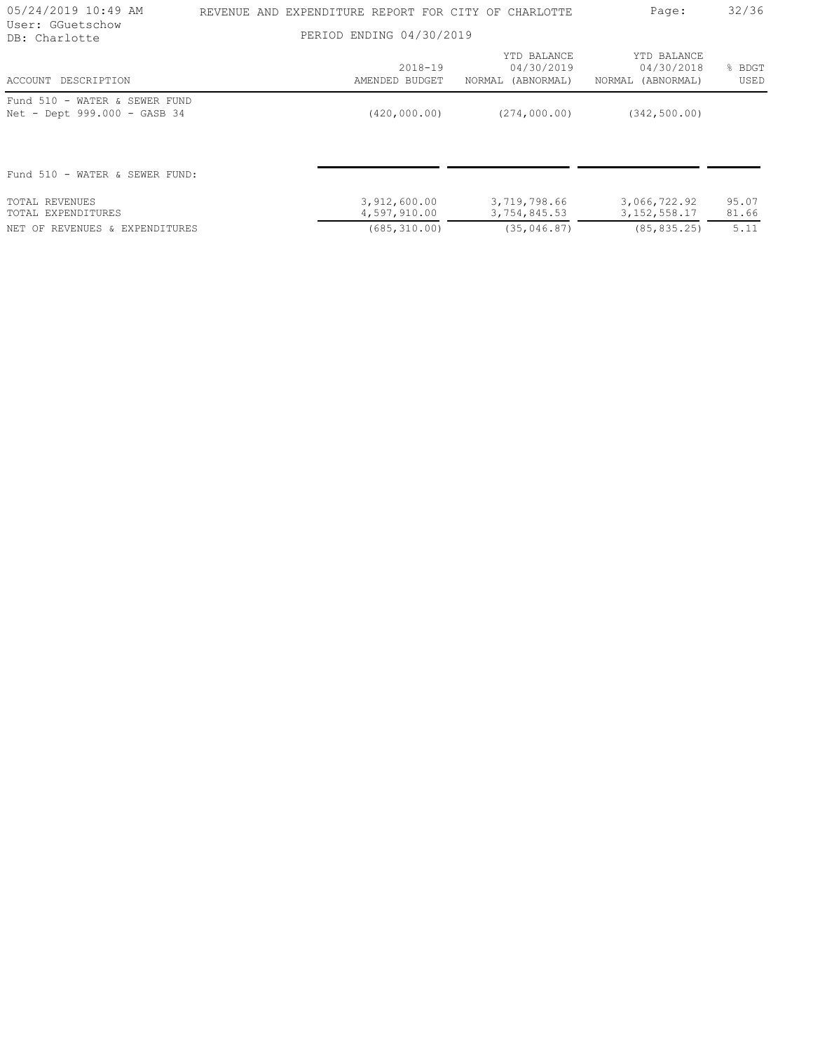| 05/24/2019 10:49 AM<br>User: GGuetschow                       | REVENUE AND EXPENDITURE REPORT FOR CITY OF<br>CHARLOTTE |                               |                                                   | Page:                                             | 32/36          |
|---------------------------------------------------------------|---------------------------------------------------------|-------------------------------|---------------------------------------------------|---------------------------------------------------|----------------|
| PERIOD ENDING 04/30/2019<br>DB: Charlotte                     |                                                         |                               |                                                   |                                                   |                |
| ACCOUNT<br>DESCRIPTION                                        |                                                         | $2018 - 19$<br>AMENDED BUDGET | YTD BALANCE<br>04/30/2019<br>(ABNORMAL)<br>NORMAL | YTD BALANCE<br>04/30/2018<br>(ABNORMAL)<br>NORMAL | % BDGT<br>USED |
| Fund 510 - WATER & SEWER FUND<br>Net - Dept 999.000 - GASB 34 |                                                         | (420, 000, 00)                | (274,000.00)                                      | (342, 500.00)                                     |                |
| Fund 510 - WATER & SEWER FUND:                                |                                                         |                               |                                                   |                                                   |                |
| TOTAL REVENUES<br>TOTAL EXPENDITURES                          |                                                         | 3,912,600.00<br>4,597,910.00  | 3,719,798.66<br>3,754,845.53                      | 3,066,722.92<br>3, 152, 558.17                    | 95.07<br>81.66 |
| NET OF REVENUES & EXPENDITURES                                |                                                         | (685, 310.00)                 | (35, 046, 87)                                     | (85, 835, 25)                                     | 5.11           |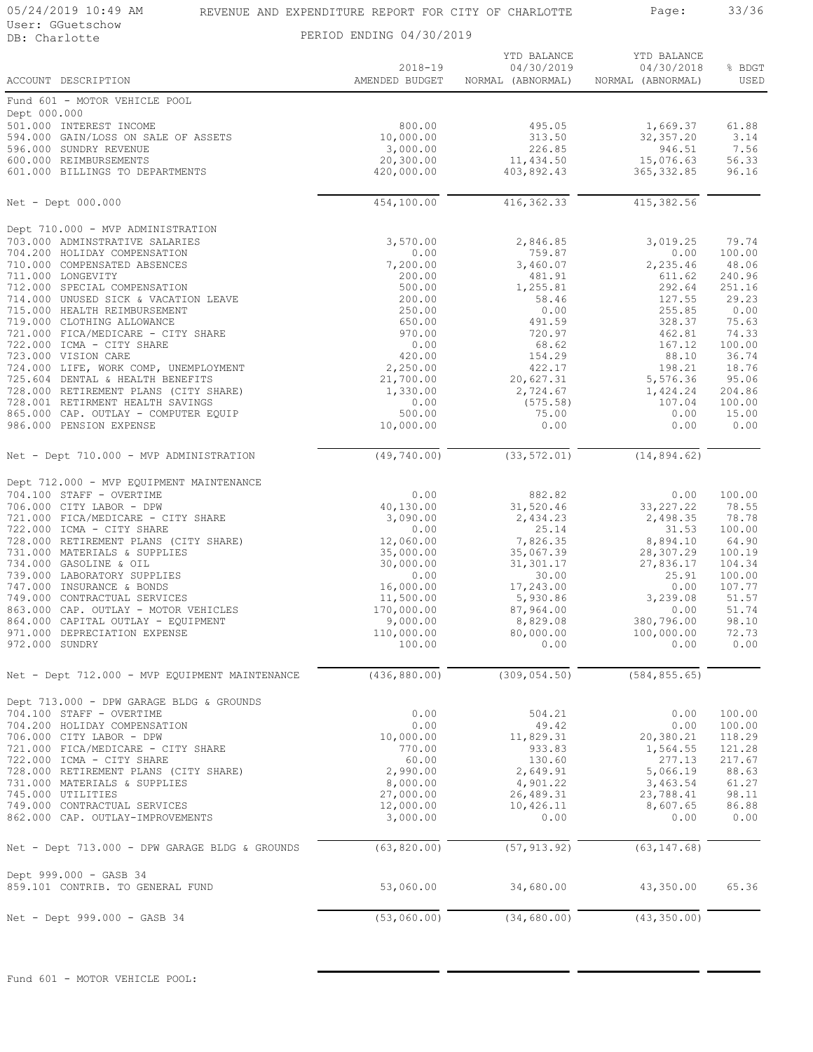### 05/24/2019 10:49 AM REVENUE AND EXPENDITURE REPORT FOR CITY OF CHARLOTTE Page: 33/36

PERIOD ENDING 04/30/2019

| ACCOUNT DESCRIPTION                                                       | $2018 - 19$<br>AMENDED BUDGET | YTD BALANCE<br>04/30/2019<br>NORMAL (ABNORMAL) | YTD BALANCE<br>04/30/2018<br>NORMAL (ABNORMAL) | % BDGT<br>USED   |
|---------------------------------------------------------------------------|-------------------------------|------------------------------------------------|------------------------------------------------|------------------|
|                                                                           |                               |                                                |                                                |                  |
| Fund 601 - MOTOR VEHICLE POOL<br>Dept 000.000                             |                               |                                                |                                                |                  |
| 501.000 INTEREST INCOME                                                   | 800.00                        | 495.05                                         | 1,669.37                                       | 61.88            |
| 594.000 GAIN/LOSS ON SALE OF ASSETS                                       | 10,000.00                     | 313.50                                         | 32, 357.20                                     | 3.14             |
| 596.000 SUNDRY REVENUE<br>600.000 REIMBURSEMENTS                          | 3,000.00<br>20,300.00         | 226.85<br>11,434.50                            | 946.51<br>15,076.63                            | 7.56<br>56.33    |
| 601.000 BILLINGS TO DEPARTMENTS                                           | 420,000.00                    | 403,892.43                                     | 365, 332.85                                    | 96.16            |
|                                                                           |                               |                                                |                                                |                  |
| Net - Dept 000.000                                                        | 454,100.00                    | 416, 362.33                                    | 415,382.56                                     |                  |
| Dept 710.000 - MVP ADMINISTRATION                                         |                               |                                                |                                                |                  |
| 703.000 ADMINSTRATIVE SALARIES                                            | 3,570.00                      | 2,846.85                                       | 3,019.25                                       | 79.74            |
| 704.200 HOLIDAY COMPENSATION                                              | 0.00                          | 759.87                                         | 0.00                                           | 100.00           |
| 710.000 COMPENSATED ABSENCES<br>711.000 LONGEVITY                         | 7,200.00<br>200.00            | 3,460.07<br>481.91                             | 2,235.46<br>611.62                             | 48.06<br>240.96  |
| 712.000 SPECIAL COMPENSATION                                              | 500.00                        | 1,255.81                                       | 292.64                                         | 251.16           |
| 714.000 UNUSED SICK & VACATION LEAVE                                      | 200.00                        | 58.46                                          | 127.55                                         | 29.23            |
| 715.000 HEALTH REIMBURSEMENT<br>719.000 CLOTHING ALLOWANCE                | 250.00<br>650.00              | 0.00<br>491.59                                 | 255.85<br>328.37                               | 0.00<br>75.63    |
| 721.000 FICA/MEDICARE - CITY SHARE                                        | 970.00                        | 720.97                                         | 462.81                                         | 74.33            |
| 722.000 ICMA - CITY SHARE                                                 | 0.00                          | 68.62                                          | 167.12                                         | 100.00           |
| 723.000 VISION CARE                                                       | 420.00                        | 154.29                                         | 88.10                                          | 36.74<br>18.76   |
| 724.000 LIFE, WORK COMP, UNEMPLOYMENT<br>725.604 DENTAL & HEALTH BENEFITS | 2,250.00<br>21,700.00         | 422.17<br>20,627.31                            | 198.21<br>5,576.36                             | 95.06            |
| 728.000 RETIREMENT PLANS (CITY SHARE)                                     | 1,330.00                      | 2,724.67                                       | 1,424.24                                       | 204.86           |
| 728.001 RETIRMENT HEALTH SAVINGS                                          | 0.00                          | (575.58)                                       | 107.04                                         | 100.00           |
| 865.000 CAP. OUTLAY - COMPUTER EQUIP<br>986.000 PENSION EXPENSE           | 500.00<br>10,000.00           | 75.00<br>0.00                                  | 0.00<br>0.00                                   | 15.00<br>0.00    |
|                                                                           |                               |                                                |                                                |                  |
| Net - Dept 710.000 - MVP ADMINISTRATION                                   | (49, 740.00)                  | (33, 572.01)                                   | (14, 894.62)                                   |                  |
| Dept 712.000 - MVP EQUIPMENT MAINTENANCE                                  |                               |                                                |                                                |                  |
| 704.100 STAFF - OVERTIME                                                  | 0.00                          | 882.82                                         | 0.00                                           | 100.00           |
| 706.000 CITY LABOR - DPW                                                  | 40,130.00                     | 31,520.46                                      | 33, 227. 22                                    | 78.55            |
| 721.000 FICA/MEDICARE - CITY SHARE<br>722.000 ICMA - CITY SHARE           | 3,090.00<br>0.00              | 2,434.23<br>25.14                              | 2,498.35<br>31.53                              | 78.78<br>100.00  |
| 728.000 RETIREMENT PLANS (CITY SHARE)                                     | 12,060.00                     | 7,826.35                                       | 8,894.10                                       | 64.90            |
| 731.000 MATERIALS & SUPPLIES                                              | 35,000.00                     | 35,067.39                                      | 28,307.29                                      | 100.19           |
| 734.000 GASOLINE & OIL<br>739.000 LABORATORY SUPPLIES                     | 30,000.00<br>0.00             | 31,301.17<br>30.00                             | 27,836.17<br>25.91                             | 104.34<br>100.00 |
| 747.000 INSURANCE & BONDS                                                 | 16,000.00                     | 17,243.00                                      | 0.00                                           | 107.77           |
| 749.000 CONTRACTUAL SERVICES                                              | 11,500.00                     | 5,930.86                                       | 3,239.08                                       | 51.57            |
| 863.000 CAP. OUTLAY - MOTOR VEHICLES                                      | 170,000.00                    | 87,964.00                                      | 0.00<br>380,796.00                             | 51.74            |
| 864.000 CAPITAL OUTLAY - EQUIPMENT<br>971.000 DEPRECIATION EXPENSE        | 9,000.00<br>110,000.00        | 8,829.08<br>80,000.00                          | 100,000.00                                     | 98.10<br>72.73   |
| 972.000 SUNDRY                                                            | 100.00                        | 0.00                                           | 0.00000000                                     |                  |
| Net - Dept 712.000 - MVP EQUIPMENT MAINTENANCE                            | (436, 880.00)                 | (309, 054.50)                                  | (584, 855.65)                                  |                  |
| Dept 713.000 - DPW GARAGE BLDG & GROUNDS                                  |                               |                                                |                                                |                  |
| 704.100 STAFF - OVERTIME                                                  | 0.00                          | 504.21                                         | 0.00                                           | 100.00           |
| 704.200 HOLIDAY COMPENSATION                                              | 0.00                          | 49.42                                          | 0.00                                           | 100.00           |
| 706.000 CITY LABOR - DPW                                                  | 10,000.00                     | 11,829.31                                      | 20,380.21                                      | 118.29           |
| 721.000 FICA/MEDICARE - CITY SHARE<br>722.000 ICMA - CITY SHARE           | 770.00<br>60.00               | 933.83<br>130.60                               | 1,564.55<br>277.13                             | 121.28<br>217.67 |
| 728.000 RETIREMENT PLANS (CITY SHARE)                                     | 2,990.00                      | 2,649.91                                       | 5,066.19                                       | 88.63            |
| 731.000 MATERIALS & SUPPLIES                                              | 8,000.00                      | 4,901.22                                       | 3,463.54                                       | 61.27            |
| 745.000 UTILITIES                                                         | 27,000.00                     | 26,489.31                                      | 23,788.41                                      | 98.11            |
| 749.000 CONTRACTUAL SERVICES<br>862.000 CAP. OUTLAY-IMPROVEMENTS          | 12,000.00<br>3,000.00         | 10,426.11<br>0.00                              | 8,607.65<br>0.00                               | 86.88<br>0.00    |
| Net - Dept 713.000 - DPW GARAGE BLDG & GROUNDS                            | (63, 820.00)                  | (57, 913.92)                                   | (63, 147.68)                                   |                  |
| Dept 999.000 - GASB 34                                                    |                               |                                                |                                                |                  |
| 859.101 CONTRIB. TO GENERAL FUND                                          | 53,060.00                     | 34,680.00                                      | 43,350.00                                      | 65.36            |
| Net - Dept 999.000 - GASB 34                                              | (53,060.00)                   | (34, 680.00)                                   | (43, 350.00)                                   |                  |
|                                                                           |                               |                                                |                                                |                  |

. .

. .

. .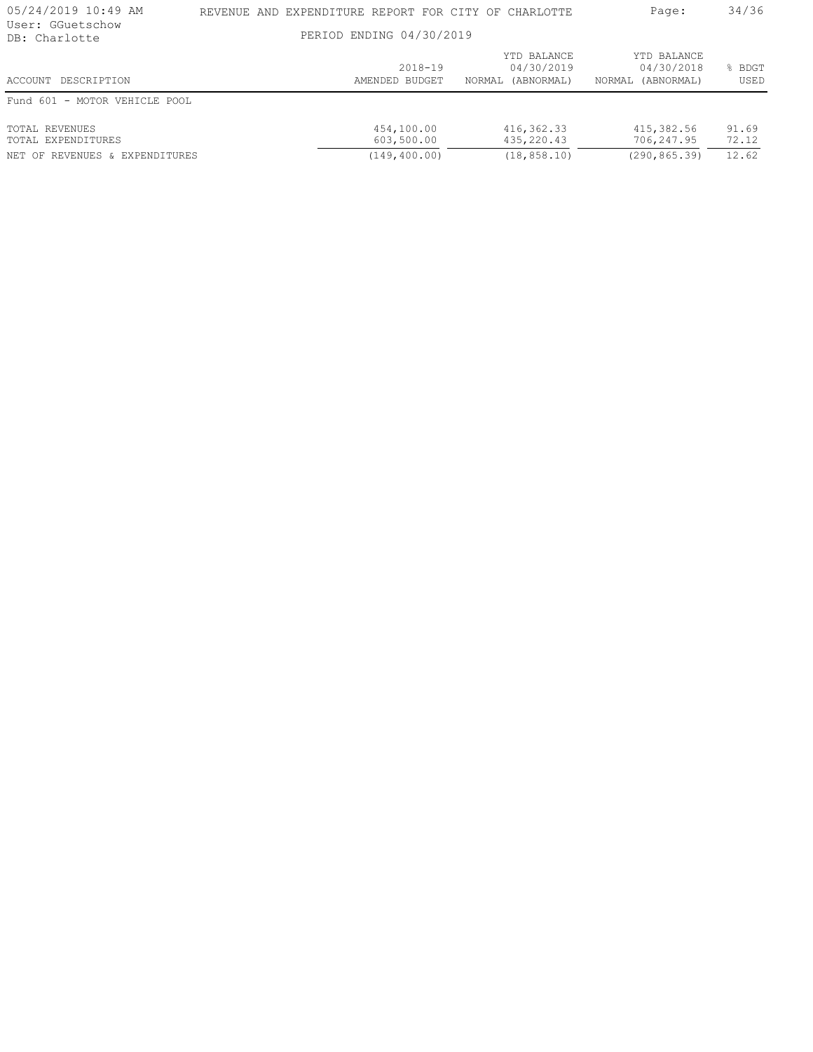| 05/24/2019 10:49 AM<br>User: GGuetschow<br>DB: Charlotte               | REVENUE AND EXPENDITURE REPORT FOR CITY OF<br>PERIOD ENDING 04/30/2019 | CHARLOTTE                                         | Page:                                             | 34/36                   |
|------------------------------------------------------------------------|------------------------------------------------------------------------|---------------------------------------------------|---------------------------------------------------|-------------------------|
| DESCRIPTION<br>ACCOUNT                                                 | $2018 - 19$<br>AMENDED BUDGET                                          | YTD BALANCE<br>04/30/2019<br>(ABNORMAL)<br>NORMAL | YTD BALANCE<br>04/30/2018<br>(ABNORMAL)<br>NORMAL | % BDGT<br>USED          |
| Fund 601 - MOTOR VEHICLE POOL                                          |                                                                        |                                                   |                                                   |                         |
| TOTAL REVENUES<br>TOTAL EXPENDITURES<br>NET OF REVENUES & EXPENDITURES | 454,100.00<br>603,500.00<br>(149, 400, 00)                             | 416, 362.33<br>435,220.43<br>(18, 858, 10)        | 415,382.56<br>706,247.95<br>(290, 865.39)         | 91.69<br>72.12<br>12.62 |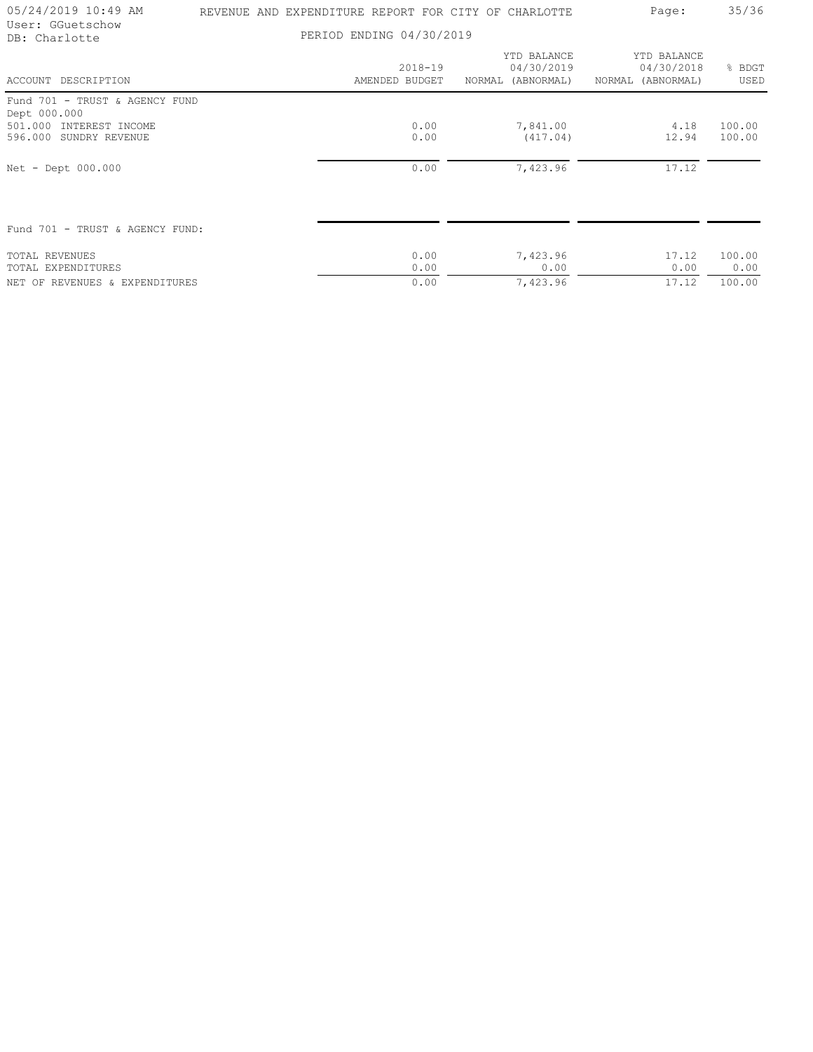### User: GGuetschow DB: Charlotte PERIOD ENDING 04/30/2019

### 05/24/2019 10:49 AM REVENUE AND EXPENDITURE REPORT FOR CITY OF CHARLOTTE Page: 35/36

% BDGT USED YTD BALANCE 04/30/2018 NORMAL (ABNORMAL) NORMAL (ABNORMAL) YTD BALANCE 04/30/2019 2018-19 ACCOUNT DESCRIPTION Fund 701 - TRUST & AGENCY FUND Dept 000.000 501.000 INTEREST INCOME 0.00 7,841.00 4.18 100.00 596.000 SUNDRY REVENUE 0.00 (417.04) 12.94 100.00 Net - Dept 000.000 0.000 0.000 0.000 0.000 7,423.96 17.12 NET OF REVENUES & EXPENDITURES 6 0.00 7,423.96 17.12 100.00 TOTAL EXPENDITURES 0.00 0.00 0.00 0.00 TOTAL REVENUES 0.00 7,423.96 17.12 100.00 Fund 701 - TRUST & AGENCY FUND: